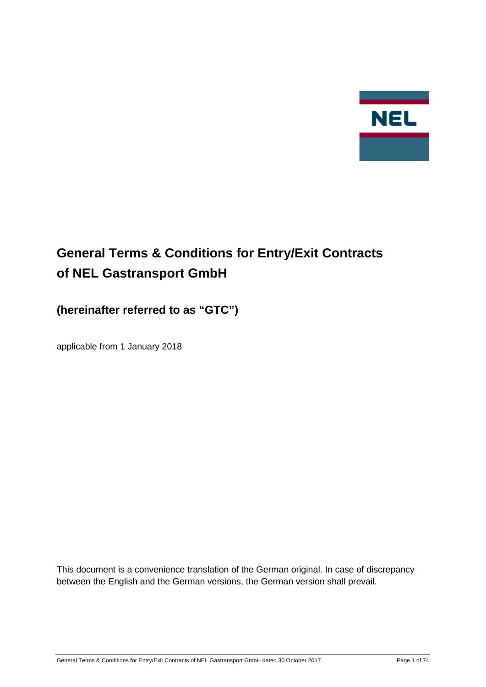

# **General Terms & Conditions for Entry/Exit Contracts of NEL Gastransport GmbH**

# **(hereinafter referred to as "GTC")**

applicable from 1 January 2018

This document is a convenience translation of the German original. In case of discrepancy between the English and the German versions, the German version shall prevail.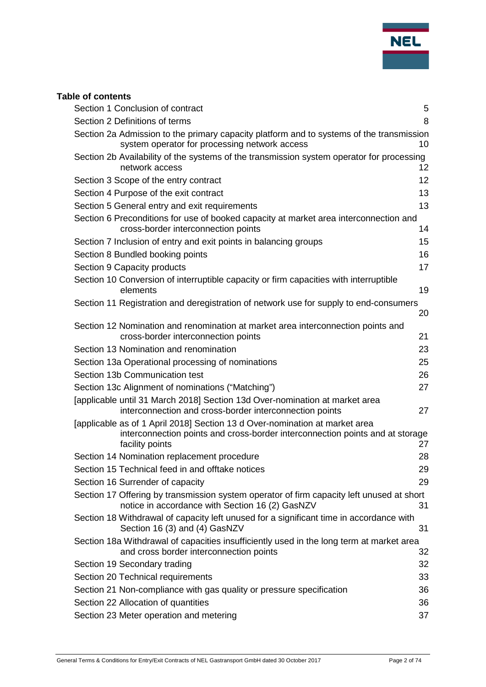

| <b>Table of contents</b>                                                                                                                                                        |    |
|---------------------------------------------------------------------------------------------------------------------------------------------------------------------------------|----|
| Section 1 Conclusion of contract                                                                                                                                                | 5  |
| Section 2 Definitions of terms                                                                                                                                                  | 8  |
| Section 2a Admission to the primary capacity platform and to systems of the transmission<br>system operator for processing network access                                       | 10 |
| Section 2b Availability of the systems of the transmission system operator for processing<br>network access                                                                     | 12 |
| Section 3 Scope of the entry contract                                                                                                                                           | 12 |
| Section 4 Purpose of the exit contract                                                                                                                                          | 13 |
| Section 5 General entry and exit requirements                                                                                                                                   | 13 |
| Section 6 Preconditions for use of booked capacity at market area interconnection and<br>cross-border interconnection points                                                    | 14 |
| Section 7 Inclusion of entry and exit points in balancing groups                                                                                                                | 15 |
| Section 8 Bundled booking points                                                                                                                                                | 16 |
| Section 9 Capacity products                                                                                                                                                     | 17 |
| Section 10 Conversion of interruptible capacity or firm capacities with interruptible<br>elements                                                                               | 19 |
| Section 11 Registration and deregistration of network use for supply to end-consumers                                                                                           | 20 |
| Section 12 Nomination and renomination at market area interconnection points and<br>cross-border interconnection points                                                         | 21 |
| Section 13 Nomination and renomination                                                                                                                                          | 23 |
| Section 13a Operational processing of nominations                                                                                                                               | 25 |
| Section 13b Communication test                                                                                                                                                  | 26 |
| Section 13c Alignment of nominations ("Matching")                                                                                                                               | 27 |
| [applicable until 31 March 2018] Section 13d Over-nomination at market area<br>interconnection and cross-border interconnection points                                          | 27 |
| [applicable as of 1 April 2018] Section 13 d Over-nomination at market area<br>interconnection points and cross-border interconnection points and at storage<br>facility points | 27 |
| Section 14 Nomination replacement procedure                                                                                                                                     | 28 |
| Section 15 Technical feed in and offtake notices                                                                                                                                | 29 |
| Section 16 Surrender of capacity                                                                                                                                                | 29 |
| Section 17 Offering by transmission system operator of firm capacity left unused at short<br>notice in accordance with Section 16 (2) GasNZV                                    | 31 |
| Section 18 Withdrawal of capacity left unused for a significant time in accordance with<br>Section 16 (3) and (4) GasNZV                                                        | 31 |
| Section 18a Withdrawal of capacities insufficiently used in the long term at market area<br>and cross border interconnection points                                             | 32 |
| Section 19 Secondary trading                                                                                                                                                    | 32 |
| Section 20 Technical requirements                                                                                                                                               | 33 |
| Section 21 Non-compliance with gas quality or pressure specification                                                                                                            | 36 |
| Section 22 Allocation of quantities                                                                                                                                             | 36 |

[Section 23 Meter operation and metering](#page-36-0) 37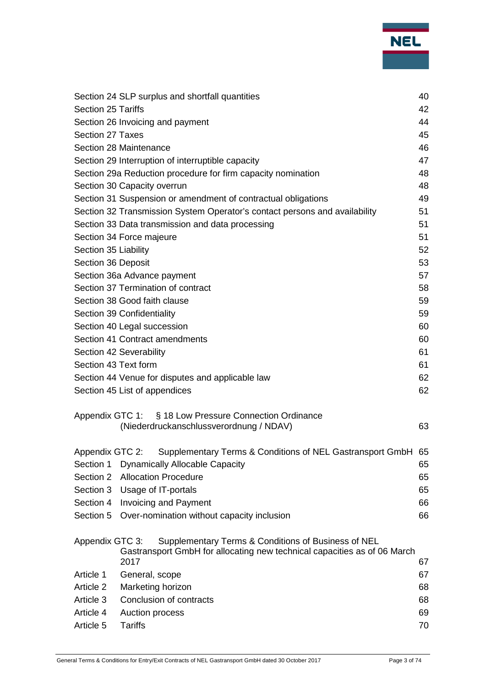| NEL |  |
|-----|--|
|     |  |
|     |  |

|                           | Section 24 SLP surplus and shortfall quantities                                  | 40 |
|---------------------------|----------------------------------------------------------------------------------|----|
| <b>Section 25 Tariffs</b> |                                                                                  | 42 |
|                           | Section 26 Invoicing and payment                                                 | 44 |
| Section 27 Taxes          |                                                                                  | 45 |
|                           | Section 28 Maintenance                                                           | 46 |
|                           | Section 29 Interruption of interruptible capacity                                | 47 |
|                           | Section 29a Reduction procedure for firm capacity nomination                     | 48 |
|                           | Section 30 Capacity overrun                                                      | 48 |
|                           | Section 31 Suspension or amendment of contractual obligations                    | 49 |
|                           | Section 32 Transmission System Operator's contact persons and availability       | 51 |
|                           | Section 33 Data transmission and data processing                                 | 51 |
|                           | Section 34 Force majeure                                                         | 51 |
| Section 35 Liability      |                                                                                  | 52 |
| Section 36 Deposit        |                                                                                  | 53 |
|                           | Section 36a Advance payment                                                      | 57 |
|                           | Section 37 Termination of contract                                               | 58 |
|                           | Section 38 Good faith clause                                                     | 59 |
|                           | Section 39 Confidentiality                                                       | 59 |
|                           | Section 40 Legal succession                                                      | 60 |
|                           | Section 41 Contract amendments                                                   | 60 |
|                           | Section 42 Severability                                                          | 61 |
| Section 43 Text form      |                                                                                  | 61 |
|                           | Section 44 Venue for disputes and applicable law                                 | 62 |
|                           | Section 45 List of appendices                                                    | 62 |
|                           |                                                                                  |    |
|                           | Appendix GTC 1: § 18 Low Pressure Connection Ordinance                           |    |
|                           | (Niederdruckanschlussverordnung / NDAV)                                          | 63 |
|                           |                                                                                  |    |
| Appendix GTC 2:           | Supplementary Terms & Conditions of NEL Gastransport GmbH 65                     |    |
| Section 1                 | <b>Dynamically Allocable Capacity</b>                                            | 65 |
| Section 2                 | <b>Allocation Procedure</b>                                                      | 65 |
| Section 3                 | Usage of IT-portals                                                              | 65 |
| Section 4                 | <b>Invoicing and Payment</b>                                                     | 66 |
| Section 5                 | Over-nomination without capacity inclusion                                       | 66 |
| Appendix GTC 3:           | Supplementary Terms & Conditions of Business of NEL                              |    |
|                           | Gastransport GmbH for allocating new technical capacities as of 06 March<br>2017 | 67 |
| Article 1                 | General, scope                                                                   | 67 |
| Article 2                 | Marketing horizon                                                                | 68 |
| Article 3                 | Conclusion of contracts                                                          | 68 |
| Article 4                 | Auction process                                                                  | 69 |
| Article 5                 | <b>Tariffs</b>                                                                   | 70 |
|                           |                                                                                  |    |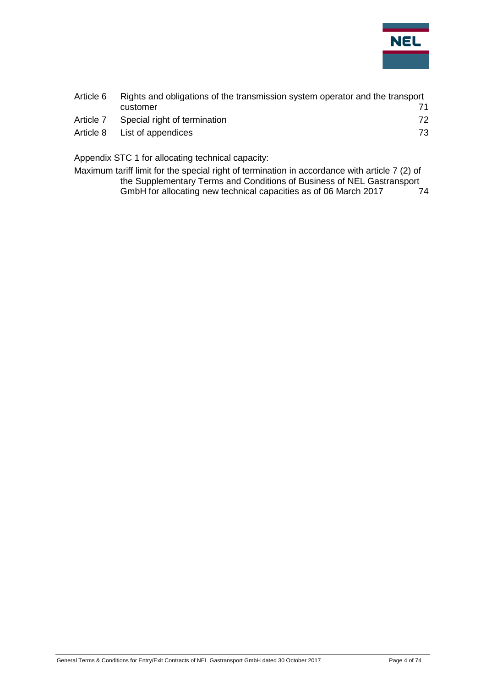

| Article 6 | Rights and obligations of the transmission system operator and the transport |    |  |
|-----------|------------------------------------------------------------------------------|----|--|
|           | customer                                                                     | 71 |  |
| Article 7 | Special right of termination                                                 | 72 |  |
| Article 8 | List of appendices                                                           | 73 |  |
|           |                                                                              |    |  |

[Appendix STC 1 for allocating technical capacity:](#page-73-0)

[Maximum tariff limit for the special right of termination in accordance with article 7 \(2\) of](#page-73-1)  [the Supplementary Terms and Conditions of Business of NEL Gastransport](#page-73-1)  [GmbH for allocating new technical capacities as of 06 March 2017](#page-73-1) 74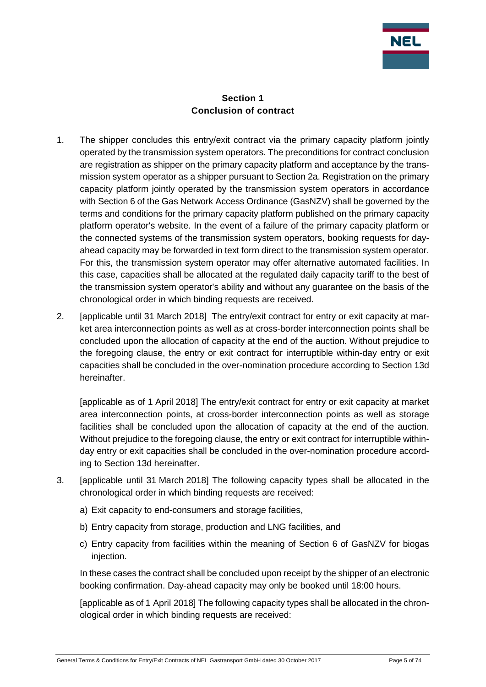

#### **Section 1 Conclusion of contract**

- <span id="page-4-0"></span>1. The shipper concludes this entry/exit contract via the primary capacity platform jointly operated by the transmission system operators. The preconditions for contract conclusion are registration as shipper on the primary capacity platform and acceptance by the transmission system operator as a shipper pursuant to Section 2a. Registration on the primary capacity platform jointly operated by the transmission system operators in accordance with Section 6 of the Gas Network Access Ordinance (GasNZV) shall be governed by the terms and conditions for the primary capacity platform published on the primary capacity platform operator's website. In the event of a failure of the primary capacity platform or the connected systems of the transmission system operators, booking requests for dayahead capacity may be forwarded in text form direct to the transmission system operator. For this, the transmission system operator may offer alternative automated facilities. In this case, capacities shall be allocated at the regulated daily capacity tariff to the best of the transmission system operator's ability and without any guarantee on the basis of the chronological order in which binding requests are received.
- 2. [applicable until 31 March 2018] The entry/exit contract for entry or exit capacity at market area interconnection points as well as at cross-border interconnection points shall be concluded upon the allocation of capacity at the end of the auction. Without prejudice to the foregoing clause, the entry or exit contract for interruptible within-day entry or exit capacities shall be concluded in the over-nomination procedure according to Section 13d hereinafter.

[applicable as of 1 April 2018] The entry/exit contract for entry or exit capacity at market area interconnection points, at cross-border interconnection points as well as storage facilities shall be concluded upon the allocation of capacity at the end of the auction. Without prejudice to the foregoing clause, the entry or exit contract for interruptible withinday entry or exit capacities shall be concluded in the over-nomination procedure according to Section 13d hereinafter.

- 3. [applicable until 31 March 2018] The following capacity types shall be allocated in the chronological order in which binding requests are received:
	- a) Exit capacity to end-consumers and storage facilities,
	- b) Entry capacity from storage, production and LNG facilities, and
	- c) Entry capacity from facilities within the meaning of Section 6 of GasNZV for biogas injection.

In these cases the contract shall be concluded upon receipt by the shipper of an electronic booking confirmation. Day-ahead capacity may only be booked until 18:00 hours.

[applicable as of 1 April 2018] The following capacity types shall be allocated in the chronological order in which binding requests are received: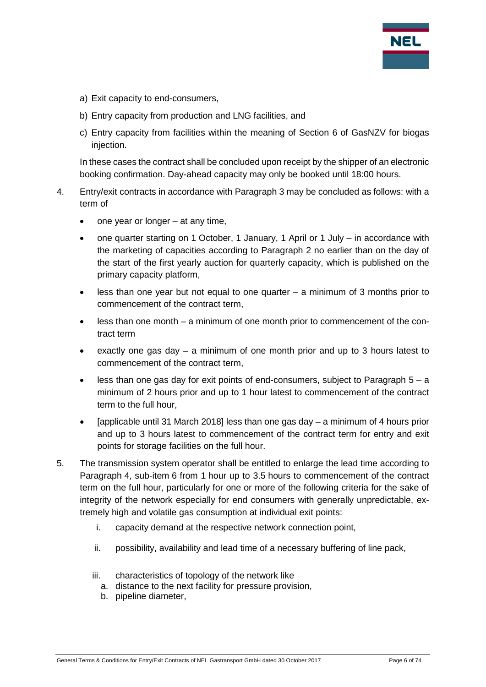

- a) Exit capacity to end-consumers,
- b) Entry capacity from production and LNG facilities, and
- c) Entry capacity from facilities within the meaning of Section 6 of GasNZV for biogas injection.

In these cases the contract shall be concluded upon receipt by the shipper of an electronic booking confirmation. Day-ahead capacity may only be booked until 18:00 hours.

- 4. Entry/exit contracts in accordance with Paragraph 3 may be concluded as follows: with a term of
	- one year or longer  $-$  at any time,
	- one quarter starting on 1 October, 1 January, 1 April or 1 July in accordance with the marketing of capacities according to Paragraph 2 no earlier than on the day of the start of the first yearly auction for quarterly capacity, which is published on the primary capacity platform,
	- less than one year but not equal to one quarter  $-$  a minimum of 3 months prior to commencement of the contract term,
	- less than one month a minimum of one month prior to commencement of the contract term
	- exactly one gas day  $-$  a minimum of one month prior and up to 3 hours latest to commencement of the contract term,
	- less than one gas day for exit points of end-consumers, subject to Paragraph  $5 a$ minimum of 2 hours prior and up to 1 hour latest to commencement of the contract term to the full hour,
	- [applicable until 31 March 2018] less than one gas day a minimum of 4 hours prior and up to 3 hours latest to commencement of the contract term for entry and exit points for storage facilities on the full hour.
- 5. The transmission system operator shall be entitled to enlarge the lead time according to Paragraph 4, sub-item 6 from 1 hour up to 3.5 hours to commencement of the contract term on the full hour, particularly for one or more of the following criteria for the sake of integrity of the network especially for end consumers with generally unpredictable, extremely high and volatile gas consumption at individual exit points:
	- i. capacity demand at the respective network connection point,
	- ii. possibility, availability and lead time of a necessary buffering of line pack,
	- iii. characteristics of topology of the network like
		- a. distance to the next facility for pressure provision,
		- b. pipeline diameter,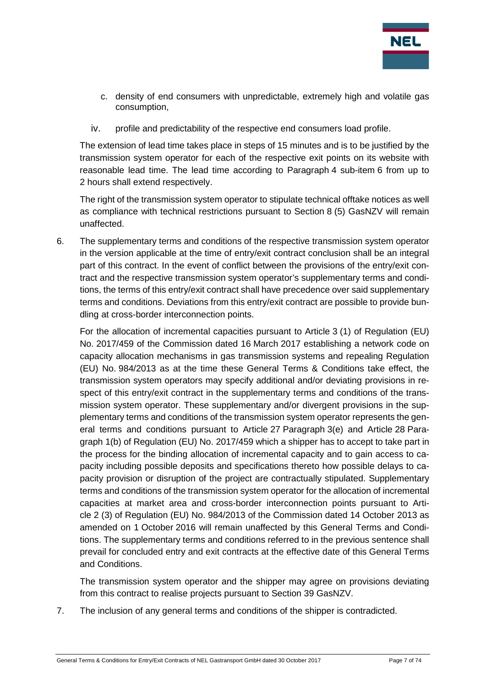

- c. density of end consumers with unpredictable, extremely high and volatile gas consumption,
- iv. profile and predictability of the respective end consumers load profile.

The extension of lead time takes place in steps of 15 minutes and is to be justified by the transmission system operator for each of the respective exit points on its website with reasonable lead time. The lead time according to Paragraph 4 sub-item 6 from up to 2 hours shall extend respectively.

The right of the transmission system operator to stipulate technical offtake notices as well as compliance with technical restrictions pursuant to Section 8 (5) GasNZV will remain unaffected.

6. The supplementary terms and conditions of the respective transmission system operator in the version applicable at the time of entry/exit contract conclusion shall be an integral part of this contract. In the event of conflict between the provisions of the entry/exit contract and the respective transmission system operator's supplementary terms and conditions, the terms of this entry/exit contract shall have precedence over said supplementary terms and conditions. Deviations from this entry/exit contract are possible to provide bundling at cross-border interconnection points.

For the allocation of incremental capacities pursuant to Article 3 (1) of Regulation (EU) No. 2017/459 of the Commission dated 16 March 2017 establishing a network code on capacity allocation mechanisms in gas transmission systems and repealing Regulation (EU) No. 984/2013 as at the time these General Terms & Conditions take effect, the transmission system operators may specify additional and/or deviating provisions in respect of this entry/exit contract in the supplementary terms and conditions of the transmission system operator. These supplementary and/or divergent provisions in the supplementary terms and conditions of the transmission system operator represents the general terms and conditions pursuant to Article 27 Paragraph 3(e) and Article 28 Paragraph 1(b) of Regulation (EU) No. 2017/459 which a shipper has to accept to take part in the process for the binding allocation of incremental capacity and to gain access to capacity including possible deposits and specifications thereto how possible delays to capacity provision or disruption of the project are contractually stipulated. Supplementary terms and conditions of the transmission system operator for the allocation of incremental capacities at market area and cross-border interconnection points pursuant to Article 2 (3) of Regulation (EU) No. 984/2013 of the Commission dated 14 October 2013 as amended on 1 October 2016 will remain unaffected by this General Terms and Conditions. The supplementary terms and conditions referred to in the previous sentence shall prevail for concluded entry and exit contracts at the effective date of this General Terms and Conditions.

The transmission system operator and the shipper may agree on provisions deviating from this contract to realise projects pursuant to Section 39 GasNZV.

7. The inclusion of any general terms and conditions of the shipper is contradicted.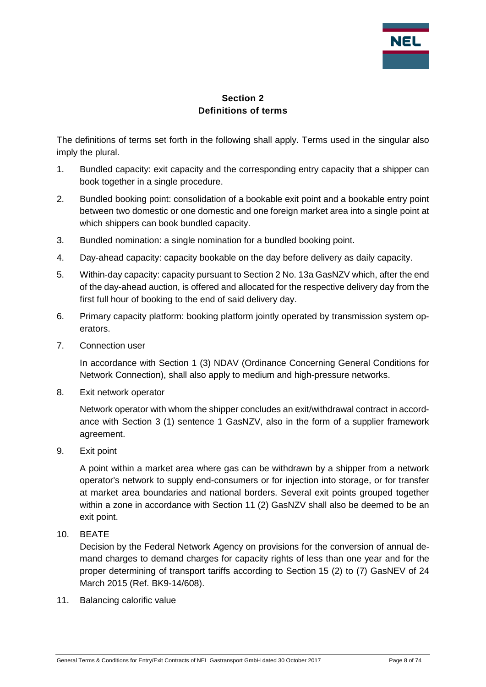

#### **Section 2 Definitions of terms**

<span id="page-7-0"></span>The definitions of terms set forth in the following shall apply. Terms used in the singular also imply the plural.

- 1. Bundled capacity: exit capacity and the corresponding entry capacity that a shipper can book together in a single procedure.
- 2. Bundled booking point: consolidation of a bookable exit point and a bookable entry point between two domestic or one domestic and one foreign market area into a single point at which shippers can book bundled capacity.
- 3. Bundled nomination: a single nomination for a bundled booking point.
- 4. Day-ahead capacity: capacity bookable on the day before delivery as daily capacity.
- 5. Within-day capacity: capacity pursuant to Section 2 No. 13a GasNZV which, after the end of the day-ahead auction, is offered and allocated for the respective delivery day from the first full hour of booking to the end of said delivery day.
- 6. Primary capacity platform: booking platform jointly operated by transmission system operators.
- 7. Connection user

In accordance with Section 1 (3) NDAV (Ordinance Concerning General Conditions for Network Connection), shall also apply to medium and high-pressure networks.

8. Exit network operator

Network operator with whom the shipper concludes an exit/withdrawal contract in accordance with Section 3 (1) sentence 1 GasNZV, also in the form of a supplier framework agreement.

9. Exit point

A point within a market area where gas can be withdrawn by a shipper from a network operator's network to supply end-consumers or for injection into storage, or for transfer at market area boundaries and national borders. Several exit points grouped together within a zone in accordance with Section 11 (2) GasNZV shall also be deemed to be an exit point.

10. BEATE

Decision by the Federal Network Agency on provisions for the conversion of annual demand charges to demand charges for capacity rights of less than one year and for the proper determining of transport tariffs according to Section 15 (2) to (7) GasNEV of 24 March 2015 (Ref. BK9-14/608).

11. Balancing calorific value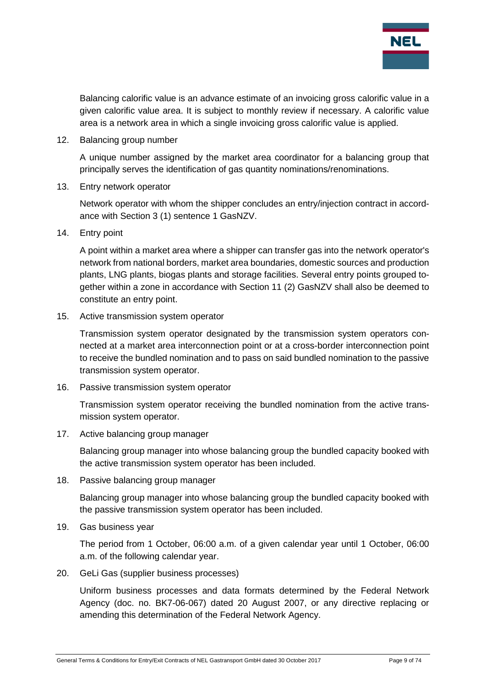

Balancing calorific value is an advance estimate of an invoicing gross calorific value in a given calorific value area. It is subject to monthly review if necessary. A calorific value area is a network area in which a single invoicing gross calorific value is applied.

12. Balancing group number

A unique number assigned by the market area coordinator for a balancing group that principally serves the identification of gas quantity nominations/renominations.

13. Entry network operator

Network operator with whom the shipper concludes an entry/injection contract in accordance with Section 3 (1) sentence 1 GasNZV.

14. Entry point

A point within a market area where a shipper can transfer gas into the network operator's network from national borders, market area boundaries, domestic sources and production plants, LNG plants, biogas plants and storage facilities. Several entry points grouped together within a zone in accordance with Section 11 (2) GasNZV shall also be deemed to constitute an entry point.

15. Active transmission system operator

Transmission system operator designated by the transmission system operators connected at a market area interconnection point or at a cross-border interconnection point to receive the bundled nomination and to pass on said bundled nomination to the passive transmission system operator.

16. Passive transmission system operator

Transmission system operator receiving the bundled nomination from the active transmission system operator.

17. Active balancing group manager

Balancing group manager into whose balancing group the bundled capacity booked with the active transmission system operator has been included.

18. Passive balancing group manager

Balancing group manager into whose balancing group the bundled capacity booked with the passive transmission system operator has been included.

19. Gas business year

The period from 1 October, 06:00 a.m. of a given calendar year until 1 October, 06:00 a.m. of the following calendar year.

20. GeLi Gas (supplier business processes)

Uniform business processes and data formats determined by the Federal Network Agency (doc. no. BK7-06-067) dated 20 August 2007, or any directive replacing or amending this determination of the Federal Network Agency.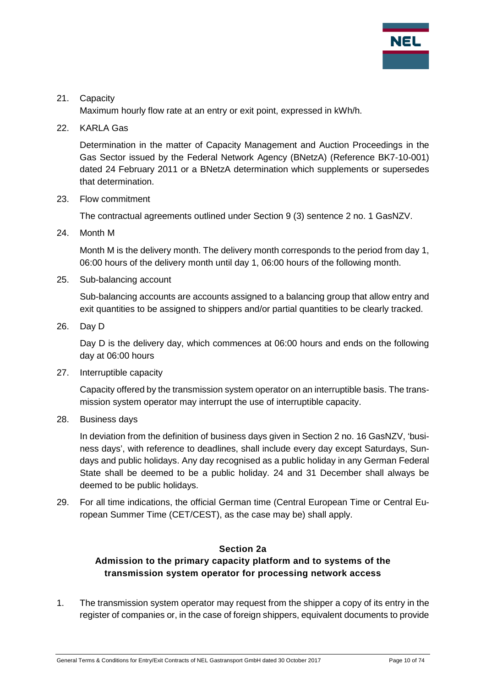

#### 21. Capacity

Maximum hourly flow rate at an entry or exit point, expressed in kWh/h.

22. KARLA Gas

Determination in the matter of Capacity Management and Auction Proceedings in the Gas Sector issued by the Federal Network Agency (BNetzA) (Reference BK7-10-001) dated 24 February 2011 or a BNetzA determination which supplements or supersedes that determination.

23. Flow commitment

The contractual agreements outlined under Section 9 (3) sentence 2 no. 1 GasNZV.

24. Month M

Month M is the delivery month. The delivery month corresponds to the period from day 1, 06:00 hours of the delivery month until day 1, 06:00 hours of the following month.

25. Sub-balancing account

Sub-balancing accounts are accounts assigned to a balancing group that allow entry and exit quantities to be assigned to shippers and/or partial quantities to be clearly tracked.

26. Day D

Day D is the delivery day, which commences at 06:00 hours and ends on the following day at 06:00 hours

27. Interruptible capacity

Capacity offered by the transmission system operator on an interruptible basis. The transmission system operator may interrupt the use of interruptible capacity.

28. Business days

In deviation from the definition of business days given in Section 2 no. 16 GasNZV, 'business days', with reference to deadlines, shall include every day except Saturdays, Sundays and public holidays. Any day recognised as a public holiday in any German Federal State shall be deemed to be a public holiday. 24 and 31 December shall always be deemed to be public holidays.

29. For all time indications, the official German time (Central European Time or Central European Summer Time (CET/CEST), as the case may be) shall apply.

#### **Section 2a**

# <span id="page-9-0"></span>**Admission to the primary capacity platform and to systems of the transmission system operator for processing network access**

1. The transmission system operator may request from the shipper a copy of its entry in the register of companies or, in the case of foreign shippers, equivalent documents to provide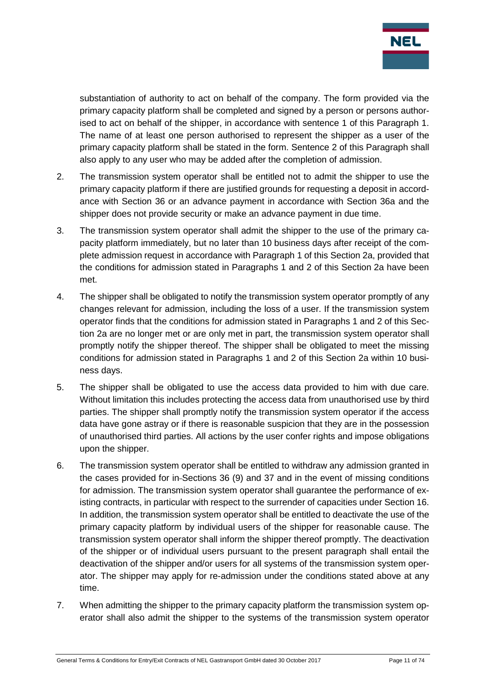

substantiation of authority to act on behalf of the company. The form provided via the primary capacity platform shall be completed and signed by a person or persons authorised to act on behalf of the shipper, in accordance with sentence 1 of this Paragraph 1. The name of at least one person authorised to represent the shipper as a user of the primary capacity platform shall be stated in the form. Sentence 2 of this Paragraph shall also apply to any user who may be added after the completion of admission.

- 2. The transmission system operator shall be entitled not to admit the shipper to use the primary capacity platform if there are justified grounds for requesting a deposit in accordance with Section 36 or an advance payment in accordance with Section 36a and the shipper does not provide security or make an advance payment in due time.
- 3. The transmission system operator shall admit the shipper to the use of the primary capacity platform immediately, but no later than 10 business days after receipt of the complete admission request in accordance with Paragraph 1 of this Section 2a, provided that the conditions for admission stated in Paragraphs 1 and 2 of this Section 2a have been met.
- 4. The shipper shall be obligated to notify the transmission system operator promptly of any changes relevant for admission, including the loss of a user. If the transmission system operator finds that the conditions for admission stated in Paragraphs 1 and 2 of this Section 2a are no longer met or are only met in part, the transmission system operator shall promptly notify the shipper thereof. The shipper shall be obligated to meet the missing conditions for admission stated in Paragraphs 1 and 2 of this Section 2a within 10 business days.
- 5. The shipper shall be obligated to use the access data provided to him with due care. Without limitation this includes protecting the access data from unauthorised use by third parties. The shipper shall promptly notify the transmission system operator if the access data have gone astray or if there is reasonable suspicion that they are in the possession of unauthorised third parties. All actions by the user confer rights and impose obligations upon the shipper.
- 6. The transmission system operator shall be entitled to withdraw any admission granted in the cases provided for in-Sections 36 (9) and 37 and in the event of missing conditions for admission. The transmission system operator shall guarantee the performance of existing contracts, in particular with respect to the surrender of capacities under Section 16. In addition, the transmission system operator shall be entitled to deactivate the use of the primary capacity platform by individual users of the shipper for reasonable cause. The transmission system operator shall inform the shipper thereof promptly. The deactivation of the shipper or of individual users pursuant to the present paragraph shall entail the deactivation of the shipper and/or users for all systems of the transmission system operator. The shipper may apply for re-admission under the conditions stated above at any time.
- 7. When admitting the shipper to the primary capacity platform the transmission system operator shall also admit the shipper to the systems of the transmission system operator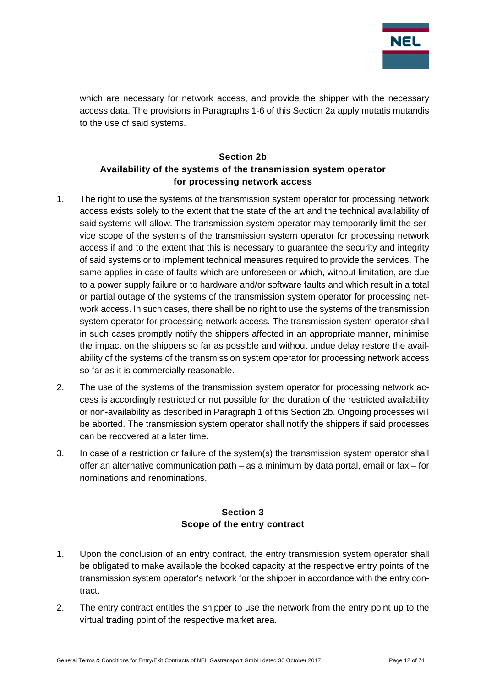

which are necessary for network access, and provide the shipper with the necessary access data. The provisions in Paragraphs 1-6 of this Section 2a apply mutatis mutandis to the use of said systems.

#### **Section 2b Availability of the systems of the transmission system operator for processing network access**

- <span id="page-11-0"></span>1. The right to use the systems of the transmission system operator for processing network access exists solely to the extent that the state of the art and the technical availability of said systems will allow. The transmission system operator may temporarily limit the service scope of the systems of the transmission system operator for processing network access if and to the extent that this is necessary to guarantee the security and integrity of said systems or to implement technical measures required to provide the services. The same applies in case of faults which are unforeseen or which, without limitation, are due to a power supply failure or to hardware and/or software faults and which result in a total or partial outage of the systems of the transmission system operator for processing network access. In such cases, there shall be no right to use the systems of the transmission system operator for processing network access. The transmission system operator shall in such cases promptly notify the shippers affected in an appropriate manner, minimise the impact on the shippers so far-as possible and without undue delay restore the availability of the systems of the transmission system operator for processing network access so far as it is commercially reasonable.
- 2. The use of the systems of the transmission system operator for processing network access is accordingly restricted or not possible for the duration of the restricted availability or non-availability as described in Paragraph 1 of this Section 2b. Ongoing processes will be aborted. The transmission system operator shall notify the shippers if said processes can be recovered at a later time.
- 3. In case of a restriction or failure of the system(s) the transmission system operator shall offer an alternative communication path – as a minimum by data portal, email or fax – for nominations and renominations.

#### **Section 3 Scope of the entry contract**

- <span id="page-11-1"></span>1. Upon the conclusion of an entry contract, the entry transmission system operator shall be obligated to make available the booked capacity at the respective entry points of the transmission system operator's network for the shipper in accordance with the entry contract.
- 2. The entry contract entitles the shipper to use the network from the entry point up to the virtual trading point of the respective market area.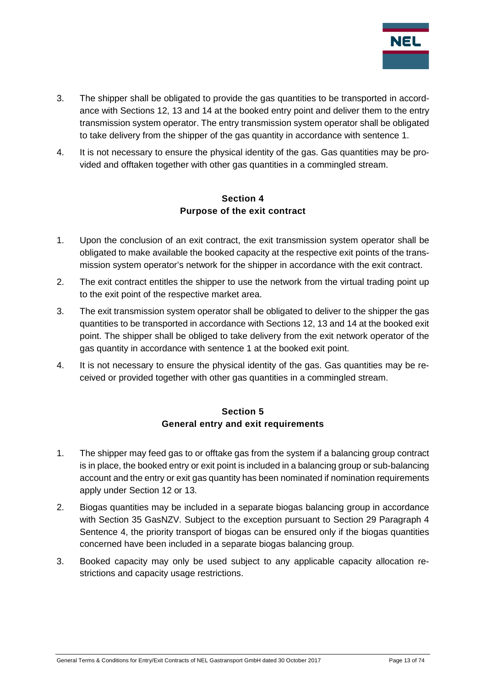

- 3. The shipper shall be obligated to provide the gas quantities to be transported in accordance with Sections 12, 13 and 14 at the booked entry point and deliver them to the entry transmission system operator. The entry transmission system operator shall be obligated to take delivery from the shipper of the gas quantity in accordance with sentence 1.
- 4. It is not necessary to ensure the physical identity of the gas. Gas quantities may be provided and offtaken together with other gas quantities in a commingled stream.

#### **Section 4 Purpose of the exit contract**

- <span id="page-12-0"></span>1. Upon the conclusion of an exit contract, the exit transmission system operator shall be obligated to make available the booked capacity at the respective exit points of the transmission system operator's network for the shipper in accordance with the exit contract.
- 2. The exit contract entitles the shipper to use the network from the virtual trading point up to the exit point of the respective market area.
- 3. The exit transmission system operator shall be obligated to deliver to the shipper the gas quantities to be transported in accordance with Sections 12, 13 and 14 at the booked exit point. The shipper shall be obliged to take delivery from the exit network operator of the gas quantity in accordance with sentence 1 at the booked exit point.
- 4. It is not necessary to ensure the physical identity of the gas. Gas quantities may be received or provided together with other gas quantities in a commingled stream.

#### **Section 5 General entry and exit requirements**

- <span id="page-12-1"></span>1. The shipper may feed gas to or offtake gas from the system if a balancing group contract is in place, the booked entry or exit point is included in a balancing group or sub-balancing account and the entry or exit gas quantity has been nominated if nomination requirements apply under Section 12 or 13.
- 2. Biogas quantities may be included in a separate biogas balancing group in accordance with Section 35 GasNZV. Subject to the exception pursuant to Section 29 Paragraph 4 Sentence 4, the priority transport of biogas can be ensured only if the biogas quantities concerned have been included in a separate biogas balancing group.
- 3. Booked capacity may only be used subject to any applicable capacity allocation restrictions and capacity usage restrictions.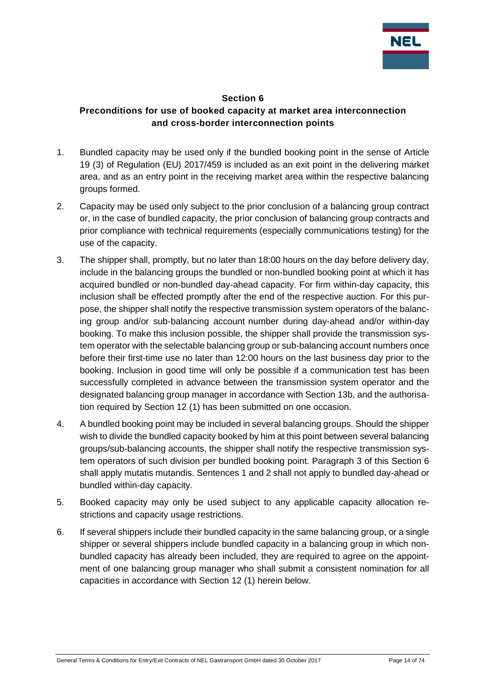

#### **Section 6**

# <span id="page-13-0"></span>**Preconditions for use of booked capacity at market area interconnection and cross-border interconnection points**

- 1. Bundled capacity may be used only if the bundled booking point in the sense of Article 19 (3) of Regulation (EU) 2017/459 is included as an exit point in the delivering market area, and as an entry point in the receiving market area within the respective balancing groups formed.
- 2. Capacity may be used only subject to the prior conclusion of a balancing group contract or, in the case of bundled capacity, the prior conclusion of balancing group contracts and prior compliance with technical requirements (especially communications testing) for the use of the capacity.
- 3. The shipper shall, promptly, but no later than 18:00 hours on the day before delivery day, include in the balancing groups the bundled or non-bundled booking point at which it has acquired bundled or non-bundled day-ahead capacity. For firm within-day capacity, this inclusion shall be effected promptly after the end of the respective auction. For this purpose, the shipper shall notify the respective transmission system operators of the balancing group and/or sub-balancing account number during day-ahead and/or within-day booking. To make this inclusion possible, the shipper shall provide the transmission system operator with the selectable balancing group or sub-balancing account numbers once before their first-time use no later than 12:00 hours on the last business day prior to the booking. Inclusion in good time will only be possible if a communication test has been successfully completed in advance between the transmission system operator and the designated balancing group manager in accordance with Section 13b, and the authorisation required by Section 12 (1) has been submitted on one occasion.
- 4. A bundled booking point may be included in several balancing groups. Should the shipper wish to divide the bundled capacity booked by him at this point between several balancing groups/sub-balancing accounts, the shipper shall notify the respective transmission system operators of such division per bundled booking point. Paragraph 3 of this Section 6 shall apply mutatis mutandis. Sentences 1 and 2 shall not apply to bundled day-ahead or bundled within-day capacity.
- 5. Booked capacity may only be used subject to any applicable capacity allocation restrictions and capacity usage restrictions.
- 6. If several shippers include their bundled capacity in the same balancing group, or a single shipper or several shippers include bundled capacity in a balancing group in which nonbundled capacity has already been included, they are required to agree on the appointment of one balancing group manager who shall submit a consistent nomination for all capacities in accordance with Section 12 (1) herein below.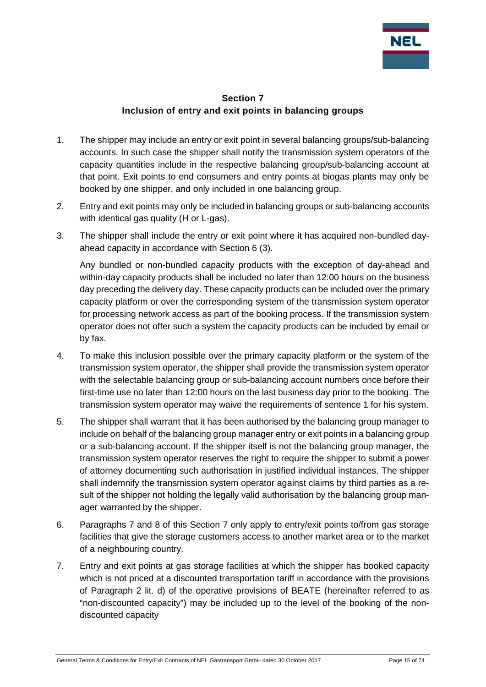

#### **Section 7 Inclusion of entry and exit points in balancing groups**

- <span id="page-14-0"></span>1. The shipper may include an entry or exit point in several balancing groups/sub-balancing accounts. In such case the shipper shall notify the transmission system operators of the capacity quantities include in the respective balancing group/sub-balancing account at that point. Exit points to end consumers and entry points at biogas plants may only be booked by one shipper, and only included in one balancing group.
- 2. Entry and exit points may only be included in balancing groups or sub-balancing accounts with identical gas quality (H or L-gas).
- 3. The shipper shall include the entry or exit point where it has acquired non-bundled dayahead capacity in accordance with Section 6 (3).

Any bundled or non-bundled capacity products with the exception of day-ahead and within-day capacity products shall be included no later than 12:00 hours on the business day preceding the delivery day. These capacity products can be included over the primary capacity platform or over the corresponding system of the transmission system operator for processing network access as part of the booking process. If the transmission system operator does not offer such a system the capacity products can be included by email or by fax.

- 4. To make this inclusion possible over the primary capacity platform or the system of the transmission system operator, the shipper shall provide the transmission system operator with the selectable balancing group or sub-balancing account numbers once before their first-time use no later than 12:00 hours on the last business day prior to the booking. The transmission system operator may waive the requirements of sentence 1 for his system.
- 5. The shipper shall warrant that it has been authorised by the balancing group manager to include on behalf of the balancing group manager entry or exit points in a balancing group or a sub-balancing account. If the shipper itself is not the balancing group manager, the transmission system operator reserves the right to require the shipper to submit a power of attorney documenting such authorisation in justified individual instances. The shipper shall indemnify the transmission system operator against claims by third parties as a result of the shipper not holding the legally valid authorisation by the balancing group manager warranted by the shipper.
- 6. Paragraphs 7 and 8 of this Section 7 only apply to entry/exit points to/from gas storage facilities that give the storage customers access to another market area or to the market of a neighbouring country.
- 7. Entry and exit points at gas storage facilities at which the shipper has booked capacity which is not priced at a discounted transportation tariff in accordance with the provisions of Paragraph 2 lit. d) of the operative provisions of BEATE (hereinafter referred to as "non-discounted capacity") may be included up to the level of the booking of the nondiscounted capacity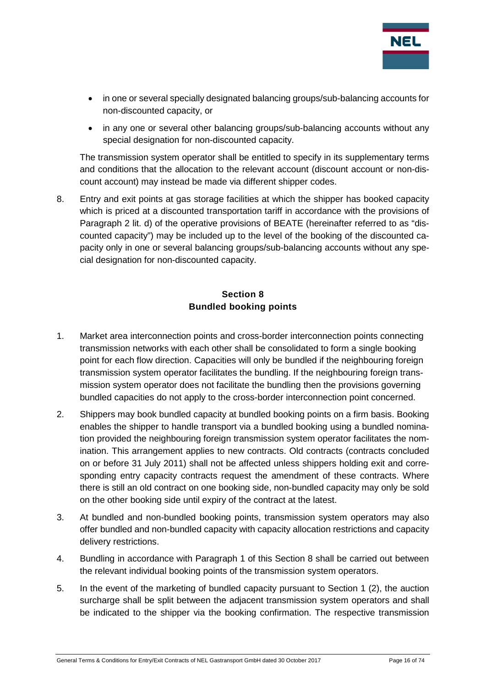

- in one or several specially designated balancing groups/sub-balancing accounts for non-discounted capacity, or
- in any one or several other balancing groups/sub-balancing accounts without any special designation for non-discounted capacity.

The transmission system operator shall be entitled to specify in its supplementary terms and conditions that the allocation to the relevant account (discount account or non-discount account) may instead be made via different shipper codes.

8. Entry and exit points at gas storage facilities at which the shipper has booked capacity which is priced at a discounted transportation tariff in accordance with the provisions of Paragraph 2 lit. d) of the operative provisions of BEATE (hereinafter referred to as "discounted capacity") may be included up to the level of the booking of the discounted capacity only in one or several balancing groups/sub-balancing accounts without any special designation for non-discounted capacity.

# **Section 8 Bundled booking points**

- <span id="page-15-0"></span>1. Market area interconnection points and cross-border interconnection points connecting transmission networks with each other shall be consolidated to form a single booking point for each flow direction. Capacities will only be bundled if the neighbouring foreign transmission system operator facilitates the bundling. If the neighbouring foreign transmission system operator does not facilitate the bundling then the provisions governing bundled capacities do not apply to the cross-border interconnection point concerned.
- 2. Shippers may book bundled capacity at bundled booking points on a firm basis. Booking enables the shipper to handle transport via a bundled booking using a bundled nomination provided the neighbouring foreign transmission system operator facilitates the nomination. This arrangement applies to new contracts. Old contracts (contracts concluded on or before 31 July 2011) shall not be affected unless shippers holding exit and corresponding entry capacity contracts request the amendment of these contracts. Where there is still an old contract on one booking side, non-bundled capacity may only be sold on the other booking side until expiry of the contract at the latest.
- 3. At bundled and non-bundled booking points, transmission system operators may also offer bundled and non-bundled capacity with capacity allocation restrictions and capacity delivery restrictions.
- 4. Bundling in accordance with Paragraph 1 of this Section 8 shall be carried out between the relevant individual booking points of the transmission system operators.
- 5. In the event of the marketing of bundled capacity pursuant to Section 1 (2), the auction surcharge shall be split between the adjacent transmission system operators and shall be indicated to the shipper via the booking confirmation. The respective transmission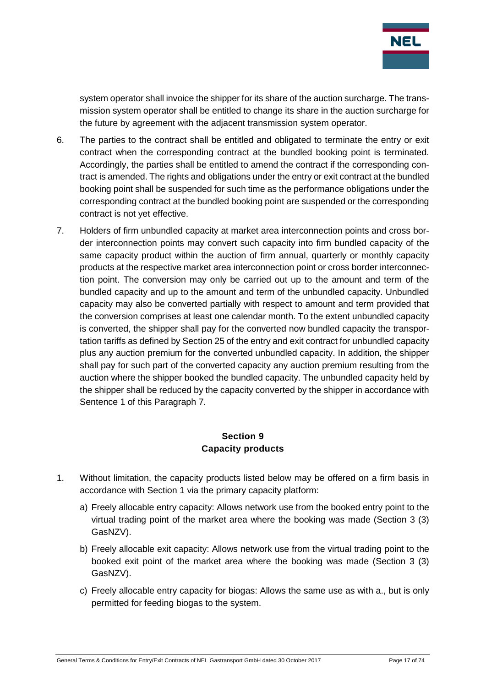

system operator shall invoice the shipper for its share of the auction surcharge. The transmission system operator shall be entitled to change its share in the auction surcharge for the future by agreement with the adjacent transmission system operator.

- 6. The parties to the contract shall be entitled and obligated to terminate the entry or exit contract when the corresponding contract at the bundled booking point is terminated. Accordingly, the parties shall be entitled to amend the contract if the corresponding contract is amended. The rights and obligations under the entry or exit contract at the bundled booking point shall be suspended for such time as the performance obligations under the corresponding contract at the bundled booking point are suspended or the corresponding contract is not yet effective.
- 7. Holders of firm unbundled capacity at market area interconnection points and cross border interconnection points may convert such capacity into firm bundled capacity of the same capacity product within the auction of firm annual, quarterly or monthly capacity products at the respective market area interconnection point or cross border interconnection point. The conversion may only be carried out up to the amount and term of the bundled capacity and up to the amount and term of the unbundled capacity. Unbundled capacity may also be converted partially with respect to amount and term provided that the conversion comprises at least one calendar month. To the extent unbundled capacity is converted, the shipper shall pay for the converted now bundled capacity the transportation tariffs as defined by Section 25 of the entry and exit contract for unbundled capacity plus any auction premium for the converted unbundled capacity. In addition, the shipper shall pay for such part of the converted capacity any auction premium resulting from the auction where the shipper booked the bundled capacity. The unbundled capacity held by the shipper shall be reduced by the capacity converted by the shipper in accordance with Sentence 1 of this Paragraph 7.

#### **Section 9 Capacity products**

- <span id="page-16-0"></span>1. Without limitation, the capacity products listed below may be offered on a firm basis in accordance with Section 1 via the primary capacity platform:
	- a) Freely allocable entry capacity: Allows network use from the booked entry point to the virtual trading point of the market area where the booking was made (Section 3 (3) GasNZV).
	- b) Freely allocable exit capacity: Allows network use from the virtual trading point to the booked exit point of the market area where the booking was made (Section 3 (3) GasNZV).
	- c) Freely allocable entry capacity for biogas: Allows the same use as with a., but is only permitted for feeding biogas to the system.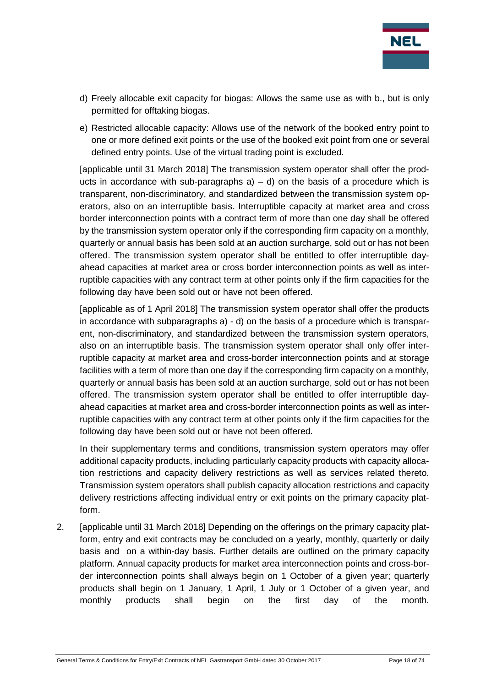

- d) Freely allocable exit capacity for biogas: Allows the same use as with b., but is only permitted for offtaking biogas.
- e) Restricted allocable capacity: Allows use of the network of the booked entry point to one or more defined exit points or the use of the booked exit point from one or several defined entry points. Use of the virtual trading point is excluded.

[applicable until 31 March 2018] The transmission system operator shall offer the products in accordance with sub-paragraphs  $a$ ) – d) on the basis of a procedure which is transparent, non-discriminatory, and standardized between the transmission system operators, also on an interruptible basis. Interruptible capacity at market area and cross border interconnection points with a contract term of more than one day shall be offered by the transmission system operator only if the corresponding firm capacity on a monthly, quarterly or annual basis has been sold at an auction surcharge, sold out or has not been offered. The transmission system operator shall be entitled to offer interruptible dayahead capacities at market area or cross border interconnection points as well as interruptible capacities with any contract term at other points only if the firm capacities for the following day have been sold out or have not been offered.

[applicable as of 1 April 2018] The transmission system operator shall offer the products in accordance with subparagraphs a) - d) on the basis of a procedure which is transparent, non-discriminatory, and standardized between the transmission system operators, also on an interruptible basis. The transmission system operator shall only offer interruptible capacity at market area and cross-border interconnection points and at storage facilities with a term of more than one day if the corresponding firm capacity on a monthly, quarterly or annual basis has been sold at an auction surcharge, sold out or has not been offered. The transmission system operator shall be entitled to offer interruptible dayahead capacities at market area and cross-border interconnection points as well as interruptible capacities with any contract term at other points only if the firm capacities for the following day have been sold out or have not been offered.

In their supplementary terms and conditions, transmission system operators may offer additional capacity products, including particularly capacity products with capacity allocation restrictions and capacity delivery restrictions as well as services related thereto. Transmission system operators shall publish capacity allocation restrictions and capacity delivery restrictions affecting individual entry or exit points on the primary capacity platform.

2. [applicable until 31 March 2018] Depending on the offerings on the primary capacity platform, entry and exit contracts may be concluded on a yearly, monthly, quarterly or daily basis and on a within-day basis. Further details are outlined on the primary capacity platform. Annual capacity products for market area interconnection points and cross-border interconnection points shall always begin on 1 October of a given year; quarterly products shall begin on 1 January, 1 April, 1 July or 1 October of a given year, and monthly products shall begin on the first day of the month.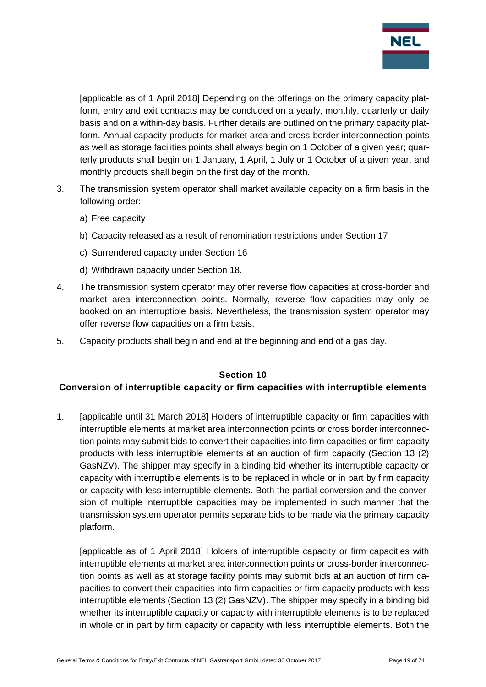

[applicable as of 1 April 2018] Depending on the offerings on the primary capacity platform, entry and exit contracts may be concluded on a yearly, monthly, quarterly or daily basis and on a within-day basis. Further details are outlined on the primary capacity platform. Annual capacity products for market area and cross-border interconnection points as well as storage facilities points shall always begin on 1 October of a given year; quarterly products shall begin on 1 January, 1 April, 1 July or 1 October of a given year, and monthly products shall begin on the first day of the month.

- 3. The transmission system operator shall market available capacity on a firm basis in the following order:
	- a) Free capacity
	- b) Capacity released as a result of renomination restrictions under Section 17
	- c) Surrendered capacity under Section 16
	- d) Withdrawn capacity under Section 18.
- 4. The transmission system operator may offer reverse flow capacities at cross-border and market area interconnection points. Normally, reverse flow capacities may only be booked on an interruptible basis. Nevertheless, the transmission system operator may offer reverse flow capacities on a firm basis.
- 5. Capacity products shall begin and end at the beginning and end of a gas day.

#### **Section 10**

#### <span id="page-18-0"></span>**Conversion of interruptible capacity or firm capacities with interruptible elements**

1. [applicable until 31 March 2018] Holders of interruptible capacity or firm capacities with interruptible elements at market area interconnection points or cross border interconnection points may submit bids to convert their capacities into firm capacities or firm capacity products with less interruptible elements at an auction of firm capacity (Section 13 (2) GasNZV). The shipper may specify in a binding bid whether its interruptible capacity or capacity with interruptible elements is to be replaced in whole or in part by firm capacity or capacity with less interruptible elements. Both the partial conversion and the conversion of multiple interruptible capacities may be implemented in such manner that the transmission system operator permits separate bids to be made via the primary capacity platform.

[applicable as of 1 April 2018] Holders of interruptible capacity or firm capacities with interruptible elements at market area interconnection points or cross-border interconnection points as well as at storage facility points may submit bids at an auction of firm capacities to convert their capacities into firm capacities or firm capacity products with less interruptible elements (Section 13 (2) GasNZV). The shipper may specify in a binding bid whether its interruptible capacity or capacity with interruptible elements is to be replaced in whole or in part by firm capacity or capacity with less interruptible elements. Both the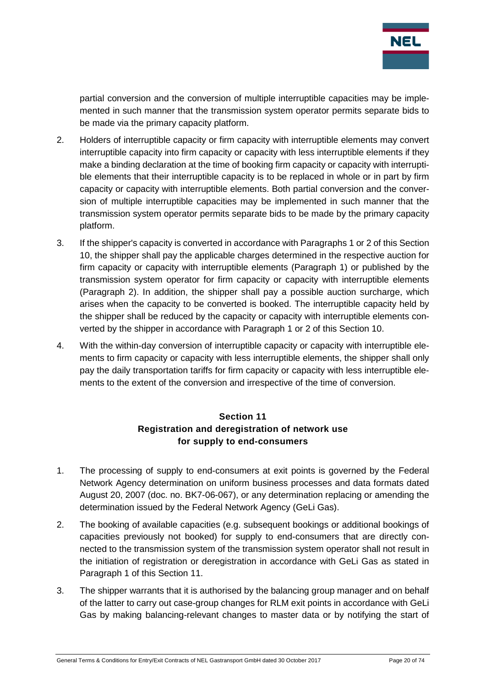

partial conversion and the conversion of multiple interruptible capacities may be implemented in such manner that the transmission system operator permits separate bids to be made via the primary capacity platform.

- 2. Holders of interruptible capacity or firm capacity with interruptible elements may convert interruptible capacity into firm capacity or capacity with less interruptible elements if they make a binding declaration at the time of booking firm capacity or capacity with interruptible elements that their interruptible capacity is to be replaced in whole or in part by firm capacity or capacity with interruptible elements. Both partial conversion and the conversion of multiple interruptible capacities may be implemented in such manner that the transmission system operator permits separate bids to be made by the primary capacity platform.
- 3. If the shipper's capacity is converted in accordance with Paragraphs 1 or 2 of this Section 10, the shipper shall pay the applicable charges determined in the respective auction for firm capacity or capacity with interruptible elements (Paragraph 1) or published by the transmission system operator for firm capacity or capacity with interruptible elements (Paragraph 2). In addition, the shipper shall pay a possible auction surcharge, which arises when the capacity to be converted is booked. The interruptible capacity held by the shipper shall be reduced by the capacity or capacity with interruptible elements converted by the shipper in accordance with Paragraph 1 or 2 of this Section 10.
- 4. With the within-day conversion of interruptible capacity or capacity with interruptible elements to firm capacity or capacity with less interruptible elements, the shipper shall only pay the daily transportation tariffs for firm capacity or capacity with less interruptible elements to the extent of the conversion and irrespective of the time of conversion.

# **Section 11 Registration and deregistration of network use for supply to end-consumers**

- <span id="page-19-0"></span>1. The processing of supply to end-consumers at exit points is governed by the Federal Network Agency determination on uniform business processes and data formats dated August 20, 2007 (doc. no. BK7-06-067), or any determination replacing or amending the determination issued by the Federal Network Agency (GeLi Gas).
- 2. The booking of available capacities (e.g. subsequent bookings or additional bookings of capacities previously not booked) for supply to end-consumers that are directly connected to the transmission system of the transmission system operator shall not result in the initiation of registration or deregistration in accordance with GeLi Gas as stated in Paragraph 1 of this Section 11.
- 3. The shipper warrants that it is authorised by the balancing group manager and on behalf of the latter to carry out case-group changes for RLM exit points in accordance with GeLi Gas by making balancing-relevant changes to master data or by notifying the start of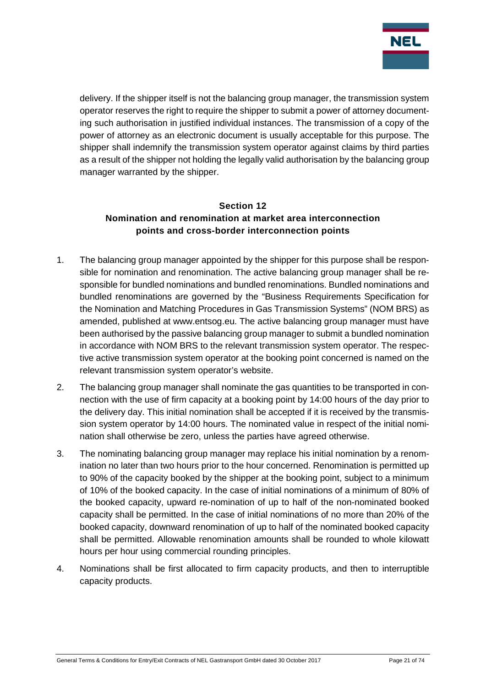

delivery. If the shipper itself is not the balancing group manager, the transmission system operator reserves the right to require the shipper to submit a power of attorney documenting such authorisation in justified individual instances. The transmission of a copy of the power of attorney as an electronic document is usually acceptable for this purpose. The shipper shall indemnify the transmission system operator against claims by third parties as a result of the shipper not holding the legally valid authorisation by the balancing group manager warranted by the shipper.

# <span id="page-20-0"></span>**Section 12 Nomination and renomination at market area interconnection points and cross-border interconnection points**

- 1. The balancing group manager appointed by the shipper for this purpose shall be responsible for nomination and renomination. The active balancing group manager shall be responsible for bundled nominations and bundled renominations. Bundled nominations and bundled renominations are governed by the "Business Requirements Specification for the Nomination and Matching Procedures in Gas Transmission Systems" (NOM BRS) as amended, published at www.entsog.eu. The active balancing group manager must have been authorised by the passive balancing group manager to submit a bundled nomination in accordance with NOM BRS to the relevant transmission system operator. The respective active transmission system operator at the booking point concerned is named on the relevant transmission system operator's website.
- 2. The balancing group manager shall nominate the gas quantities to be transported in connection with the use of firm capacity at a booking point by 14:00 hours of the day prior to the delivery day. This initial nomination shall be accepted if it is received by the transmission system operator by 14:00 hours. The nominated value in respect of the initial nomination shall otherwise be zero, unless the parties have agreed otherwise.
- 3. The nominating balancing group manager may replace his initial nomination by a renomination no later than two hours prior to the hour concerned. Renomination is permitted up to 90% of the capacity booked by the shipper at the booking point, subject to a minimum of 10% of the booked capacity. In the case of initial nominations of a minimum of 80% of the booked capacity, upward re-nomination of up to half of the non-nominated booked capacity shall be permitted. In the case of initial nominations of no more than 20% of the booked capacity, downward renomination of up to half of the nominated booked capacity shall be permitted. Allowable renomination amounts shall be rounded to whole kilowatt hours per hour using commercial rounding principles.
- 4. Nominations shall be first allocated to firm capacity products, and then to interruptible capacity products.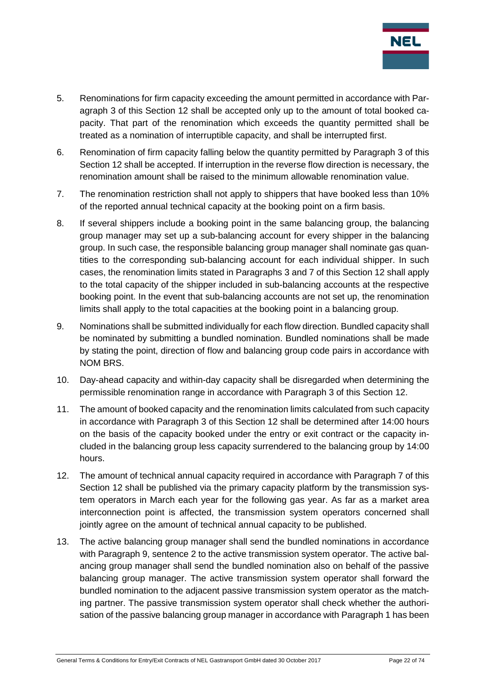

- 5. Renominations for firm capacity exceeding the amount permitted in accordance with Paragraph 3 of this Section 12 shall be accepted only up to the amount of total booked capacity. That part of the renomination which exceeds the quantity permitted shall be treated as a nomination of interruptible capacity, and shall be interrupted first.
- 6. Renomination of firm capacity falling below the quantity permitted by Paragraph 3 of this Section 12 shall be accepted. If interruption in the reverse flow direction is necessary, the renomination amount shall be raised to the minimum allowable renomination value.
- 7. The renomination restriction shall not apply to shippers that have booked less than 10% of the reported annual technical capacity at the booking point on a firm basis.
- 8. If several shippers include a booking point in the same balancing group, the balancing group manager may set up a sub-balancing account for every shipper in the balancing group. In such case, the responsible balancing group manager shall nominate gas quantities to the corresponding sub-balancing account for each individual shipper. In such cases, the renomination limits stated in Paragraphs 3 and 7 of this Section 12 shall apply to the total capacity of the shipper included in sub-balancing accounts at the respective booking point. In the event that sub-balancing accounts are not set up, the renomination limits shall apply to the total capacities at the booking point in a balancing group.
- 9. Nominations shall be submitted individually for each flow direction. Bundled capacity shall be nominated by submitting a bundled nomination. Bundled nominations shall be made by stating the point, direction of flow and balancing group code pairs in accordance with NOM BRS.
- 10. Day-ahead capacity and within-day capacity shall be disregarded when determining the permissible renomination range in accordance with Paragraph 3 of this Section 12.
- 11. The amount of booked capacity and the renomination limits calculated from such capacity in accordance with Paragraph 3 of this Section 12 shall be determined after 14:00 hours on the basis of the capacity booked under the entry or exit contract or the capacity included in the balancing group less capacity surrendered to the balancing group by 14:00 hours.
- 12. The amount of technical annual capacity required in accordance with Paragraph 7 of this Section 12 shall be published via the primary capacity platform by the transmission system operators in March each year for the following gas year. As far as a market area interconnection point is affected, the transmission system operators concerned shall jointly agree on the amount of technical annual capacity to be published.
- 13. The active balancing group manager shall send the bundled nominations in accordance with Paragraph 9, sentence 2 to the active transmission system operator. The active balancing group manager shall send the bundled nomination also on behalf of the passive balancing group manager. The active transmission system operator shall forward the bundled nomination to the adjacent passive transmission system operator as the matching partner. The passive transmission system operator shall check whether the authorisation of the passive balancing group manager in accordance with Paragraph 1 has been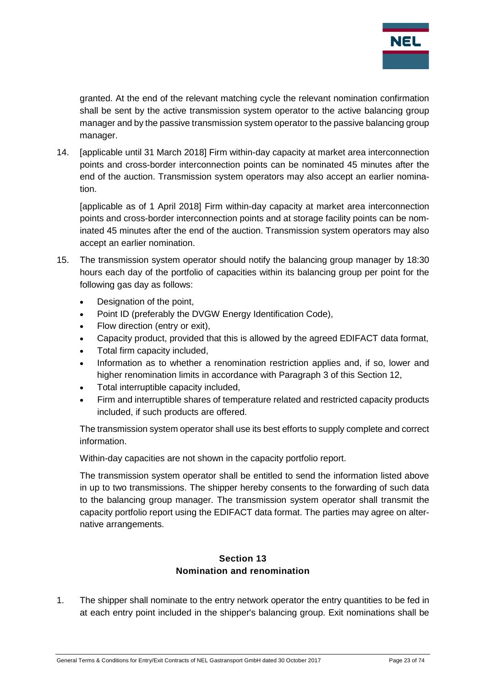

granted. At the end of the relevant matching cycle the relevant nomination confirmation shall be sent by the active transmission system operator to the active balancing group manager and by the passive transmission system operator to the passive balancing group manager.

14. [applicable until 31 March 2018] Firm within-day capacity at market area interconnection points and cross-border interconnection points can be nominated 45 minutes after the end of the auction. Transmission system operators may also accept an earlier nomination.

[applicable as of 1 April 2018] Firm within-day capacity at market area interconnection points and cross-border interconnection points and at storage facility points can be nominated 45 minutes after the end of the auction. Transmission system operators may also accept an earlier nomination.

- 15. The transmission system operator should notify the balancing group manager by 18:30 hours each day of the portfolio of capacities within its balancing group per point for the following gas day as follows:
	- Designation of the point.
	- Point ID (preferably the DVGW Energy Identification Code),
	- Flow direction (entry or exit),
	- Capacity product, provided that this is allowed by the agreed EDIFACT data format,
	- Total firm capacity included,
	- Information as to whether a renomination restriction applies and, if so, lower and higher renomination limits in accordance with Paragraph 3 of this Section 12,
	- Total interruptible capacity included,
	- Firm and interruptible shares of temperature related and restricted capacity products included, if such products are offered.

The transmission system operator shall use its best efforts to supply complete and correct information.

Within-day capacities are not shown in the capacity portfolio report.

The transmission system operator shall be entitled to send the information listed above in up to two transmissions. The shipper hereby consents to the forwarding of such data to the balancing group manager. The transmission system operator shall transmit the capacity portfolio report using the EDIFACT data format. The parties may agree on alternative arrangements.

#### **Section 13 Nomination and renomination**

<span id="page-22-0"></span>1. The shipper shall nominate to the entry network operator the entry quantities to be fed in at each entry point included in the shipper's balancing group. Exit nominations shall be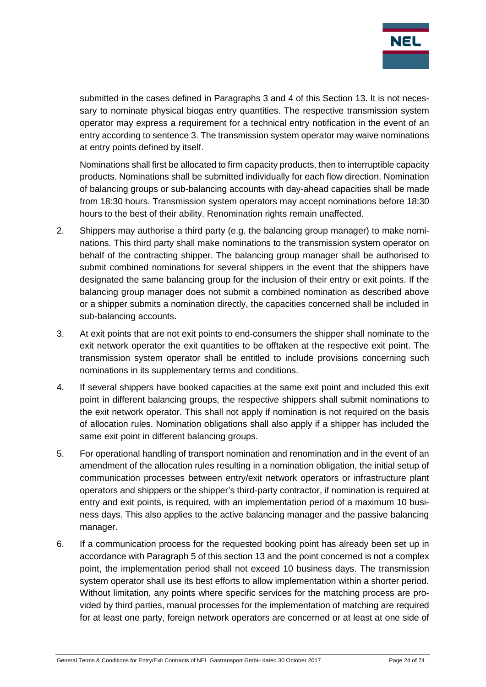

submitted in the cases defined in Paragraphs 3 and 4 of this Section 13. It is not necessary to nominate physical biogas entry quantities. The respective transmission system operator may express a requirement for a technical entry notification in the event of an entry according to sentence 3. The transmission system operator may waive nominations at entry points defined by itself.

Nominations shall first be allocated to firm capacity products, then to interruptible capacity products. Nominations shall be submitted individually for each flow direction. Nomination of balancing groups or sub-balancing accounts with day-ahead capacities shall be made from 18:30 hours. Transmission system operators may accept nominations before 18:30 hours to the best of their ability. Renomination rights remain unaffected.

- 2. Shippers may authorise a third party (e.g. the balancing group manager) to make nominations. This third party shall make nominations to the transmission system operator on behalf of the contracting shipper. The balancing group manager shall be authorised to submit combined nominations for several shippers in the event that the shippers have designated the same balancing group for the inclusion of their entry or exit points. If the balancing group manager does not submit a combined nomination as described above or a shipper submits a nomination directly, the capacities concerned shall be included in sub-balancing accounts.
- 3. At exit points that are not exit points to end-consumers the shipper shall nominate to the exit network operator the exit quantities to be offtaken at the respective exit point. The transmission system operator shall be entitled to include provisions concerning such nominations in its supplementary terms and conditions.
- 4. If several shippers have booked capacities at the same exit point and included this exit point in different balancing groups, the respective shippers shall submit nominations to the exit network operator. This shall not apply if nomination is not required on the basis of allocation rules. Nomination obligations shall also apply if a shipper has included the same exit point in different balancing groups.
- 5. For operational handling of transport nomination and renomination and in the event of an amendment of the allocation rules resulting in a nomination obligation, the initial setup of communication processes between entry/exit network operators or infrastructure plant operators and shippers or the shipper's third-party contractor, if nomination is required at entry and exit points, is required, with an implementation period of a maximum 10 business days. This also applies to the active balancing manager and the passive balancing manager.
- 6. If a communication process for the requested booking point has already been set up in accordance with Paragraph 5 of this section 13 and the point concerned is not a complex point, the implementation period shall not exceed 10 business days. The transmission system operator shall use its best efforts to allow implementation within a shorter period. Without limitation, any points where specific services for the matching process are provided by third parties, manual processes for the implementation of matching are required for at least one party, foreign network operators are concerned or at least at one side of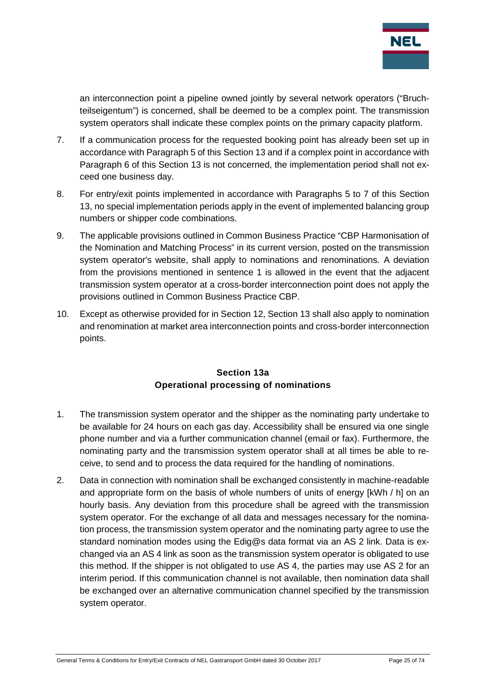

an interconnection point a pipeline owned jointly by several network operators ("Bruchteilseigentum") is concerned, shall be deemed to be a complex point. The transmission system operators shall indicate these complex points on the primary capacity platform.

- 7. If a communication process for the requested booking point has already been set up in accordance with Paragraph 5 of this Section 13 and if a complex point in accordance with Paragraph 6 of this Section 13 is not concerned, the implementation period shall not exceed one business day.
- 8. For entry/exit points implemented in accordance with Paragraphs 5 to 7 of this Section 13, no special implementation periods apply in the event of implemented balancing group numbers or shipper code combinations.
- 9. The applicable provisions outlined in Common Business Practice "CBP Harmonisation of the Nomination and Matching Process" in its current version, posted on the transmission system operator's website, shall apply to nominations and renominations. A deviation from the provisions mentioned in sentence 1 is allowed in the event that the adjacent transmission system operator at a cross-border interconnection point does not apply the provisions outlined in Common Business Practice CBP.
- 10. Except as otherwise provided for in Section 12, Section 13 shall also apply to nomination and renomination at market area interconnection points and cross-border interconnection points.

#### **Section 13a Operational processing of nominations**

- <span id="page-24-0"></span>1. The transmission system operator and the shipper as the nominating party undertake to be available for 24 hours on each gas day. Accessibility shall be ensured via one single phone number and via a further communication channel (email or fax). Furthermore, the nominating party and the transmission system operator shall at all times be able to receive, to send and to process the data required for the handling of nominations.
- 2. Data in connection with nomination shall be exchanged consistently in machine-readable and appropriate form on the basis of whole numbers of units of energy [kWh / h] on an hourly basis. Any deviation from this procedure shall be agreed with the transmission system operator. For the exchange of all data and messages necessary for the nomination process, the transmission system operator and the nominating party agree to use the standard nomination modes using the Edig@s data format via an AS 2 link. Data is exchanged via an AS 4 link as soon as the transmission system operator is obligated to use this method. If the shipper is not obligated to use AS 4, the parties may use AS 2 for an interim period. If this communication channel is not available, then nomination data shall be exchanged over an alternative communication channel specified by the transmission system operator.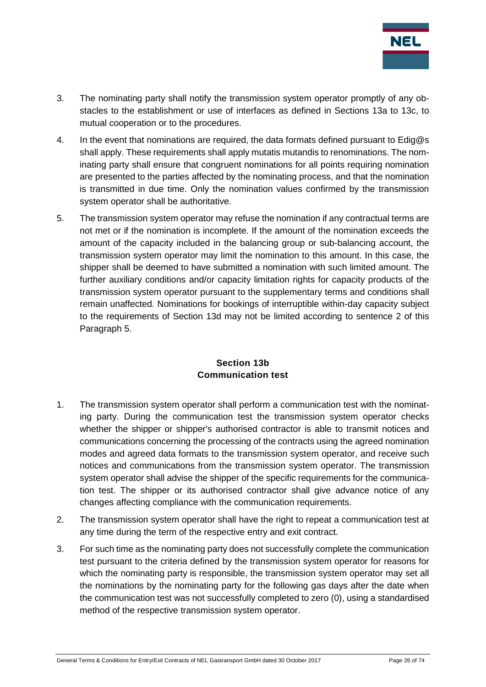

- 3. The nominating party shall notify the transmission system operator promptly of any obstacles to the establishment or use of interfaces as defined in Sections 13a to 13c, to mutual cooperation or to the procedures.
- 4. In the event that nominations are required, the data formats defined pursuant to Edig@s shall apply. These requirements shall apply mutatis mutandis to renominations. The nominating party shall ensure that congruent nominations for all points requiring nomination are presented to the parties affected by the nominating process, and that the nomination is transmitted in due time. Only the nomination values confirmed by the transmission system operator shall be authoritative.
- 5. The transmission system operator may refuse the nomination if any contractual terms are not met or if the nomination is incomplete. If the amount of the nomination exceeds the amount of the capacity included in the balancing group or sub-balancing account, the transmission system operator may limit the nomination to this amount. In this case, the shipper shall be deemed to have submitted a nomination with such limited amount. The further auxiliary conditions and/or capacity limitation rights for capacity products of the transmission system operator pursuant to the supplementary terms and conditions shall remain unaffected. Nominations for bookings of interruptible within-day capacity subject to the requirements of Section 13d may not be limited according to sentence 2 of this Paragraph 5.

#### **Section 13b Communication test**

- <span id="page-25-0"></span>1. The transmission system operator shall perform a communication test with the nominating party. During the communication test the transmission system operator checks whether the shipper or shipper's authorised contractor is able to transmit notices and communications concerning the processing of the contracts using the agreed nomination modes and agreed data formats to the transmission system operator, and receive such notices and communications from the transmission system operator. The transmission system operator shall advise the shipper of the specific requirements for the communication test. The shipper or its authorised contractor shall give advance notice of any changes affecting compliance with the communication requirements.
- 2. The transmission system operator shall have the right to repeat a communication test at any time during the term of the respective entry and exit contract.
- 3. For such time as the nominating party does not successfully complete the communication test pursuant to the criteria defined by the transmission system operator for reasons for which the nominating party is responsible, the transmission system operator may set all the nominations by the nominating party for the following gas days after the date when the communication test was not successfully completed to zero (0), using a standardised method of the respective transmission system operator.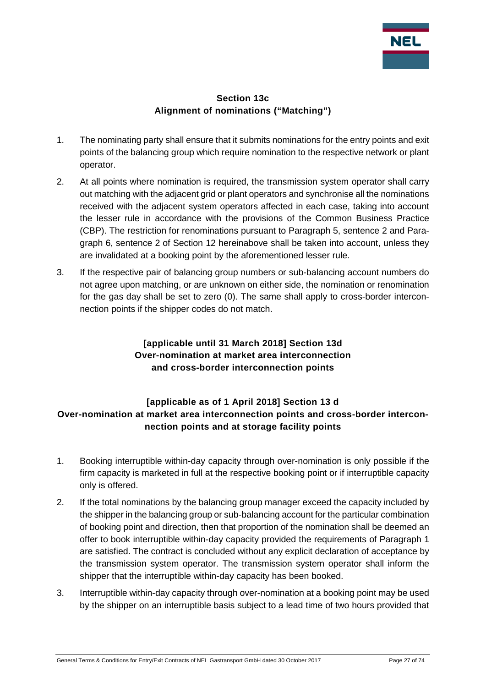

#### **Section 13c Alignment of nominations ("Matching")**

- <span id="page-26-0"></span>1. The nominating party shall ensure that it submits nominations for the entry points and exit points of the balancing group which require nomination to the respective network or plant operator.
- 2. At all points where nomination is required, the transmission system operator shall carry out matching with the adjacent grid or plant operators and synchronise all the nominations received with the adjacent system operators affected in each case, taking into account the lesser rule in accordance with the provisions of the Common Business Practice (CBP). The restriction for renominations pursuant to Paragraph 5, sentence 2 and Paragraph 6, sentence 2 of Section 12 hereinabove shall be taken into account, unless they are invalidated at a booking point by the aforementioned lesser rule.
- 3. If the respective pair of balancing group numbers or sub-balancing account numbers do not agree upon matching, or are unknown on either side, the nomination or renomination for the gas day shall be set to zero (0). The same shall apply to cross-border interconnection points if the shipper codes do not match.

# **[applicable until 31 March 2018] Section 13d Over-nomination at market area interconnection and cross-border interconnection points**

# <span id="page-26-2"></span><span id="page-26-1"></span>**[applicable as of 1 April 2018] Section 13 d Over-nomination at market area interconnection points and cross-border interconnection points and at storage facility points**

- 1. Booking interruptible within-day capacity through over-nomination is only possible if the firm capacity is marketed in full at the respective booking point or if interruptible capacity only is offered.
- 2. If the total nominations by the balancing group manager exceed the capacity included by the shipper in the balancing group or sub-balancing account for the particular combination of booking point and direction, then that proportion of the nomination shall be deemed an offer to book interruptible within-day capacity provided the requirements of Paragraph 1 are satisfied. The contract is concluded without any explicit declaration of acceptance by the transmission system operator. The transmission system operator shall inform the shipper that the interruptible within-day capacity has been booked.
- 3. Interruptible within-day capacity through over-nomination at a booking point may be used by the shipper on an interruptible basis subject to a lead time of two hours provided that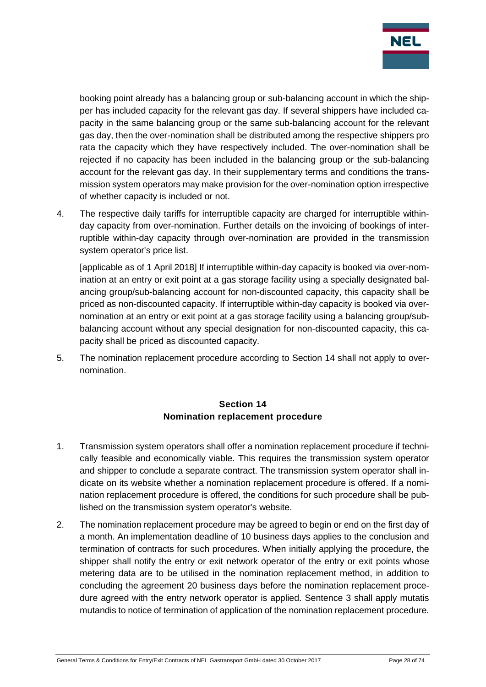

booking point already has a balancing group or sub-balancing account in which the shipper has included capacity for the relevant gas day. If several shippers have included capacity in the same balancing group or the same sub-balancing account for the relevant gas day, then the over-nomination shall be distributed among the respective shippers pro rata the capacity which they have respectively included. The over-nomination shall be rejected if no capacity has been included in the balancing group or the sub-balancing account for the relevant gas day. In their supplementary terms and conditions the transmission system operators may make provision for the over-nomination option irrespective of whether capacity is included or not.

4. The respective daily tariffs for interruptible capacity are charged for interruptible withinday capacity from over-nomination. Further details on the invoicing of bookings of interruptible within-day capacity through over-nomination are provided in the transmission system operator's price list.

[applicable as of 1 April 2018] If interruptible within-day capacity is booked via over-nomination at an entry or exit point at a gas storage facility using a specially designated balancing group/sub-balancing account for non-discounted capacity, this capacity shall be priced as non-discounted capacity. If interruptible within-day capacity is booked via overnomination at an entry or exit point at a gas storage facility using a balancing group/subbalancing account without any special designation for non-discounted capacity, this capacity shall be priced as discounted capacity.

5. The nomination replacement procedure according to Section 14 shall not apply to overnomination.

#### **Section 14 Nomination replacement procedure**

- <span id="page-27-0"></span>1. Transmission system operators shall offer a nomination replacement procedure if technically feasible and economically viable. This requires the transmission system operator and shipper to conclude a separate contract. The transmission system operator shall indicate on its website whether a nomination replacement procedure is offered. If a nomination replacement procedure is offered, the conditions for such procedure shall be published on the transmission system operator's website.
- 2. The nomination replacement procedure may be agreed to begin or end on the first day of a month. An implementation deadline of 10 business days applies to the conclusion and termination of contracts for such procedures. When initially applying the procedure, the shipper shall notify the entry or exit network operator of the entry or exit points whose metering data are to be utilised in the nomination replacement method, in addition to concluding the agreement 20 business days before the nomination replacement procedure agreed with the entry network operator is applied. Sentence 3 shall apply mutatis mutandis to notice of termination of application of the nomination replacement procedure.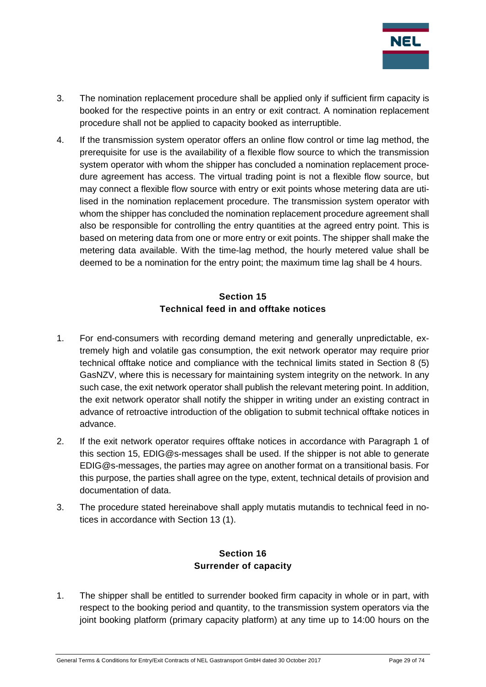

- 3. The nomination replacement procedure shall be applied only if sufficient firm capacity is booked for the respective points in an entry or exit contract. A nomination replacement procedure shall not be applied to capacity booked as interruptible.
- 4. If the transmission system operator offers an online flow control or time lag method, the prerequisite for use is the availability of a flexible flow source to which the transmission system operator with whom the shipper has concluded a nomination replacement procedure agreement has access. The virtual trading point is not a flexible flow source, but may connect a flexible flow source with entry or exit points whose metering data are utilised in the nomination replacement procedure. The transmission system operator with whom the shipper has concluded the nomination replacement procedure agreement shall also be responsible for controlling the entry quantities at the agreed entry point. This is based on metering data from one or more entry or exit points. The shipper shall make the metering data available. With the time-lag method, the hourly metered value shall be deemed to be a nomination for the entry point; the maximum time lag shall be 4 hours.

# **Section 15 Technical feed in and offtake notices**

- <span id="page-28-0"></span>1. For end-consumers with recording demand metering and generally unpredictable, extremely high and volatile gas consumption, the exit network operator may require prior technical offtake notice and compliance with the technical limits stated in Section 8 (5) GasNZV, where this is necessary for maintaining system integrity on the network. In any such case, the exit network operator shall publish the relevant metering point. In addition, the exit network operator shall notify the shipper in writing under an existing contract in advance of retroactive introduction of the obligation to submit technical offtake notices in advance.
- 2. If the exit network operator requires offtake notices in accordance with Paragraph 1 of this section 15, EDIG@s-messages shall be used. If the shipper is not able to generate EDIG@s-messages, the parties may agree on another format on a transitional basis. For this purpose, the parties shall agree on the type, extent, technical details of provision and documentation of data.
- <span id="page-28-1"></span>3. The procedure stated hereinabove shall apply mutatis mutandis to technical feed in notices in accordance with Section 13 (1).

# **Section 16 Surrender of capacity**

1. The shipper shall be entitled to surrender booked firm capacity in whole or in part, with respect to the booking period and quantity, to the transmission system operators via the joint booking platform (primary capacity platform) at any time up to 14:00 hours on the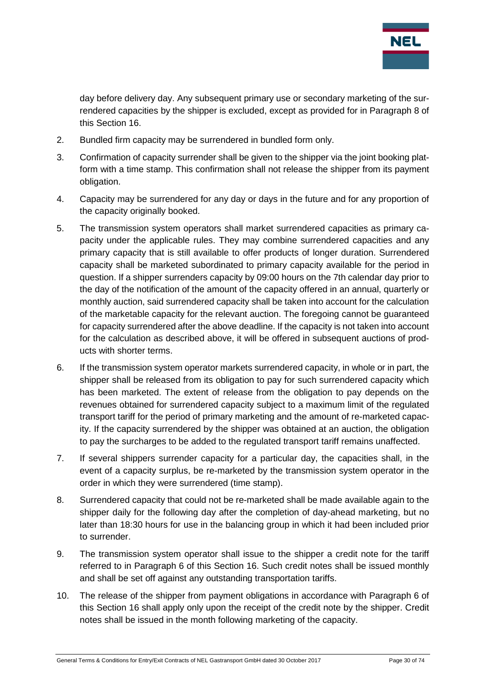

day before delivery day. Any subsequent primary use or secondary marketing of the surrendered capacities by the shipper is excluded, except as provided for in Paragraph 8 of this Section 16.

- 2. Bundled firm capacity may be surrendered in bundled form only.
- 3. Confirmation of capacity surrender shall be given to the shipper via the joint booking platform with a time stamp. This confirmation shall not release the shipper from its payment obligation.
- 4. Capacity may be surrendered for any day or days in the future and for any proportion of the capacity originally booked.
- 5. The transmission system operators shall market surrendered capacities as primary capacity under the applicable rules. They may combine surrendered capacities and any primary capacity that is still available to offer products of longer duration. Surrendered capacity shall be marketed subordinated to primary capacity available for the period in question. If a shipper surrenders capacity by 09:00 hours on the 7th calendar day prior to the day of the notification of the amount of the capacity offered in an annual, quarterly or monthly auction, said surrendered capacity shall be taken into account for the calculation of the marketable capacity for the relevant auction. The foregoing cannot be guaranteed for capacity surrendered after the above deadline. If the capacity is not taken into account for the calculation as described above, it will be offered in subsequent auctions of products with shorter terms.
- 6. If the transmission system operator markets surrendered capacity, in whole or in part, the shipper shall be released from its obligation to pay for such surrendered capacity which has been marketed. The extent of release from the obligation to pay depends on the revenues obtained for surrendered capacity subject to a maximum limit of the regulated transport tariff for the period of primary marketing and the amount of re-marketed capacity. If the capacity surrendered by the shipper was obtained at an auction, the obligation to pay the surcharges to be added to the regulated transport tariff remains unaffected.
- 7. If several shippers surrender capacity for a particular day, the capacities shall, in the event of a capacity surplus, be re-marketed by the transmission system operator in the order in which they were surrendered (time stamp).
- 8. Surrendered capacity that could not be re-marketed shall be made available again to the shipper daily for the following day after the completion of day-ahead marketing, but no later than 18:30 hours for use in the balancing group in which it had been included prior to surrender.
- 9. The transmission system operator shall issue to the shipper a credit note for the tariff referred to in Paragraph 6 of this Section 16. Such credit notes shall be issued monthly and shall be set off against any outstanding transportation tariffs.
- 10. The release of the shipper from payment obligations in accordance with Paragraph 6 of this Section 16 shall apply only upon the receipt of the credit note by the shipper. Credit notes shall be issued in the month following marketing of the capacity.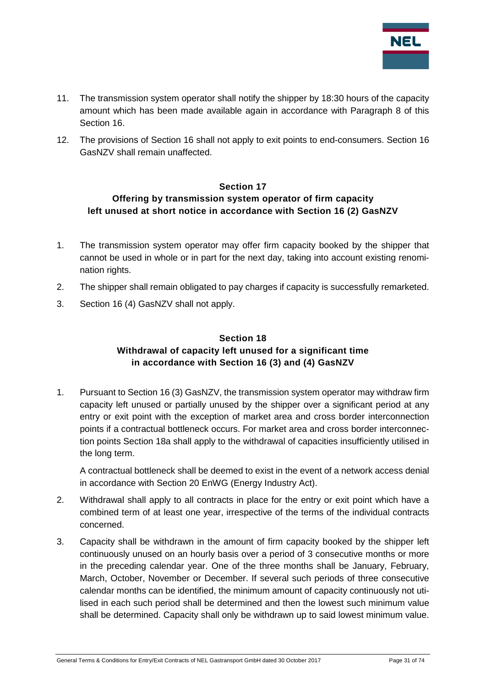

- 11. The transmission system operator shall notify the shipper by 18:30 hours of the capacity amount which has been made available again in accordance with Paragraph 8 of this Section 16.
- 12. The provisions of Section 16 shall not apply to exit points to end-consumers. Section 16 GasNZV shall remain unaffected.

#### **Section 17**

#### <span id="page-30-0"></span>**Offering by transmission system operator of firm capacity left unused at short notice in accordance with Section 16 (2) GasNZV**

- 1. The transmission system operator may offer firm capacity booked by the shipper that cannot be used in whole or in part for the next day, taking into account existing renomination rights.
- 2. The shipper shall remain obligated to pay charges if capacity is successfully remarketed.
- <span id="page-30-1"></span>3. Section 16 (4) GasNZV shall not apply.

#### **Section 18 Withdrawal of capacity left unused for a significant time in accordance with Section 16 (3) and (4) GasNZV**

1. Pursuant to Section 16 (3) GasNZV, the transmission system operator may withdraw firm capacity left unused or partially unused by the shipper over a significant period at any entry or exit point with the exception of market area and cross border interconnection points if a contractual bottleneck occurs. For market area and cross border interconnection points Section 18a shall apply to the withdrawal of capacities insufficiently utilised in the long term.

A contractual bottleneck shall be deemed to exist in the event of a network access denial in accordance with Section 20 EnWG (Energy Industry Act).

- 2. Withdrawal shall apply to all contracts in place for the entry or exit point which have a combined term of at least one year, irrespective of the terms of the individual contracts concerned.
- 3. Capacity shall be withdrawn in the amount of firm capacity booked by the shipper left continuously unused on an hourly basis over a period of 3 consecutive months or more in the preceding calendar year. One of the three months shall be January, February, March, October, November or December. If several such periods of three consecutive calendar months can be identified, the minimum amount of capacity continuously not utilised in each such period shall be determined and then the lowest such minimum value shall be determined. Capacity shall only be withdrawn up to said lowest minimum value.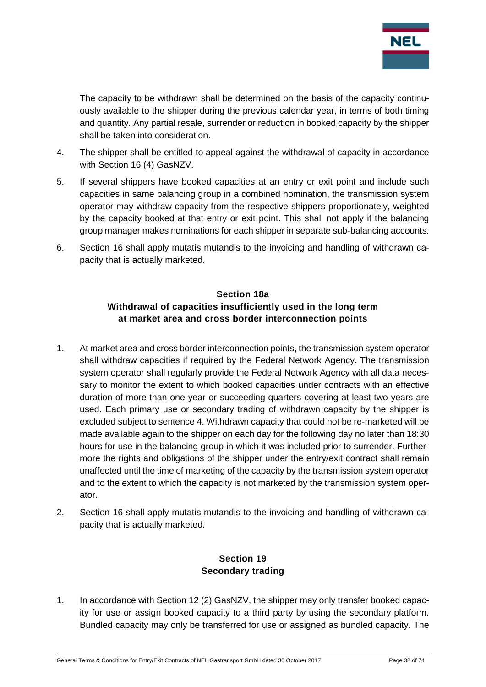

The capacity to be withdrawn shall be determined on the basis of the capacity continuously available to the shipper during the previous calendar year, in terms of both timing and quantity. Any partial resale, surrender or reduction in booked capacity by the shipper shall be taken into consideration.

- 4. The shipper shall be entitled to appeal against the withdrawal of capacity in accordance with Section 16 (4) GasNZV.
- 5. If several shippers have booked capacities at an entry or exit point and include such capacities in same balancing group in a combined nomination, the transmission system operator may withdraw capacity from the respective shippers proportionately, weighted by the capacity booked at that entry or exit point. This shall not apply if the balancing group manager makes nominations for each shipper in separate sub-balancing accounts.
- <span id="page-31-0"></span>6. Section 16 shall apply mutatis mutandis to the invoicing and handling of withdrawn capacity that is actually marketed.

#### **Section 18a Withdrawal of capacities insufficiently used in the long term at market area and cross border interconnection points**

- 1. At market area and cross border interconnection points, the transmission system operator shall withdraw capacities if required by the Federal Network Agency. The transmission system operator shall regularly provide the Federal Network Agency with all data necessary to monitor the extent to which booked capacities under contracts with an effective duration of more than one year or succeeding quarters covering at least two years are used. Each primary use or secondary trading of withdrawn capacity by the shipper is excluded subject to sentence 4. Withdrawn capacity that could not be re-marketed will be made available again to the shipper on each day for the following day no later than 18:30 hours for use in the balancing group in which it was included prior to surrender. Furthermore the rights and obligations of the shipper under the entry/exit contract shall remain unaffected until the time of marketing of the capacity by the transmission system operator and to the extent to which the capacity is not marketed by the transmission system operator.
- <span id="page-31-1"></span>2. Section 16 shall apply mutatis mutandis to the invoicing and handling of withdrawn capacity that is actually marketed.

# **Section 19 Secondary trading**

1. In accordance with Section 12 (2) GasNZV, the shipper may only transfer booked capacity for use or assign booked capacity to a third party by using the secondary platform. Bundled capacity may only be transferred for use or assigned as bundled capacity. The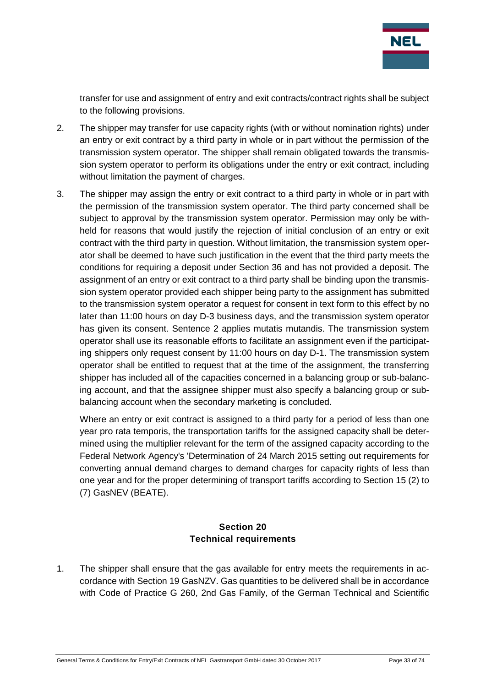

transfer for use and assignment of entry and exit contracts/contract rights shall be subject to the following provisions.

- 2. The shipper may transfer for use capacity rights (with or without nomination rights) under an entry or exit contract by a third party in whole or in part without the permission of the transmission system operator. The shipper shall remain obligated towards the transmission system operator to perform its obligations under the entry or exit contract, including without limitation the payment of charges.
- 3. The shipper may assign the entry or exit contract to a third party in whole or in part with the permission of the transmission system operator. The third party concerned shall be subject to approval by the transmission system operator. Permission may only be withheld for reasons that would justify the rejection of initial conclusion of an entry or exit contract with the third party in question. Without limitation, the transmission system operator shall be deemed to have such justification in the event that the third party meets the conditions for requiring a deposit under Section 36 and has not provided a deposit. The assignment of an entry or exit contract to a third party shall be binding upon the transmission system operator provided each shipper being party to the assignment has submitted to the transmission system operator a request for consent in text form to this effect by no later than 11:00 hours on day D-3 business days, and the transmission system operator has given its consent. Sentence 2 applies mutatis mutandis. The transmission system operator shall use its reasonable efforts to facilitate an assignment even if the participating shippers only request consent by 11:00 hours on day D-1. The transmission system operator shall be entitled to request that at the time of the assignment, the transferring shipper has included all of the capacities concerned in a balancing group or sub-balancing account, and that the assignee shipper must also specify a balancing group or subbalancing account when the secondary marketing is concluded.

Where an entry or exit contract is assigned to a third party for a period of less than one year pro rata temporis, the transportation tariffs for the assigned capacity shall be determined using the multiplier relevant for the term of the assigned capacity according to the Federal Network Agency's 'Determination of 24 March 2015 setting out requirements for converting annual demand charges to demand charges for capacity rights of less than one year and for the proper determining of transport tariffs according to Section 15 (2) to (7) GasNEV (BEATE).

#### **Section 20 Technical requirements**

<span id="page-32-0"></span>1. The shipper shall ensure that the gas available for entry meets the requirements in accordance with Section 19 GasNZV. Gas quantities to be delivered shall be in accordance with Code of Practice G 260, 2nd Gas Family, of the German Technical and Scientific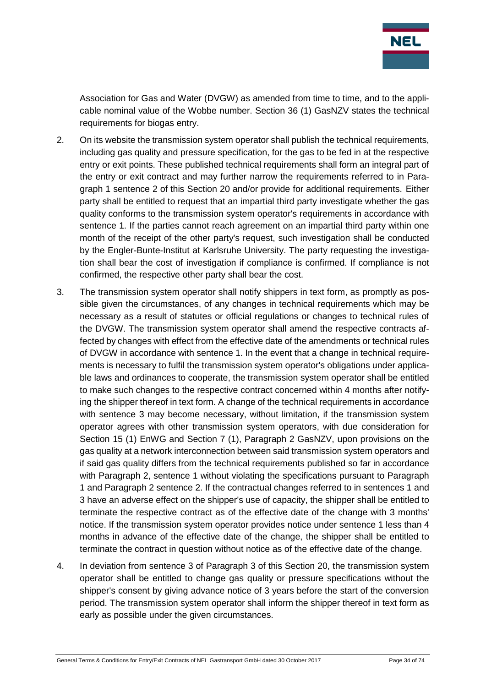

Association for Gas and Water (DVGW) as amended from time to time, and to the applicable nominal value of the Wobbe number. Section 36 (1) GasNZV states the technical requirements for biogas entry.

- 2. On its website the transmission system operator shall publish the technical requirements, including gas quality and pressure specification, for the gas to be fed in at the respective entry or exit points. These published technical requirements shall form an integral part of the entry or exit contract and may further narrow the requirements referred to in Paragraph 1 sentence 2 of this Section 20 and/or provide for additional requirements. Either party shall be entitled to request that an impartial third party investigate whether the gas quality conforms to the transmission system operator's requirements in accordance with sentence 1. If the parties cannot reach agreement on an impartial third party within one month of the receipt of the other party's request, such investigation shall be conducted by the Engler-Bunte-Institut at Karlsruhe University. The party requesting the investigation shall bear the cost of investigation if compliance is confirmed. If compliance is not confirmed, the respective other party shall bear the cost.
- 3. The transmission system operator shall notify shippers in text form, as promptly as possible given the circumstances, of any changes in technical requirements which may be necessary as a result of statutes or official regulations or changes to technical rules of the DVGW. The transmission system operator shall amend the respective contracts affected by changes with effect from the effective date of the amendments or technical rules of DVGW in accordance with sentence 1. In the event that a change in technical requirements is necessary to fulfil the transmission system operator's obligations under applicable laws and ordinances to cooperate, the transmission system operator shall be entitled to make such changes to the respective contract concerned within 4 months after notifying the shipper thereof in text form. A change of the technical requirements in accordance with sentence 3 may become necessary, without limitation, if the transmission system operator agrees with other transmission system operators, with due consideration for Section 15 (1) EnWG and Section 7 (1), Paragraph 2 GasNZV, upon provisions on the gas quality at a network interconnection between said transmission system operators and if said gas quality differs from the technical requirements published so far in accordance with Paragraph 2, sentence 1 without violating the specifications pursuant to Paragraph 1 and Paragraph 2 sentence 2. If the contractual changes referred to in sentences 1 and 3 have an adverse effect on the shipper's use of capacity, the shipper shall be entitled to terminate the respective contract as of the effective date of the change with 3 months' notice. If the transmission system operator provides notice under sentence 1 less than 4 months in advance of the effective date of the change, the shipper shall be entitled to terminate the contract in question without notice as of the effective date of the change.
- 4. In deviation from sentence 3 of Paragraph 3 of this Section 20, the transmission system operator shall be entitled to change gas quality or pressure specifications without the shipper's consent by giving advance notice of 3 years before the start of the conversion period. The transmission system operator shall inform the shipper thereof in text form as early as possible under the given circumstances.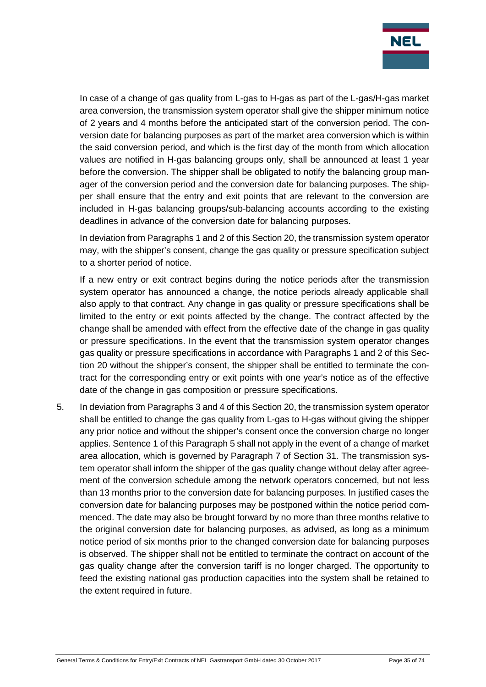

In case of a change of gas quality from L-gas to H-gas as part of the L-gas/H-gas market area conversion, the transmission system operator shall give the shipper minimum notice of 2 years and 4 months before the anticipated start of the conversion period. The conversion date for balancing purposes as part of the market area conversion which is within the said conversion period, and which is the first day of the month from which allocation values are notified in H-gas balancing groups only, shall be announced at least 1 year before the conversion. The shipper shall be obligated to notify the balancing group manager of the conversion period and the conversion date for balancing purposes. The shipper shall ensure that the entry and exit points that are relevant to the conversion are included in H-gas balancing groups/sub-balancing accounts according to the existing deadlines in advance of the conversion date for balancing purposes.

In deviation from Paragraphs 1 and 2 of this Section 20, the transmission system operator may, with the shipper's consent, change the gas quality or pressure specification subject to a shorter period of notice.

If a new entry or exit contract begins during the notice periods after the transmission system operator has announced a change, the notice periods already applicable shall also apply to that contract. Any change in gas quality or pressure specifications shall be limited to the entry or exit points affected by the change. The contract affected by the change shall be amended with effect from the effective date of the change in gas quality or pressure specifications. In the event that the transmission system operator changes gas quality or pressure specifications in accordance with Paragraphs 1 and 2 of this Section 20 without the shipper's consent, the shipper shall be entitled to terminate the contract for the corresponding entry or exit points with one year's notice as of the effective date of the change in gas composition or pressure specifications.

5. In deviation from Paragraphs 3 and 4 of this Section 20, the transmission system operator shall be entitled to change the gas quality from L-gas to H-gas without giving the shipper any prior notice and without the shipper's consent once the conversion charge no longer applies. Sentence 1 of this Paragraph 5 shall not apply in the event of a change of market area allocation, which is governed by Paragraph 7 of Section 31. The transmission system operator shall inform the shipper of the gas quality change without delay after agreement of the conversion schedule among the network operators concerned, but not less than 13 months prior to the conversion date for balancing purposes. In justified cases the conversion date for balancing purposes may be postponed within the notice period commenced. The date may also be brought forward by no more than three months relative to the original conversion date for balancing purposes, as advised, as long as a minimum notice period of six months prior to the changed conversion date for balancing purposes is observed. The shipper shall not be entitled to terminate the contract on account of the gas quality change after the conversion tariff is no longer charged. The opportunity to feed the existing national gas production capacities into the system shall be retained to the extent required in future.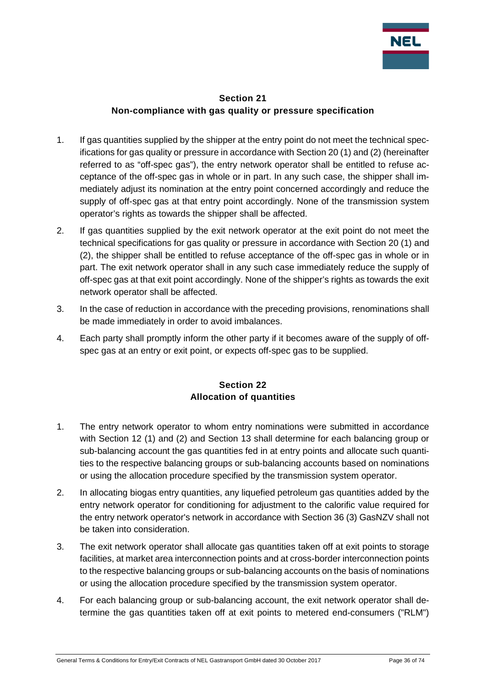

#### **Section 21 Non-compliance with gas quality or pressure specification**

- <span id="page-35-0"></span>1. If gas quantities supplied by the shipper at the entry point do not meet the technical specifications for gas quality or pressure in accordance with Section 20 (1) and (2) (hereinafter referred to as "off-spec gas"), the entry network operator shall be entitled to refuse acceptance of the off-spec gas in whole or in part. In any such case, the shipper shall immediately adjust its nomination at the entry point concerned accordingly and reduce the supply of off-spec gas at that entry point accordingly. None of the transmission system operator's rights as towards the shipper shall be affected.
- 2. If gas quantities supplied by the exit network operator at the exit point do not meet the technical specifications for gas quality or pressure in accordance with Section 20 (1) and (2), the shipper shall be entitled to refuse acceptance of the off-spec gas in whole or in part. The exit network operator shall in any such case immediately reduce the supply of off-spec gas at that exit point accordingly. None of the shipper's rights as towards the exit network operator shall be affected.
- 3. In the case of reduction in accordance with the preceding provisions, renominations shall be made immediately in order to avoid imbalances.
- 4. Each party shall promptly inform the other party if it becomes aware of the supply of offspec gas at an entry or exit point, or expects off-spec gas to be supplied.

# **Section 22 Allocation of quantities**

- <span id="page-35-1"></span>1. The entry network operator to whom entry nominations were submitted in accordance with Section 12 (1) and (2) and Section 13 shall determine for each balancing group or sub-balancing account the gas quantities fed in at entry points and allocate such quantities to the respective balancing groups or sub-balancing accounts based on nominations or using the allocation procedure specified by the transmission system operator.
- 2. In allocating biogas entry quantities, any liquefied petroleum gas quantities added by the entry network operator for conditioning for adjustment to the calorific value required for the entry network operator's network in accordance with Section 36 (3) GasNZV shall not be taken into consideration.
- 3. The exit network operator shall allocate gas quantities taken off at exit points to storage facilities, at market area interconnection points and at cross-border interconnection points to the respective balancing groups or sub-balancing accounts on the basis of nominations or using the allocation procedure specified by the transmission system operator.
- 4. For each balancing group or sub-balancing account, the exit network operator shall determine the gas quantities taken off at exit points to metered end-consumers ("RLM")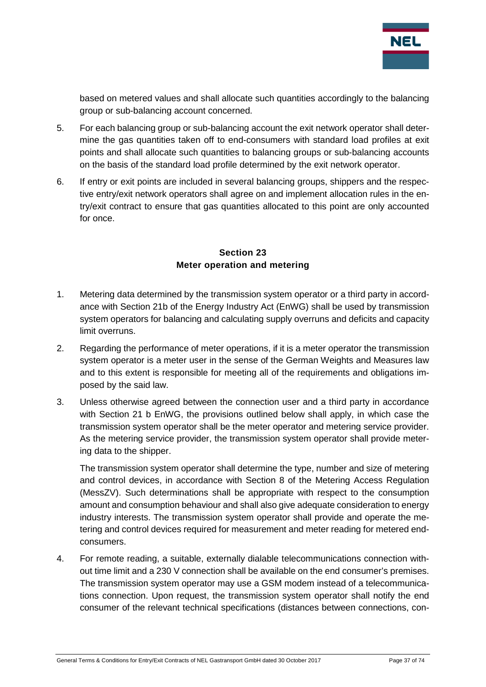

based on metered values and shall allocate such quantities accordingly to the balancing group or sub-balancing account concerned.

- 5. For each balancing group or sub-balancing account the exit network operator shall determine the gas quantities taken off to end-consumers with standard load profiles at exit points and shall allocate such quantities to balancing groups or sub-balancing accounts on the basis of the standard load profile determined by the exit network operator.
- 6. If entry or exit points are included in several balancing groups, shippers and the respective entry/exit network operators shall agree on and implement allocation rules in the entry/exit contract to ensure that gas quantities allocated to this point are only accounted for once.

### **Section 23 Meter operation and metering**

- 1. Metering data determined by the transmission system operator or a third party in accordance with Section 21b of the Energy Industry Act (EnWG) shall be used by transmission system operators for balancing and calculating supply overruns and deficits and capacity limit overruns.
- 2. Regarding the performance of meter operations, if it is a meter operator the transmission system operator is a meter user in the sense of the German Weights and Measures law and to this extent is responsible for meeting all of the requirements and obligations imposed by the said law.
- 3. Unless otherwise agreed between the connection user and a third party in accordance with Section 21 b EnWG, the provisions outlined below shall apply, in which case the transmission system operator shall be the meter operator and metering service provider. As the metering service provider, the transmission system operator shall provide metering data to the shipper.

The transmission system operator shall determine the type, number and size of metering and control devices, in accordance with Section 8 of the Metering Access Regulation (MessZV). Such determinations shall be appropriate with respect to the consumption amount and consumption behaviour and shall also give adequate consideration to energy industry interests. The transmission system operator shall provide and operate the metering and control devices required for measurement and meter reading for metered endconsumers.

4. For remote reading, a suitable, externally dialable telecommunications connection without time limit and a 230 V connection shall be available on the end consumer's premises. The transmission system operator may use a GSM modem instead of a telecommunications connection. Upon request, the transmission system operator shall notify the end consumer of the relevant technical specifications (distances between connections, con-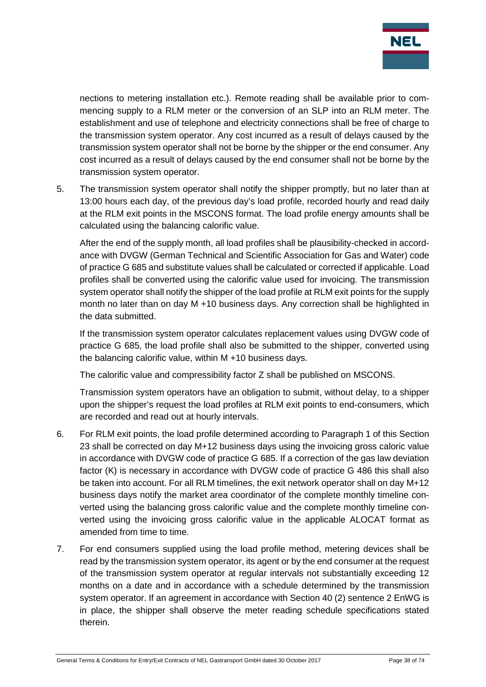

nections to metering installation etc.). Remote reading shall be available prior to commencing supply to a RLM meter or the conversion of an SLP into an RLM meter. The establishment and use of telephone and electricity connections shall be free of charge to the transmission system operator. Any cost incurred as a result of delays caused by the transmission system operator shall not be borne by the shipper or the end consumer. Any cost incurred as a result of delays caused by the end consumer shall not be borne by the transmission system operator.

5. The transmission system operator shall notify the shipper promptly, but no later than at 13:00 hours each day, of the previous day's load profile, recorded hourly and read daily at the RLM exit points in the MSCONS format. The load profile energy amounts shall be calculated using the balancing calorific value.

After the end of the supply month, all load profiles shall be plausibility-checked in accordance with DVGW (German Technical and Scientific Association for Gas and Water) code of practice G 685 and substitute values shall be calculated or corrected if applicable. Load profiles shall be converted using the calorific value used for invoicing. The transmission system operator shall notify the shipper of the load profile at RLM exit points for the supply month no later than on day M +10 business days. Any correction shall be highlighted in the data submitted.

If the transmission system operator calculates replacement values using DVGW code of practice G 685, the load profile shall also be submitted to the shipper, converted using the balancing calorific value, within M +10 business days.

The calorific value and compressibility factor Z shall be published on MSCONS.

Transmission system operators have an obligation to submit, without delay, to a shipper upon the shipper's request the load profiles at RLM exit points to end-consumers, which are recorded and read out at hourly intervals.

- 6. For RLM exit points, the load profile determined according to Paragraph 1 of this Section 23 shall be corrected on day M+12 business days using the invoicing gross caloric value in accordance with DVGW code of practice G 685. If a correction of the gas law deviation factor (K) is necessary in accordance with DVGW code of practice G 486 this shall also be taken into account. For all RLM timelines, the exit network operator shall on day M+12 business days notify the market area coordinator of the complete monthly timeline converted using the balancing gross calorific value and the complete monthly timeline converted using the invoicing gross calorific value in the applicable ALOCAT format as amended from time to time.
- 7. For end consumers supplied using the load profile method, metering devices shall be read by the transmission system operator, its agent or by the end consumer at the request of the transmission system operator at regular intervals not substantially exceeding 12 months on a date and in accordance with a schedule determined by the transmission system operator. If an agreement in accordance with Section 40 (2) sentence 2 EnWG is in place, the shipper shall observe the meter reading schedule specifications stated therein.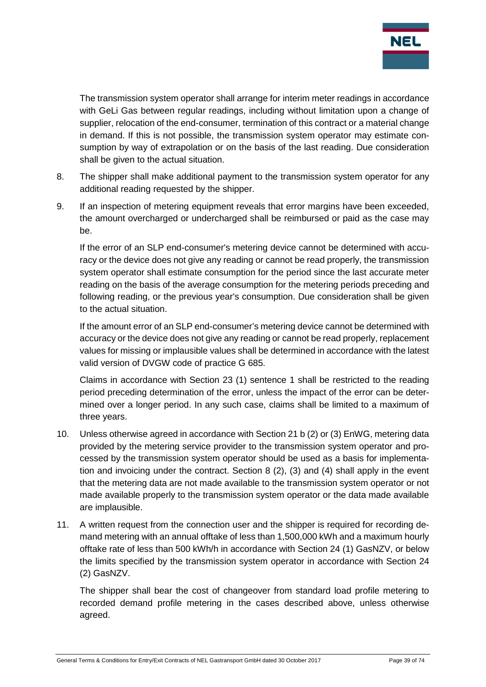

The transmission system operator shall arrange for interim meter readings in accordance with GeLi Gas between regular readings, including without limitation upon a change of supplier, relocation of the end-consumer, termination of this contract or a material change in demand. If this is not possible, the transmission system operator may estimate consumption by way of extrapolation or on the basis of the last reading. Due consideration shall be given to the actual situation.

- 8. The shipper shall make additional payment to the transmission system operator for any additional reading requested by the shipper.
- 9. If an inspection of metering equipment reveals that error margins have been exceeded, the amount overcharged or undercharged shall be reimbursed or paid as the case may be.

If the error of an SLP end-consumer's metering device cannot be determined with accuracy or the device does not give any reading or cannot be read properly, the transmission system operator shall estimate consumption for the period since the last accurate meter reading on the basis of the average consumption for the metering periods preceding and following reading, or the previous year's consumption. Due consideration shall be given to the actual situation.

If the amount error of an SLP end-consumer's metering device cannot be determined with accuracy or the device does not give any reading or cannot be read properly, replacement values for missing or implausible values shall be determined in accordance with the latest valid version of DVGW code of practice G 685.

Claims in accordance with Section 23 (1) sentence 1 shall be restricted to the reading period preceding determination of the error, unless the impact of the error can be determined over a longer period. In any such case, claims shall be limited to a maximum of three years.

- 10. Unless otherwise agreed in accordance with Section 21 b (2) or (3) EnWG, metering data provided by the metering service provider to the transmission system operator and processed by the transmission system operator should be used as a basis for implementation and invoicing under the contract. Section 8 (2), (3) and (4) shall apply in the event that the metering data are not made available to the transmission system operator or not made available properly to the transmission system operator or the data made available are implausible.
- 11. A written request from the connection user and the shipper is required for recording demand metering with an annual offtake of less than 1,500,000 kWh and a maximum hourly offtake rate of less than 500 kWh/h in accordance with Section 24 (1) GasNZV, or below the limits specified by the transmission system operator in accordance with Section 24 (2) GasNZV.

The shipper shall bear the cost of changeover from standard load profile metering to recorded demand profile metering in the cases described above, unless otherwise agreed.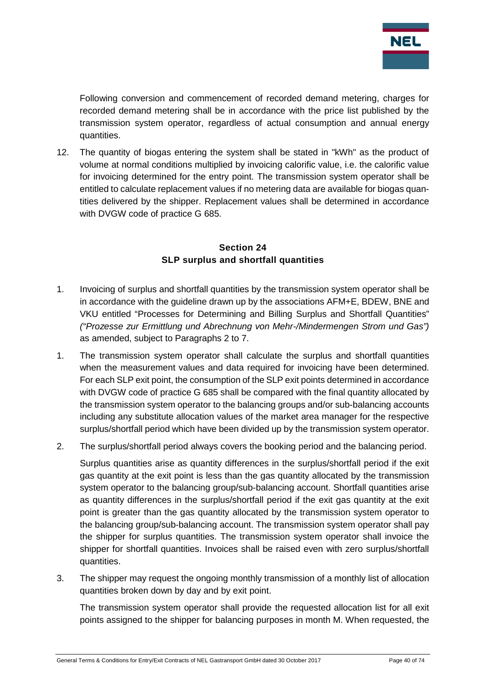

Following conversion and commencement of recorded demand metering, charges for recorded demand metering shall be in accordance with the price list published by the transmission system operator, regardless of actual consumption and annual energy quantities.

12. The quantity of biogas entering the system shall be stated in "kWh" as the product of volume at normal conditions multiplied by invoicing calorific value, i.e. the calorific value for invoicing determined for the entry point. The transmission system operator shall be entitled to calculate replacement values if no metering data are available for biogas quantities delivered by the shipper. Replacement values shall be determined in accordance with DVGW code of practice G 685.

### **Section 24 SLP surplus and shortfall quantities**

- 1. Invoicing of surplus and shortfall quantities by the transmission system operator shall be in accordance with the guideline drawn up by the associations AFM+E, BDEW, BNE and VKU entitled "Processes for Determining and Billing Surplus and Shortfall Quantities" *("Prozesse zur Ermittlung und Abrechnung von Mehr-/Mindermengen Strom und Gas")* as amended, subject to Paragraphs 2 to 7.
- 1. The transmission system operator shall calculate the surplus and shortfall quantities when the measurement values and data required for invoicing have been determined. For each SLP exit point, the consumption of the SLP exit points determined in accordance with DVGW code of practice G 685 shall be compared with the final quantity allocated by the transmission system operator to the balancing groups and/or sub-balancing accounts including any substitute allocation values of the market area manager for the respective surplus/shortfall period which have been divided up by the transmission system operator.
- 2. The surplus/shortfall period always covers the booking period and the balancing period.

Surplus quantities arise as quantity differences in the surplus/shortfall period if the exit gas quantity at the exit point is less than the gas quantity allocated by the transmission system operator to the balancing group/sub-balancing account. Shortfall quantities arise as quantity differences in the surplus/shortfall period if the exit gas quantity at the exit point is greater than the gas quantity allocated by the transmission system operator to the balancing group/sub-balancing account. The transmission system operator shall pay the shipper for surplus quantities. The transmission system operator shall invoice the shipper for shortfall quantities. Invoices shall be raised even with zero surplus/shortfall quantities.

3. The shipper may request the ongoing monthly transmission of a monthly list of allocation quantities broken down by day and by exit point.

The transmission system operator shall provide the requested allocation list for all exit points assigned to the shipper for balancing purposes in month M. When requested, the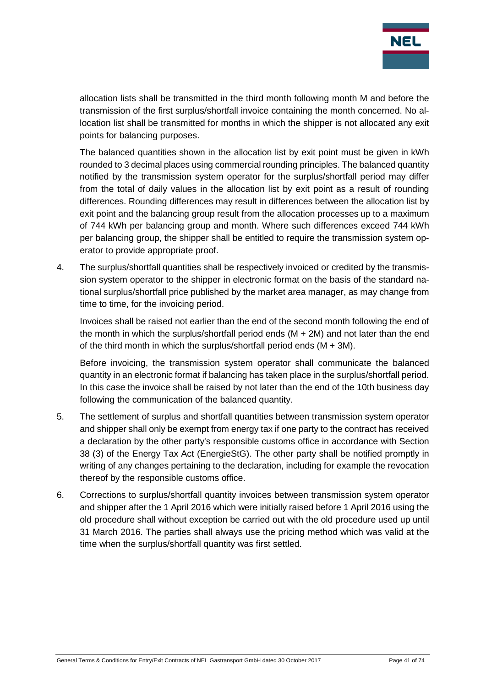

allocation lists shall be transmitted in the third month following month M and before the transmission of the first surplus/shortfall invoice containing the month concerned. No allocation list shall be transmitted for months in which the shipper is not allocated any exit points for balancing purposes.

The balanced quantities shown in the allocation list by exit point must be given in kWh rounded to 3 decimal places using commercial rounding principles. The balanced quantity notified by the transmission system operator for the surplus/shortfall period may differ from the total of daily values in the allocation list by exit point as a result of rounding differences. Rounding differences may result in differences between the allocation list by exit point and the balancing group result from the allocation processes up to a maximum of 744 kWh per balancing group and month. Where such differences exceed 744 kWh per balancing group, the shipper shall be entitled to require the transmission system operator to provide appropriate proof.

4. The surplus/shortfall quantities shall be respectively invoiced or credited by the transmission system operator to the shipper in electronic format on the basis of the standard national surplus/shortfall price published by the market area manager, as may change from time to time, for the invoicing period.

Invoices shall be raised not earlier than the end of the second month following the end of the month in which the surplus/shortfall period ends  $(M + 2M)$  and not later than the end of the third month in which the surplus/shortfall period ends  $(M + 3M)$ .

Before invoicing, the transmission system operator shall communicate the balanced quantity in an electronic format if balancing has taken place in the surplus/shortfall period. In this case the invoice shall be raised by not later than the end of the 10th business day following the communication of the balanced quantity.

- 5. The settlement of surplus and shortfall quantities between transmission system operator and shipper shall only be exempt from energy tax if one party to the contract has received a declaration by the other party's responsible customs office in accordance with Section 38 (3) of the Energy Tax Act (EnergieStG). The other party shall be notified promptly in writing of any changes pertaining to the declaration, including for example the revocation thereof by the responsible customs office.
- 6. Corrections to surplus/shortfall quantity invoices between transmission system operator and shipper after the 1 April 2016 which were initially raised before 1 April 2016 using the old procedure shall without exception be carried out with the old procedure used up until 31 March 2016. The parties shall always use the pricing method which was valid at the time when the surplus/shortfall quantity was first settled.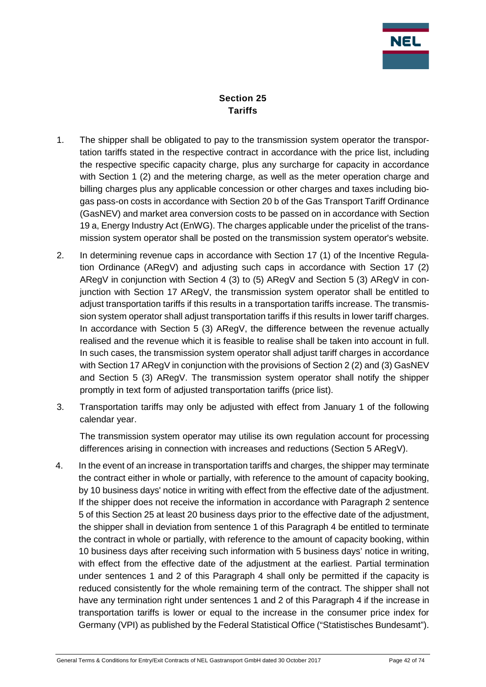

# **Section 25 Tariffs**

- 1. The shipper shall be obligated to pay to the transmission system operator the transportation tariffs stated in the respective contract in accordance with the price list, including the respective specific capacity charge, plus any surcharge for capacity in accordance with Section 1 (2) and the metering charge, as well as the meter operation charge and billing charges plus any applicable concession or other charges and taxes including biogas pass-on costs in accordance with Section 20 b of the Gas Transport Tariff Ordinance (GasNEV) and market area conversion costs to be passed on in accordance with Section 19 a, Energy Industry Act (EnWG). The charges applicable under the pricelist of the transmission system operator shall be posted on the transmission system operator's website.
- 2. In determining revenue caps in accordance with Section 17 (1) of the Incentive Regulation Ordinance (ARegV) and adjusting such caps in accordance with Section 17 (2) ARegV in conjunction with Section 4 (3) to (5) ARegV and Section 5 (3) ARegV in conjunction with Section 17 ARegV, the transmission system operator shall be entitled to adjust transportation tariffs if this results in a transportation tariffs increase. The transmission system operator shall adjust transportation tariffs if this results in lower tariff charges. In accordance with Section 5 (3) ARegV, the difference between the revenue actually realised and the revenue which it is feasible to realise shall be taken into account in full. In such cases, the transmission system operator shall adjust tariff charges in accordance with Section 17 ARegV in conjunction with the provisions of Section 2 (2) and (3) GasNEV and Section 5 (3) ARegV. The transmission system operator shall notify the shipper promptly in text form of adjusted transportation tariffs (price list).
- 3. Transportation tariffs may only be adjusted with effect from January 1 of the following calendar year.

The transmission system operator may utilise its own regulation account for processing differences arising in connection with increases and reductions (Section 5 ARegV).

4. In the event of an increase in transportation tariffs and charges, the shipper may terminate the contract either in whole or partially, with reference to the amount of capacity booking, by 10 business days' notice in writing with effect from the effective date of the adjustment. If the shipper does not receive the information in accordance with Paragraph 2 sentence 5 of this Section 25 at least 20 business days prior to the effective date of the adjustment, the shipper shall in deviation from sentence 1 of this Paragraph 4 be entitled to terminate the contract in whole or partially, with reference to the amount of capacity booking, within 10 business days after receiving such information with 5 business days' notice in writing, with effect from the effective date of the adjustment at the earliest. Partial termination under sentences 1 and 2 of this Paragraph 4 shall only be permitted if the capacity is reduced consistently for the whole remaining term of the contract. The shipper shall not have any termination right under sentences 1 and 2 of this Paragraph 4 if the increase in transportation tariffs is lower or equal to the increase in the consumer price index for Germany (VPI) as published by the Federal Statistical Office ("Statistisches Bundesamt").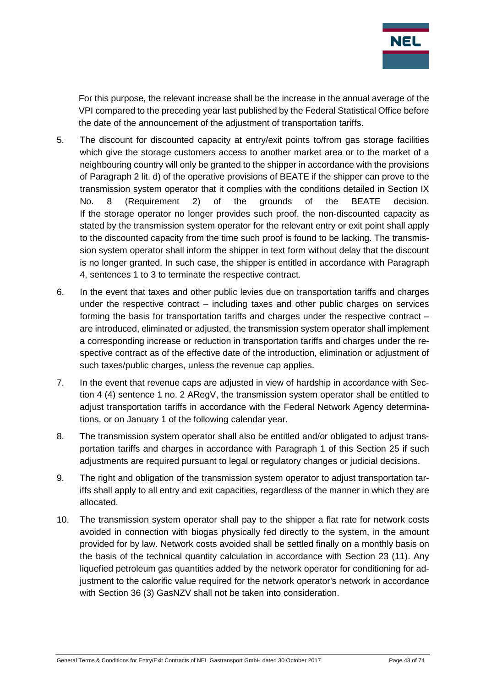

For this purpose, the relevant increase shall be the increase in the annual average of the VPI compared to the preceding year last published by the Federal Statistical Office before the date of the announcement of the adjustment of transportation tariffs.

- 5. The discount for discounted capacity at entry/exit points to/from gas storage facilities which give the storage customers access to another market area or to the market of a neighbouring country will only be granted to the shipper in accordance with the provisions of Paragraph 2 lit. d) of the operative provisions of BEATE if the shipper can prove to the transmission system operator that it complies with the conditions detailed in Section IX No. 8 (Requirement 2) of the grounds of the BEATE decision. If the storage operator no longer provides such proof, the non-discounted capacity as stated by the transmission system operator for the relevant entry or exit point shall apply to the discounted capacity from the time such proof is found to be lacking. The transmission system operator shall inform the shipper in text form without delay that the discount is no longer granted. In such case, the shipper is entitled in accordance with Paragraph 4, sentences 1 to 3 to terminate the respective contract.
- 6. In the event that taxes and other public levies due on transportation tariffs and charges under the respective contract – including taxes and other public charges on services forming the basis for transportation tariffs and charges under the respective contract – are introduced, eliminated or adjusted, the transmission system operator shall implement a corresponding increase or reduction in transportation tariffs and charges under the respective contract as of the effective date of the introduction, elimination or adjustment of such taxes/public charges, unless the revenue cap applies.
- 7. In the event that revenue caps are adjusted in view of hardship in accordance with Section 4 (4) sentence 1 no. 2 ARegV, the transmission system operator shall be entitled to adjust transportation tariffs in accordance with the Federal Network Agency determinations, or on January 1 of the following calendar year.
- 8. The transmission system operator shall also be entitled and/or obligated to adjust transportation tariffs and charges in accordance with Paragraph 1 of this Section 25 if such adjustments are required pursuant to legal or regulatory changes or judicial decisions.
- 9. The right and obligation of the transmission system operator to adjust transportation tariffs shall apply to all entry and exit capacities, regardless of the manner in which they are allocated.
- 10. The transmission system operator shall pay to the shipper a flat rate for network costs avoided in connection with biogas physically fed directly to the system, in the amount provided for by law. Network costs avoided shall be settled finally on a monthly basis on the basis of the technical quantity calculation in accordance with Section 23 (11). Any liquefied petroleum gas quantities added by the network operator for conditioning for adjustment to the calorific value required for the network operator's network in accordance with Section 36 (3) GasNZV shall not be taken into consideration.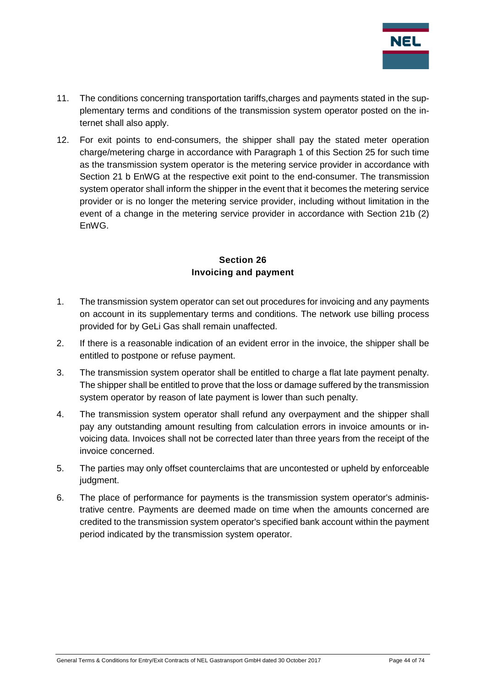

- 11. The conditions concerning transportation tariffs,charges and payments stated in the supplementary terms and conditions of the transmission system operator posted on the internet shall also apply.
- 12. For exit points to end-consumers, the shipper shall pay the stated meter operation charge/metering charge in accordance with Paragraph 1 of this Section 25 for such time as the transmission system operator is the metering service provider in accordance with Section 21 b EnWG at the respective exit point to the end-consumer. The transmission system operator shall inform the shipper in the event that it becomes the metering service provider or is no longer the metering service provider, including without limitation in the event of a change in the metering service provider in accordance with Section 21b (2) EnWG.

## **Section 26 Invoicing and payment**

- 1. The transmission system operator can set out procedures for invoicing and any payments on account in its supplementary terms and conditions. The network use billing process provided for by GeLi Gas shall remain unaffected.
- 2. If there is a reasonable indication of an evident error in the invoice, the shipper shall be entitled to postpone or refuse payment.
- 3. The transmission system operator shall be entitled to charge a flat late payment penalty. The shipper shall be entitled to prove that the loss or damage suffered by the transmission system operator by reason of late payment is lower than such penalty.
- 4. The transmission system operator shall refund any overpayment and the shipper shall pay any outstanding amount resulting from calculation errors in invoice amounts or invoicing data. Invoices shall not be corrected later than three years from the receipt of the invoice concerned.
- 5. The parties may only offset counterclaims that are uncontested or upheld by enforceable judament.
- 6. The place of performance for payments is the transmission system operator's administrative centre. Payments are deemed made on time when the amounts concerned are credited to the transmission system operator's specified bank account within the payment period indicated by the transmission system operator.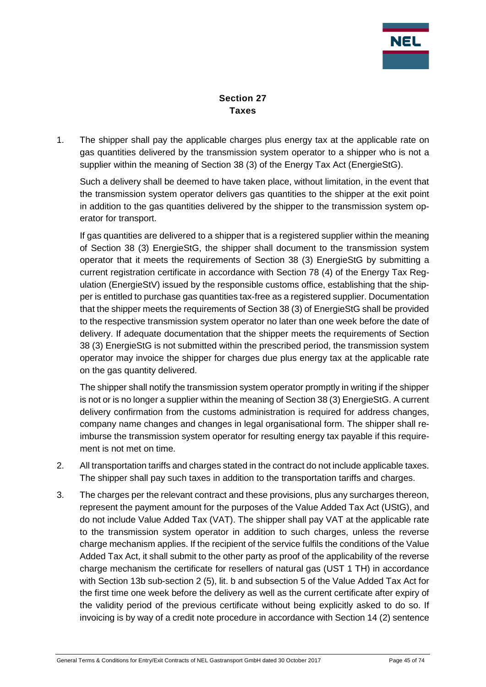

# **Section 27 Taxes**

1. The shipper shall pay the applicable charges plus energy tax at the applicable rate on gas quantities delivered by the transmission system operator to a shipper who is not a supplier within the meaning of Section 38 (3) of the Energy Tax Act (EnergieStG).

Such a delivery shall be deemed to have taken place, without limitation, in the event that the transmission system operator delivers gas quantities to the shipper at the exit point in addition to the gas quantities delivered by the shipper to the transmission system operator for transport.

If gas quantities are delivered to a shipper that is a registered supplier within the meaning of Section 38 (3) EnergieStG, the shipper shall document to the transmission system operator that it meets the requirements of Section 38 (3) EnergieStG by submitting a current registration certificate in accordance with Section 78 (4) of the Energy Tax Regulation (EnergieStV) issued by the responsible customs office, establishing that the shipper is entitled to purchase gas quantities tax-free as a registered supplier. Documentation that the shipper meets the requirements of Section 38 (3) of EnergieStG shall be provided to the respective transmission system operator no later than one week before the date of delivery. If adequate documentation that the shipper meets the requirements of Section 38 (3) EnergieStG is not submitted within the prescribed period, the transmission system operator may invoice the shipper for charges due plus energy tax at the applicable rate on the gas quantity delivered.

The shipper shall notify the transmission system operator promptly in writing if the shipper is not or is no longer a supplier within the meaning of Section 38 (3) EnergieStG. A current delivery confirmation from the customs administration is required for address changes, company name changes and changes in legal organisational form. The shipper shall reimburse the transmission system operator for resulting energy tax payable if this requirement is not met on time.

- 2. All transportation tariffs and charges stated in the contract do not include applicable taxes. The shipper shall pay such taxes in addition to the transportation tariffs and charges.
- 3. The charges per the relevant contract and these provisions, plus any surcharges thereon, represent the payment amount for the purposes of the Value Added Tax Act (UStG), and do not include Value Added Tax (VAT). The shipper shall pay VAT at the applicable rate to the transmission system operator in addition to such charges, unless the reverse charge mechanism applies. If the recipient of the service fulfils the conditions of the Value Added Tax Act, it shall submit to the other party as proof of the applicability of the reverse charge mechanism the certificate for resellers of natural gas (UST 1 TH) in accordance with Section 13b sub-section 2 (5), lit. b and subsection 5 of the Value Added Tax Act for the first time one week before the delivery as well as the current certificate after expiry of the validity period of the previous certificate without being explicitly asked to do so. If invoicing is by way of a credit note procedure in accordance with Section 14 (2) sentence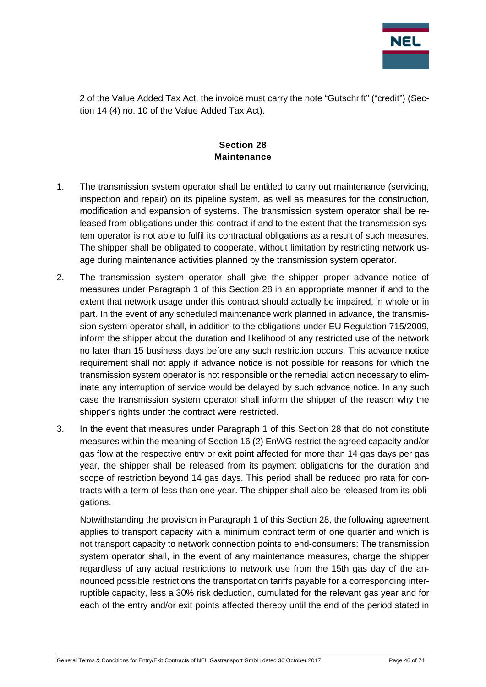

2 of the Value Added Tax Act, the invoice must carry the note "Gutschrift" ("credit") (Section 14 (4) no. 10 of the Value Added Tax Act).

# **Section 28 Maintenance**

- 1. The transmission system operator shall be entitled to carry out maintenance (servicing, inspection and repair) on its pipeline system, as well as measures for the construction, modification and expansion of systems. The transmission system operator shall be released from obligations under this contract if and to the extent that the transmission system operator is not able to fulfil its contractual obligations as a result of such measures. The shipper shall be obligated to cooperate, without limitation by restricting network usage during maintenance activities planned by the transmission system operator.
- 2. The transmission system operator shall give the shipper proper advance notice of measures under Paragraph 1 of this Section 28 in an appropriate manner if and to the extent that network usage under this contract should actually be impaired, in whole or in part. In the event of any scheduled maintenance work planned in advance, the transmission system operator shall, in addition to the obligations under EU Regulation 715/2009, inform the shipper about the duration and likelihood of any restricted use of the network no later than 15 business days before any such restriction occurs. This advance notice requirement shall not apply if advance notice is not possible for reasons for which the transmission system operator is not responsible or the remedial action necessary to eliminate any interruption of service would be delayed by such advance notice. In any such case the transmission system operator shall inform the shipper of the reason why the shipper's rights under the contract were restricted.
- 3. In the event that measures under Paragraph 1 of this Section 28 that do not constitute measures within the meaning of Section 16 (2) EnWG restrict the agreed capacity and/or gas flow at the respective entry or exit point affected for more than 14 gas days per gas year, the shipper shall be released from its payment obligations for the duration and scope of restriction beyond 14 gas days. This period shall be reduced pro rata for contracts with a term of less than one year. The shipper shall also be released from its obligations.

Notwithstanding the provision in Paragraph 1 of this Section 28, the following agreement applies to transport capacity with a minimum contract term of one quarter and which is not transport capacity to network connection points to end-consumers: The transmission system operator shall, in the event of any maintenance measures, charge the shipper regardless of any actual restrictions to network use from the 15th gas day of the announced possible restrictions the transportation tariffs payable for a corresponding interruptible capacity, less a 30% risk deduction, cumulated for the relevant gas year and for each of the entry and/or exit points affected thereby until the end of the period stated in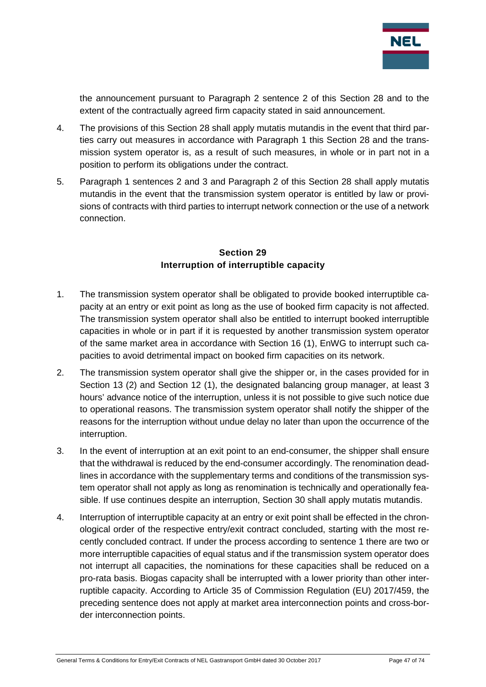

the announcement pursuant to Paragraph 2 sentence 2 of this Section 28 and to the extent of the contractually agreed firm capacity stated in said announcement.

- 4. The provisions of this Section 28 shall apply mutatis mutandis in the event that third parties carry out measures in accordance with Paragraph 1 this Section 28 and the transmission system operator is, as a result of such measures, in whole or in part not in a position to perform its obligations under the contract.
- 5. Paragraph 1 sentences 2 and 3 and Paragraph 2 of this Section 28 shall apply mutatis mutandis in the event that the transmission system operator is entitled by law or provisions of contracts with third parties to interrupt network connection or the use of a network connection.

## **Section 29 Interruption of interruptible capacity**

- 1. The transmission system operator shall be obligated to provide booked interruptible capacity at an entry or exit point as long as the use of booked firm capacity is not affected. The transmission system operator shall also be entitled to interrupt booked interruptible capacities in whole or in part if it is requested by another transmission system operator of the same market area in accordance with Section 16 (1), EnWG to interrupt such capacities to avoid detrimental impact on booked firm capacities on its network.
- 2. The transmission system operator shall give the shipper or, in the cases provided for in Section 13 (2) and Section 12 (1), the designated balancing group manager, at least 3 hours' advance notice of the interruption, unless it is not possible to give such notice due to operational reasons. The transmission system operator shall notify the shipper of the reasons for the interruption without undue delay no later than upon the occurrence of the interruption.
- 3. In the event of interruption at an exit point to an end-consumer, the shipper shall ensure that the withdrawal is reduced by the end-consumer accordingly. The renomination deadlines in accordance with the supplementary terms and conditions of the transmission system operator shall not apply as long as renomination is technically and operationally feasible. If use continues despite an interruption, Section 30 shall apply mutatis mutandis.
- 4. Interruption of interruptible capacity at an entry or exit point shall be effected in the chronological order of the respective entry/exit contract concluded, starting with the most recently concluded contract. If under the process according to sentence 1 there are two or more interruptible capacities of equal status and if the transmission system operator does not interrupt all capacities, the nominations for these capacities shall be reduced on a pro-rata basis. Biogas capacity shall be interrupted with a lower priority than other interruptible capacity. According to Article 35 of Commission Regulation (EU) 2017/459, the preceding sentence does not apply at market area interconnection points and cross-border interconnection points.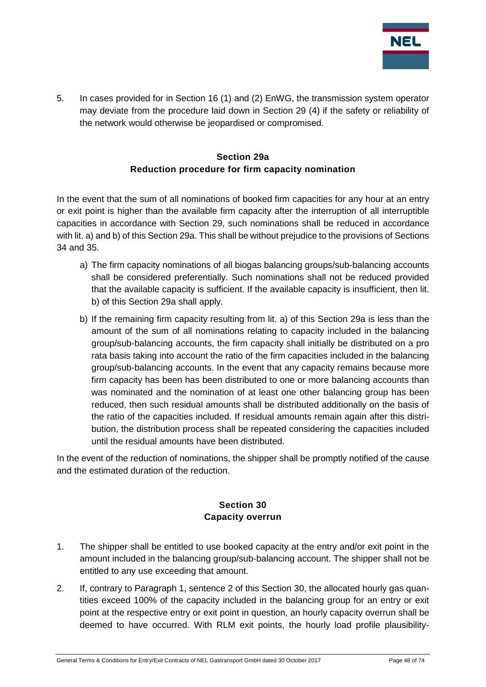

5. In cases provided for in Section 16 (1) and (2) EnWG, the transmission system operator may deviate from the procedure laid down in Section 29 (4) if the safety or reliability of the network would otherwise be jeopardised or compromised.

# **Section 29a Reduction procedure for firm capacity nomination**

In the event that the sum of all nominations of booked firm capacities for any hour at an entry or exit point is higher than the available firm capacity after the interruption of all interruptible capacities in accordance with Section 29, such nominations shall be reduced in accordance with lit. a) and b) of this Section 29a. This shall be without prejudice to the provisions of Sections 34 and 35.

- a) The firm capacity nominations of all biogas balancing groups/sub-balancing accounts shall be considered preferentially. Such nominations shall not be reduced provided that the available capacity is sufficient. If the available capacity is insufficient, then lit. b) of this Section 29a shall apply.
- b) If the remaining firm capacity resulting from lit. a) of this Section 29a is less than the amount of the sum of all nominations relating to capacity included in the balancing group/sub-balancing accounts, the firm capacity shall initially be distributed on a pro rata basis taking into account the ratio of the firm capacities included in the balancing group/sub-balancing accounts. In the event that any capacity remains because more firm capacity has been has been distributed to one or more balancing accounts than was nominated and the nomination of at least one other balancing group has been reduced, then such residual amounts shall be distributed additionally on the basis of the ratio of the capacities included. If residual amounts remain again after this distribution, the distribution process shall be repeated considering the capacities included until the residual amounts have been distributed.

In the event of the reduction of nominations, the shipper shall be promptly notified of the cause and the estimated duration of the reduction.

# **Section 30 Capacity overrun**

- 1. The shipper shall be entitled to use booked capacity at the entry and/or exit point in the amount included in the balancing group/sub-balancing account. The shipper shall not be entitled to any use exceeding that amount.
- 2. If, contrary to Paragraph 1, sentence 2 of this Section 30, the allocated hourly gas quantities exceed 100% of the capacity included in the balancing group for an entry or exit point at the respective entry or exit point in question, an hourly capacity overrun shall be deemed to have occurred. With RLM exit points, the hourly load profile plausibility-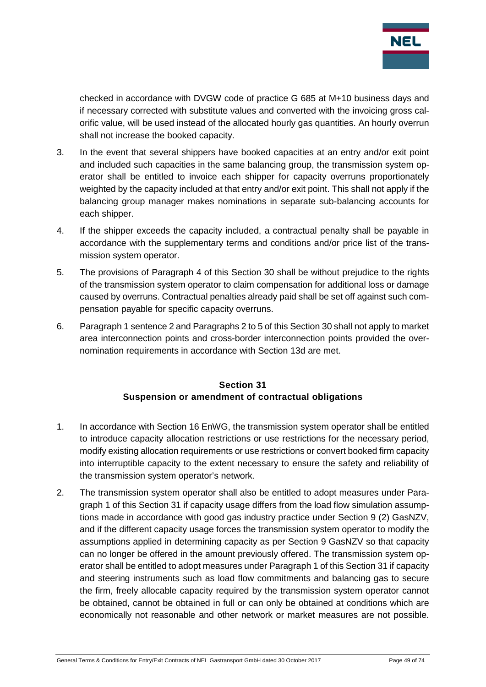

checked in accordance with DVGW code of practice G 685 at M+10 business days and if necessary corrected with substitute values and converted with the invoicing gross calorific value, will be used instead of the allocated hourly gas quantities. An hourly overrun shall not increase the booked capacity.

- 3. In the event that several shippers have booked capacities at an entry and/or exit point and included such capacities in the same balancing group, the transmission system operator shall be entitled to invoice each shipper for capacity overruns proportionately weighted by the capacity included at that entry and/or exit point. This shall not apply if the balancing group manager makes nominations in separate sub-balancing accounts for each shipper.
- 4. If the shipper exceeds the capacity included, a contractual penalty shall be payable in accordance with the supplementary terms and conditions and/or price list of the transmission system operator.
- 5. The provisions of Paragraph 4 of this Section 30 shall be without prejudice to the rights of the transmission system operator to claim compensation for additional loss or damage caused by overruns. Contractual penalties already paid shall be set off against such compensation payable for specific capacity overruns.
- 6. Paragraph 1 sentence 2 and Paragraphs 2 to 5 of this Section 30 shall not apply to market area interconnection points and cross-border interconnection points provided the overnomination requirements in accordance with Section 13d are met.

## **Section 31 Suspension or amendment of contractual obligations**

- 1. In accordance with Section 16 EnWG, the transmission system operator shall be entitled to introduce capacity allocation restrictions or use restrictions for the necessary period, modify existing allocation requirements or use restrictions or convert booked firm capacity into interruptible capacity to the extent necessary to ensure the safety and reliability of the transmission system operator's network.
- 2. The transmission system operator shall also be entitled to adopt measures under Paragraph 1 of this Section 31 if capacity usage differs from the load flow simulation assumptions made in accordance with good gas industry practice under Section 9 (2) GasNZV, and if the different capacity usage forces the transmission system operator to modify the assumptions applied in determining capacity as per Section 9 GasNZV so that capacity can no longer be offered in the amount previously offered. The transmission system operator shall be entitled to adopt measures under Paragraph 1 of this Section 31 if capacity and steering instruments such as load flow commitments and balancing gas to secure the firm, freely allocable capacity required by the transmission system operator cannot be obtained, cannot be obtained in full or can only be obtained at conditions which are economically not reasonable and other network or market measures are not possible.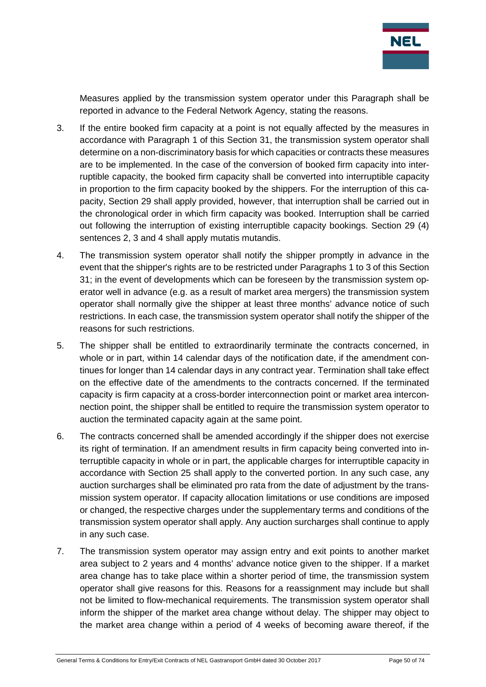

Measures applied by the transmission system operator under this Paragraph shall be reported in advance to the Federal Network Agency, stating the reasons.

- 3. If the entire booked firm capacity at a point is not equally affected by the measures in accordance with Paragraph 1 of this Section 31, the transmission system operator shall determine on a non-discriminatory basis for which capacities or contracts these measures are to be implemented. In the case of the conversion of booked firm capacity into interruptible capacity, the booked firm capacity shall be converted into interruptible capacity in proportion to the firm capacity booked by the shippers. For the interruption of this capacity, Section 29 shall apply provided, however, that interruption shall be carried out in the chronological order in which firm capacity was booked. Interruption shall be carried out following the interruption of existing interruptible capacity bookings. Section 29 (4) sentences 2, 3 and 4 shall apply mutatis mutandis.
- 4. The transmission system operator shall notify the shipper promptly in advance in the event that the shipper's rights are to be restricted under Paragraphs 1 to 3 of this Section 31; in the event of developments which can be foreseen by the transmission system operator well in advance (e.g. as a result of market area mergers) the transmission system operator shall normally give the shipper at least three months' advance notice of such restrictions. In each case, the transmission system operator shall notify the shipper of the reasons for such restrictions.
- 5. The shipper shall be entitled to extraordinarily terminate the contracts concerned, in whole or in part, within 14 calendar days of the notification date, if the amendment continues for longer than 14 calendar days in any contract year. Termination shall take effect on the effective date of the amendments to the contracts concerned. If the terminated capacity is firm capacity at a cross-border interconnection point or market area interconnection point, the shipper shall be entitled to require the transmission system operator to auction the terminated capacity again at the same point.
- 6. The contracts concerned shall be amended accordingly if the shipper does not exercise its right of termination. If an amendment results in firm capacity being converted into interruptible capacity in whole or in part, the applicable charges for interruptible capacity in accordance with Section 25 shall apply to the converted portion. In any such case, any auction surcharges shall be eliminated pro rata from the date of adjustment by the transmission system operator. If capacity allocation limitations or use conditions are imposed or changed, the respective charges under the supplementary terms and conditions of the transmission system operator shall apply. Any auction surcharges shall continue to apply in any such case.
- 7. The transmission system operator may assign entry and exit points to another market area subject to 2 years and 4 months' advance notice given to the shipper. If a market area change has to take place within a shorter period of time, the transmission system operator shall give reasons for this. Reasons for a reassignment may include but shall not be limited to flow-mechanical requirements. The transmission system operator shall inform the shipper of the market area change without delay. The shipper may object to the market area change within a period of 4 weeks of becoming aware thereof, if the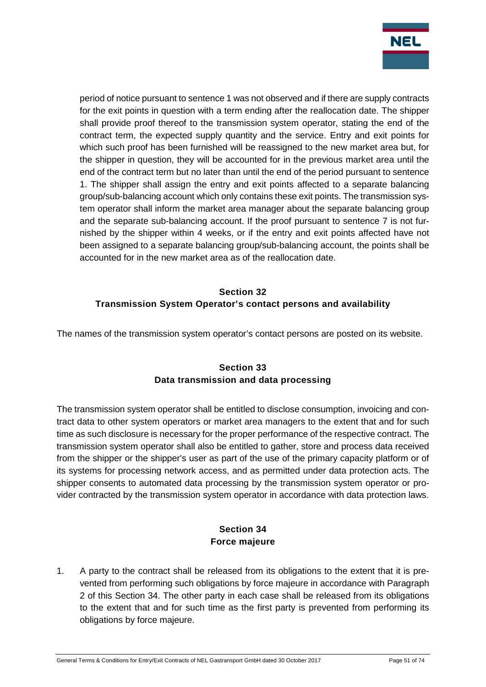

period of notice pursuant to sentence 1 was not observed and if there are supply contracts for the exit points in question with a term ending after the reallocation date. The shipper shall provide proof thereof to the transmission system operator, stating the end of the contract term, the expected supply quantity and the service. Entry and exit points for which such proof has been furnished will be reassigned to the new market area but, for the shipper in question, they will be accounted for in the previous market area until the end of the contract term but no later than until the end of the period pursuant to sentence 1. The shipper shall assign the entry and exit points affected to a separate balancing group/sub-balancing account which only contains these exit points. The transmission system operator shall inform the market area manager about the separate balancing group and the separate sub-balancing account. If the proof pursuant to sentence 7 is not furnished by the shipper within 4 weeks, or if the entry and exit points affected have not been assigned to a separate balancing group/sub-balancing account, the points shall be accounted for in the new market area as of the reallocation date.

# **Section 32 Transmission System Operator's contact persons and availability**

The names of the transmission system operator's contact persons are posted on its website.

# **Section 33 Data transmission and data processing**

The transmission system operator shall be entitled to disclose consumption, invoicing and contract data to other system operators or market area managers to the extent that and for such time as such disclosure is necessary for the proper performance of the respective contract. The transmission system operator shall also be entitled to gather, store and process data received from the shipper or the shipper's user as part of the use of the primary capacity platform or of its systems for processing network access, and as permitted under data protection acts. The shipper consents to automated data processing by the transmission system operator or provider contracted by the transmission system operator in accordance with data protection laws.

# **Section 34 Force majeure**

1. A party to the contract shall be released from its obligations to the extent that it is prevented from performing such obligations by force majeure in accordance with Paragraph 2 of this Section 34. The other party in each case shall be released from its obligations to the extent that and for such time as the first party is prevented from performing its obligations by force majeure.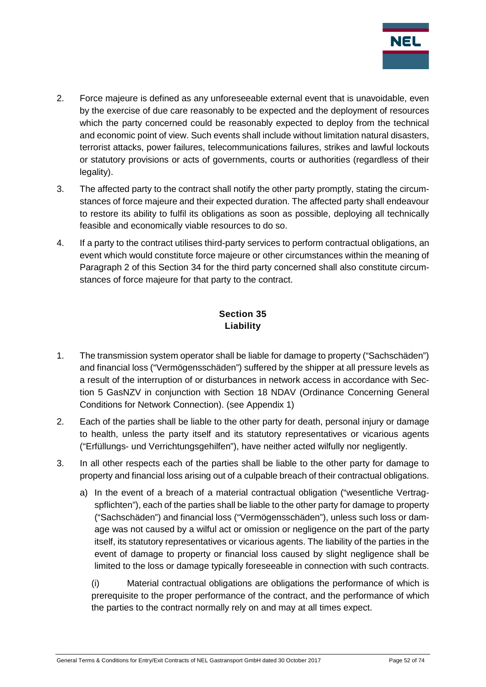

- 2. Force majeure is defined as any unforeseeable external event that is unavoidable, even by the exercise of due care reasonably to be expected and the deployment of resources which the party concerned could be reasonably expected to deploy from the technical and economic point of view. Such events shall include without limitation natural disasters, terrorist attacks, power failures, telecommunications failures, strikes and lawful lockouts or statutory provisions or acts of governments, courts or authorities (regardless of their legality).
- 3. The affected party to the contract shall notify the other party promptly, stating the circumstances of force majeure and their expected duration. The affected party shall endeavour to restore its ability to fulfil its obligations as soon as possible, deploying all technically feasible and economically viable resources to do so.
- 4. If a party to the contract utilises third-party services to perform contractual obligations, an event which would constitute force majeure or other circumstances within the meaning of Paragraph 2 of this Section 34 for the third party concerned shall also constitute circumstances of force majeure for that party to the contract.

# **Section 35 Liability**

- 1. The transmission system operator shall be liable for damage to property ("Sachschäden") and financial loss ("Vermögensschäden") suffered by the shipper at all pressure levels as a result of the interruption of or disturbances in network access in accordance with Section 5 GasNZV in conjunction with Section 18 NDAV (Ordinance Concerning General Conditions for Network Connection). (see Appendix 1)
- 2. Each of the parties shall be liable to the other party for death, personal injury or damage to health, unless the party itself and its statutory representatives or vicarious agents ("Erfüllungs- und Verrichtungsgehilfen"), have neither acted wilfully nor negligently.
- 3. In all other respects each of the parties shall be liable to the other party for damage to property and financial loss arising out of a culpable breach of their contractual obligations.
	- a) In the event of a breach of a material contractual obligation ("wesentliche Vertragspflichten"), each of the parties shall be liable to the other party for damage to property ("Sachschäden") and financial loss ("Vermögensschäden"), unless such loss or damage was not caused by a wilful act or omission or negligence on the part of the party itself, its statutory representatives or vicarious agents. The liability of the parties in the event of damage to property or financial loss caused by slight negligence shall be limited to the loss or damage typically foreseeable in connection with such contracts.

(i) Material contractual obligations are obligations the performance of which is prerequisite to the proper performance of the contract, and the performance of which the parties to the contract normally rely on and may at all times expect.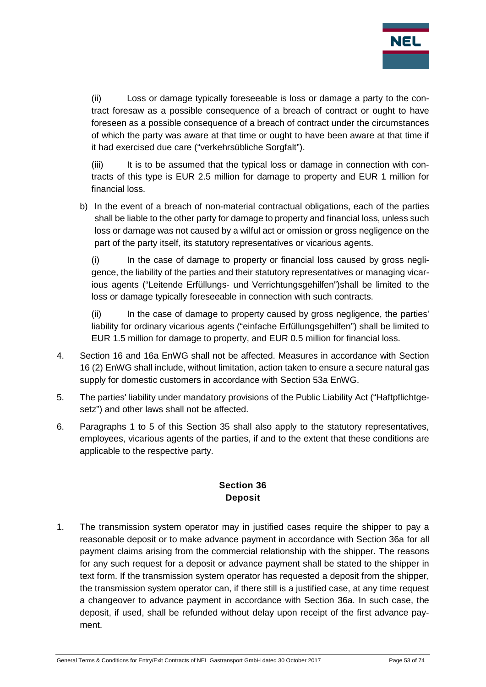

(ii) Loss or damage typically foreseeable is loss or damage a party to the contract foresaw as a possible consequence of a breach of contract or ought to have foreseen as a possible consequence of a breach of contract under the circumstances of which the party was aware at that time or ought to have been aware at that time if it had exercised due care ("verkehrsübliche Sorgfalt").

(iii) It is to be assumed that the typical loss or damage in connection with contracts of this type is EUR 2.5 million for damage to property and EUR 1 million for financial loss.

b) In the event of a breach of non-material contractual obligations, each of the parties shall be liable to the other party for damage to property and financial loss, unless such loss or damage was not caused by a wilful act or omission or gross negligence on the part of the party itself, its statutory representatives or vicarious agents.

(i) In the case of damage to property or financial loss caused by gross negligence, the liability of the parties and their statutory representatives or managing vicarious agents ("Leitende Erfüllungs- und Verrichtungsgehilfen")shall be limited to the loss or damage typically foreseeable in connection with such contracts.

(ii) In the case of damage to property caused by gross negligence, the parties' liability for ordinary vicarious agents ("einfache Erfüllungsgehilfen") shall be limited to EUR 1.5 million for damage to property, and EUR 0.5 million for financial loss.

- 4. Section 16 and 16a EnWG shall not be affected. Measures in accordance with Section 16 (2) EnWG shall include, without limitation, action taken to ensure a secure natural gas supply for domestic customers in accordance with Section 53a EnWG.
- 5. The parties' liability under mandatory provisions of the Public Liability Act ("Haftpflichtgesetz") and other laws shall not be affected.
- 6. Paragraphs 1 to 5 of this Section 35 shall also apply to the statutory representatives, employees, vicarious agents of the parties, if and to the extent that these conditions are applicable to the respective party.

## **Section 36 Deposit**

1. The transmission system operator may in justified cases require the shipper to pay a reasonable deposit or to make advance payment in accordance with Section 36a for all payment claims arising from the commercial relationship with the shipper. The reasons for any such request for a deposit or advance payment shall be stated to the shipper in text form. If the transmission system operator has requested a deposit from the shipper, the transmission system operator can, if there still is a justified case, at any time request a changeover to advance payment in accordance with Section 36a. In such case, the deposit, if used, shall be refunded without delay upon receipt of the first advance payment.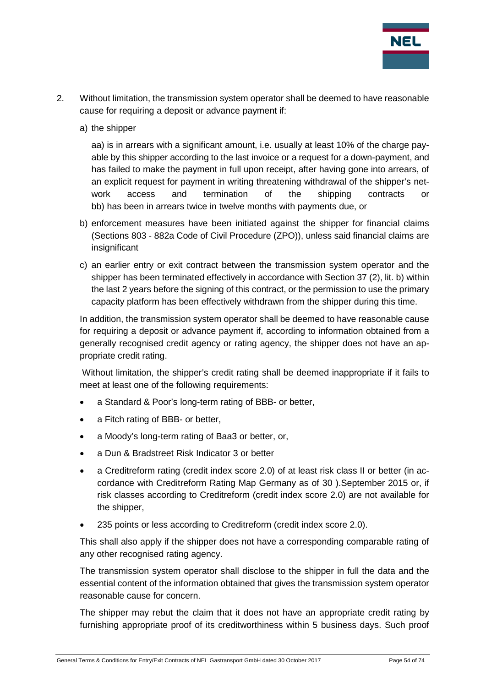

- 2. Without limitation, the transmission system operator shall be deemed to have reasonable cause for requiring a deposit or advance payment if:
	- a) the shipper

aa) is in arrears with a significant amount, i.e. usually at least 10% of the charge payable by this shipper according to the last invoice or a request for a down-payment, and has failed to make the payment in full upon receipt, after having gone into arrears, of an explicit request for payment in writing threatening withdrawal of the shipper's network access and termination of the shipping contracts or bb) has been in arrears twice in twelve months with payments due, or

- b) enforcement measures have been initiated against the shipper for financial claims (Sections 803 - 882a Code of Civil Procedure (ZPO)), unless said financial claims are insignificant
- c) an earlier entry or exit contract between the transmission system operator and the shipper has been terminated effectively in accordance with Section 37 (2), lit. b) within the last 2 years before the signing of this contract, or the permission to use the primary capacity platform has been effectively withdrawn from the shipper during this time.

In addition, the transmission system operator shall be deemed to have reasonable cause for requiring a deposit or advance payment if, according to information obtained from a generally recognised credit agency or rating agency, the shipper does not have an appropriate credit rating.

Without limitation, the shipper's credit rating shall be deemed inappropriate if it fails to meet at least one of the following requirements:

- a Standard & Poor's long-term rating of BBB- or better,
- a Fitch rating of BBB- or better.
- a Moody's long-term rating of Baa3 or better, or,
- a Dun & Bradstreet Risk Indicator 3 or better
- a Creditreform rating (credit index score 2.0) of at least risk class II or better (in accordance with Creditreform Rating Map Germany as of 30 ).September 2015 or, if risk classes according to Creditreform (credit index score 2.0) are not available for the shipper,
- 235 points or less according to Creditreform (credit index score 2.0).

This shall also apply if the shipper does not have a corresponding comparable rating of any other recognised rating agency.

The transmission system operator shall disclose to the shipper in full the data and the essential content of the information obtained that gives the transmission system operator reasonable cause for concern.

The shipper may rebut the claim that it does not have an appropriate credit rating by furnishing appropriate proof of its creditworthiness within 5 business days. Such proof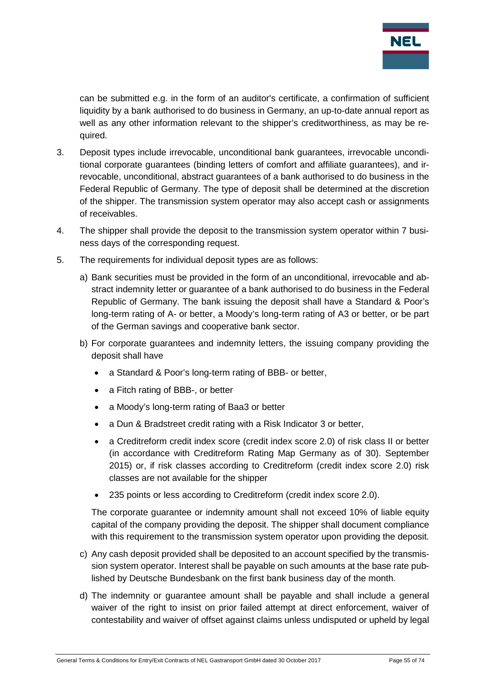

can be submitted e.g. in the form of an auditor's certificate, a confirmation of sufficient liquidity by a bank authorised to do business in Germany, an up-to-date annual report as well as any other information relevant to the shipper's creditworthiness, as may be required.

- 3. Deposit types include irrevocable, unconditional bank guarantees, irrevocable unconditional corporate guarantees (binding letters of comfort and affiliate guarantees), and irrevocable, unconditional, abstract guarantees of a bank authorised to do business in the Federal Republic of Germany. The type of deposit shall be determined at the discretion of the shipper. The transmission system operator may also accept cash or assignments of receivables.
- 4. The shipper shall provide the deposit to the transmission system operator within 7 business days of the corresponding request.
- 5. The requirements for individual deposit types are as follows:
	- a) Bank securities must be provided in the form of an unconditional, irrevocable and abstract indemnity letter or guarantee of a bank authorised to do business in the Federal Republic of Germany. The bank issuing the deposit shall have a Standard & Poor's long-term rating of A- or better, a Moody's long-term rating of A3 or better, or be part of the German savings and cooperative bank sector.
	- b) For corporate guarantees and indemnity letters, the issuing company providing the deposit shall have
		- a Standard & Poor's long-term rating of BBB- or better,
		- a Fitch rating of BBB-, or better
		- a Moody's long-term rating of Baa3 or better
		- a Dun & Bradstreet credit rating with a Risk Indicator 3 or better,
		- a Creditreform credit index score (credit index score 2.0) of risk class II or better (in accordance with Creditreform Rating Map Germany as of 30). September 2015) or, if risk classes according to Creditreform (credit index score 2.0) risk classes are not available for the shipper
		- 235 points or less according to Creditreform (credit index score 2.0).

The corporate guarantee or indemnity amount shall not exceed 10% of liable equity capital of the company providing the deposit. The shipper shall document compliance with this requirement to the transmission system operator upon providing the deposit.

- c) Any cash deposit provided shall be deposited to an account specified by the transmission system operator. Interest shall be payable on such amounts at the base rate published by Deutsche Bundesbank on the first bank business day of the month.
- d) The indemnity or guarantee amount shall be payable and shall include a general waiver of the right to insist on prior failed attempt at direct enforcement, waiver of contestability and waiver of offset against claims unless undisputed or upheld by legal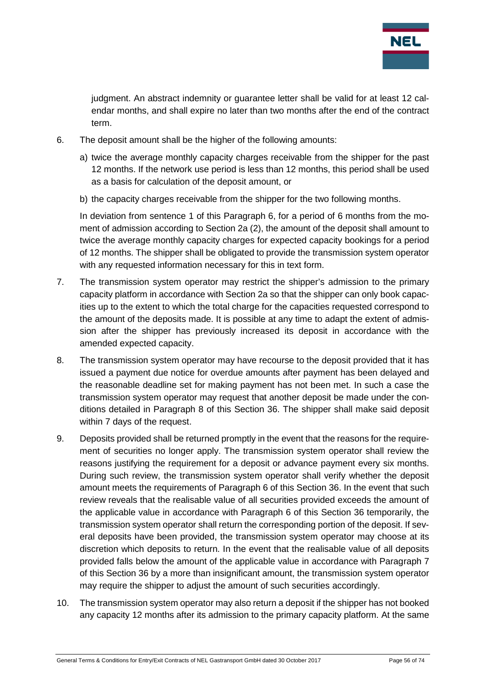

judgment. An abstract indemnity or guarantee letter shall be valid for at least 12 calendar months, and shall expire no later than two months after the end of the contract term.

- 6. The deposit amount shall be the higher of the following amounts:
	- a) twice the average monthly capacity charges receivable from the shipper for the past 12 months. If the network use period is less than 12 months, this period shall be used as a basis for calculation of the deposit amount, or
	- b) the capacity charges receivable from the shipper for the two following months.

In deviation from sentence 1 of this Paragraph 6, for a period of 6 months from the moment of admission according to Section 2a (2), the amount of the deposit shall amount to twice the average monthly capacity charges for expected capacity bookings for a period of 12 months. The shipper shall be obligated to provide the transmission system operator with any requested information necessary for this in text form.

- 7. The transmission system operator may restrict the shipper's admission to the primary capacity platform in accordance with Section 2a so that the shipper can only book capacities up to the extent to which the total charge for the capacities requested correspond to the amount of the deposits made. It is possible at any time to adapt the extent of admission after the shipper has previously increased its deposit in accordance with the amended expected capacity.
- 8. The transmission system operator may have recourse to the deposit provided that it has issued a payment due notice for overdue amounts after payment has been delayed and the reasonable deadline set for making payment has not been met. In such a case the transmission system operator may request that another deposit be made under the conditions detailed in Paragraph 8 of this Section 36. The shipper shall make said deposit within 7 days of the request.
- 9. Deposits provided shall be returned promptly in the event that the reasons for the requirement of securities no longer apply. The transmission system operator shall review the reasons justifying the requirement for a deposit or advance payment every six months. During such review, the transmission system operator shall verify whether the deposit amount meets the requirements of Paragraph 6 of this Section 36. In the event that such review reveals that the realisable value of all securities provided exceeds the amount of the applicable value in accordance with Paragraph 6 of this Section 36 temporarily, the transmission system operator shall return the corresponding portion of the deposit. If several deposits have been provided, the transmission system operator may choose at its discretion which deposits to return. In the event that the realisable value of all deposits provided falls below the amount of the applicable value in accordance with Paragraph 7 of this Section 36 by a more than insignificant amount, the transmission system operator may require the shipper to adjust the amount of such securities accordingly.
- 10. The transmission system operator may also return a deposit if the shipper has not booked any capacity 12 months after its admission to the primary capacity platform. At the same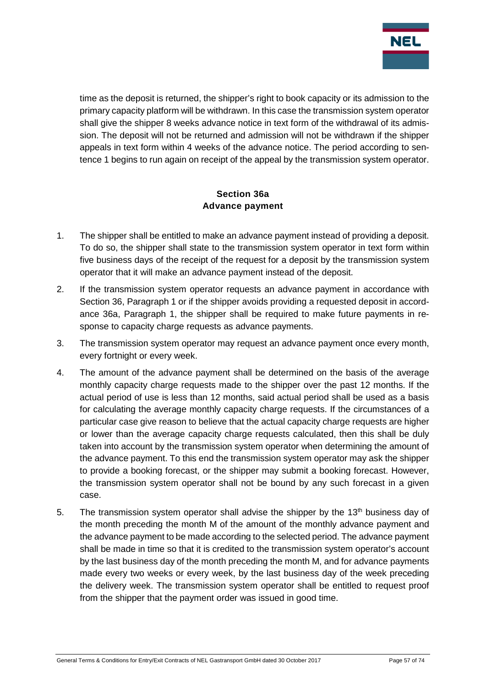

time as the deposit is returned, the shipper's right to book capacity or its admission to the primary capacity platform will be withdrawn. In this case the transmission system operator shall give the shipper 8 weeks advance notice in text form of the withdrawal of its admission. The deposit will not be returned and admission will not be withdrawn if the shipper appeals in text form within 4 weeks of the advance notice. The period according to sentence 1 begins to run again on receipt of the appeal by the transmission system operator.

## **Section 36a Advance payment**

- 1. The shipper shall be entitled to make an advance payment instead of providing a deposit. To do so, the shipper shall state to the transmission system operator in text form within five business days of the receipt of the request for a deposit by the transmission system operator that it will make an advance payment instead of the deposit.
- 2. If the transmission system operator requests an advance payment in accordance with Section 36, Paragraph 1 or if the shipper avoids providing a requested deposit in accordance 36a, Paragraph 1, the shipper shall be required to make future payments in response to capacity charge requests as advance payments.
- 3. The transmission system operator may request an advance payment once every month, every fortnight or every week.
- 4. The amount of the advance payment shall be determined on the basis of the average monthly capacity charge requests made to the shipper over the past 12 months. If the actual period of use is less than 12 months, said actual period shall be used as a basis for calculating the average monthly capacity charge requests. If the circumstances of a particular case give reason to believe that the actual capacity charge requests are higher or lower than the average capacity charge requests calculated, then this shall be duly taken into account by the transmission system operator when determining the amount of the advance payment. To this end the transmission system operator may ask the shipper to provide a booking forecast, or the shipper may submit a booking forecast. However, the transmission system operator shall not be bound by any such forecast in a given case.
- 5. The transmission system operator shall advise the shipper by the  $13<sup>th</sup>$  business day of the month preceding the month M of the amount of the monthly advance payment and the advance payment to be made according to the selected period. The advance payment shall be made in time so that it is credited to the transmission system operator's account by the last business day of the month preceding the month M, and for advance payments made every two weeks or every week, by the last business day of the week preceding the delivery week. The transmission system operator shall be entitled to request proof from the shipper that the payment order was issued in good time.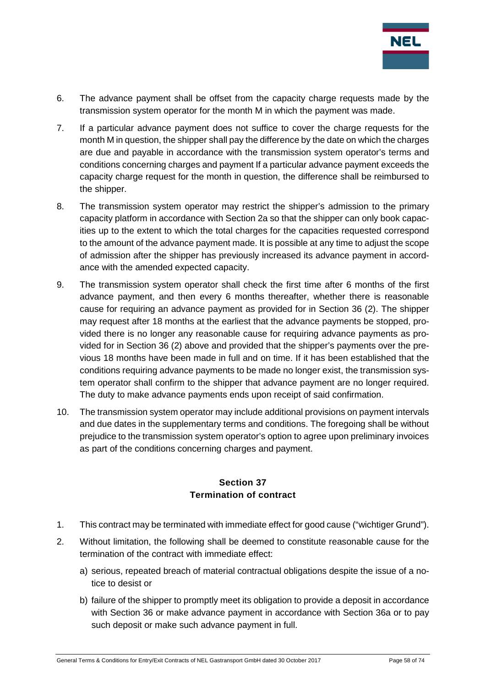

- 6. The advance payment shall be offset from the capacity charge requests made by the transmission system operator for the month M in which the payment was made.
- 7. If a particular advance payment does not suffice to cover the charge requests for the month M in question, the shipper shall pay the difference by the date on which the charges are due and payable in accordance with the transmission system operator's terms and conditions concerning charges and payment If a particular advance payment exceeds the capacity charge request for the month in question, the difference shall be reimbursed to the shipper.
- 8. The transmission system operator may restrict the shipper's admission to the primary capacity platform in accordance with Section 2a so that the shipper can only book capacities up to the extent to which the total charges for the capacities requested correspond to the amount of the advance payment made. It is possible at any time to adjust the scope of admission after the shipper has previously increased its advance payment in accordance with the amended expected capacity.
- 9. The transmission system operator shall check the first time after 6 months of the first advance payment, and then every 6 months thereafter, whether there is reasonable cause for requiring an advance payment as provided for in Section 36 (2). The shipper may request after 18 months at the earliest that the advance payments be stopped, provided there is no longer any reasonable cause for requiring advance payments as provided for in Section 36 (2) above and provided that the shipper's payments over the previous 18 months have been made in full and on time. If it has been established that the conditions requiring advance payments to be made no longer exist, the transmission system operator shall confirm to the shipper that advance payment are no longer required. The duty to make advance payments ends upon receipt of said confirmation.
- 10. The transmission system operator may include additional provisions on payment intervals and due dates in the supplementary terms and conditions. The foregoing shall be without prejudice to the transmission system operator's option to agree upon preliminary invoices as part of the conditions concerning charges and payment.

#### **Section 37 Termination of contract**

- 1. This contract may be terminated with immediate effect for good cause ("wichtiger Grund").
- 2. Without limitation, the following shall be deemed to constitute reasonable cause for the termination of the contract with immediate effect:
	- a) serious, repeated breach of material contractual obligations despite the issue of a notice to desist or
	- b) failure of the shipper to promptly meet its obligation to provide a deposit in accordance with Section 36 or make advance payment in accordance with Section 36a or to pay such deposit or make such advance payment in full.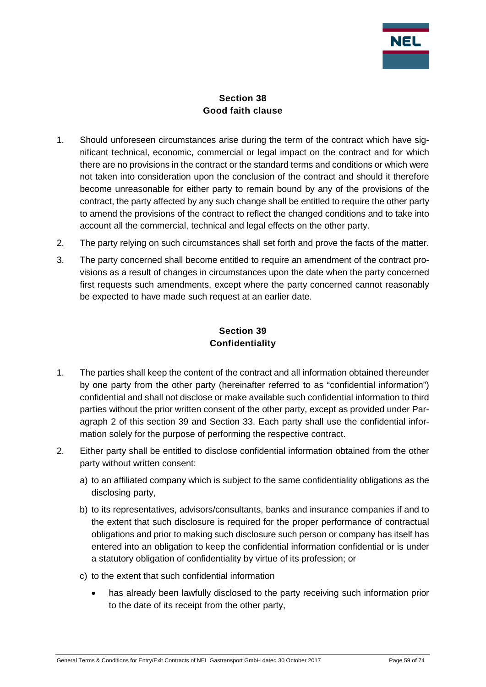

# **Section 38 Good faith clause**

- 1. Should unforeseen circumstances arise during the term of the contract which have significant technical, economic, commercial or legal impact on the contract and for which there are no provisions in the contract or the standard terms and conditions or which were not taken into consideration upon the conclusion of the contract and should it therefore become unreasonable for either party to remain bound by any of the provisions of the contract, the party affected by any such change shall be entitled to require the other party to amend the provisions of the contract to reflect the changed conditions and to take into account all the commercial, technical and legal effects on the other party.
- 2. The party relying on such circumstances shall set forth and prove the facts of the matter.
- 3. The party concerned shall become entitled to require an amendment of the contract provisions as a result of changes in circumstances upon the date when the party concerned first requests such amendments, except where the party concerned cannot reasonably be expected to have made such request at an earlier date.

## **Section 39 Confidentiality**

- 1. The parties shall keep the content of the contract and all information obtained thereunder by one party from the other party (hereinafter referred to as "confidential information") confidential and shall not disclose or make available such confidential information to third parties without the prior written consent of the other party, except as provided under Paragraph 2 of this section 39 and Section 33. Each party shall use the confidential information solely for the purpose of performing the respective contract.
- 2. Either party shall be entitled to disclose confidential information obtained from the other party without written consent:
	- a) to an affiliated company which is subject to the same confidentiality obligations as the disclosing party,
	- b) to its representatives, advisors/consultants, banks and insurance companies if and to the extent that such disclosure is required for the proper performance of contractual obligations and prior to making such disclosure such person or company has itself has entered into an obligation to keep the confidential information confidential or is under a statutory obligation of confidentiality by virtue of its profession; or
	- c) to the extent that such confidential information
		- has already been lawfully disclosed to the party receiving such information prior to the date of its receipt from the other party,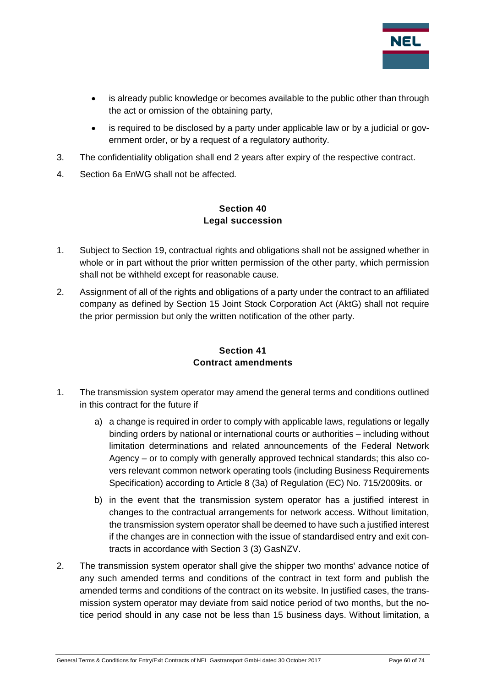

- is already public knowledge or becomes available to the public other than through the act or omission of the obtaining party,
- is required to be disclosed by a party under applicable law or by a judicial or government order, or by a request of a regulatory authority.
- 3. The confidentiality obligation shall end 2 years after expiry of the respective contract.
- 4. Section 6a EnWG shall not be affected.

# **Section 40 Legal succession**

- 1. Subject to Section 19, contractual rights and obligations shall not be assigned whether in whole or in part without the prior written permission of the other party, which permission shall not be withheld except for reasonable cause.
- 2. Assignment of all of the rights and obligations of a party under the contract to an affiliated company as defined by Section 15 Joint Stock Corporation Act (AktG) shall not require the prior permission but only the written notification of the other party.

## **Section 41 Contract amendments**

- 1. The transmission system operator may amend the general terms and conditions outlined in this contract for the future if
	- a) a change is required in order to comply with applicable laws, regulations or legally binding orders by national or international courts or authorities – including without limitation determinations and related announcements of the Federal Network Agency – or to comply with generally approved technical standards; this also covers relevant common network operating tools (including Business Requirements Specification) according to Article 8 (3a) of Regulation (EC) No. 715/2009its. or
	- b) in the event that the transmission system operator has a justified interest in changes to the contractual arrangements for network access. Without limitation, the transmission system operator shall be deemed to have such a justified interest if the changes are in connection with the issue of standardised entry and exit contracts in accordance with Section 3 (3) GasNZV.
- 2. The transmission system operator shall give the shipper two months' advance notice of any such amended terms and conditions of the contract in text form and publish the amended terms and conditions of the contract on its website. In justified cases, the transmission system operator may deviate from said notice period of two months, but the notice period should in any case not be less than 15 business days. Without limitation, a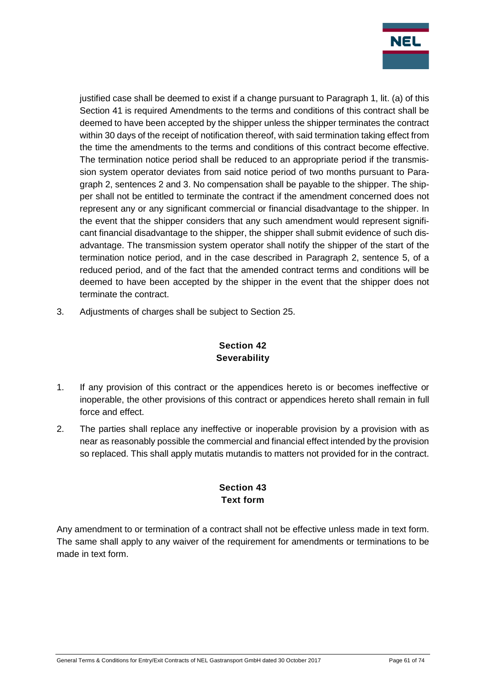

justified case shall be deemed to exist if a change pursuant to Paragraph 1, lit. (a) of this Section 41 is required Amendments to the terms and conditions of this contract shall be deemed to have been accepted by the shipper unless the shipper terminates the contract within 30 days of the receipt of notification thereof, with said termination taking effect from the time the amendments to the terms and conditions of this contract become effective. The termination notice period shall be reduced to an appropriate period if the transmission system operator deviates from said notice period of two months pursuant to Paragraph 2, sentences 2 and 3. No compensation shall be payable to the shipper. The shipper shall not be entitled to terminate the contract if the amendment concerned does not represent any or any significant commercial or financial disadvantage to the shipper. In the event that the shipper considers that any such amendment would represent significant financial disadvantage to the shipper, the shipper shall submit evidence of such disadvantage. The transmission system operator shall notify the shipper of the start of the termination notice period, and in the case described in Paragraph 2, sentence 5, of a reduced period, and of the fact that the amended contract terms and conditions will be deemed to have been accepted by the shipper in the event that the shipper does not terminate the contract.

3. Adjustments of charges shall be subject to Section 25.

# **Section 42 Severability**

- 1. If any provision of this contract or the appendices hereto is or becomes ineffective or inoperable, the other provisions of this contract or appendices hereto shall remain in full force and effect.
- 2. The parties shall replace any ineffective or inoperable provision by a provision with as near as reasonably possible the commercial and financial effect intended by the provision so replaced. This shall apply mutatis mutandis to matters not provided for in the contract.

# **Section 43 Text form**

Any amendment to or termination of a contract shall not be effective unless made in text form. The same shall apply to any waiver of the requirement for amendments or terminations to be made in text form.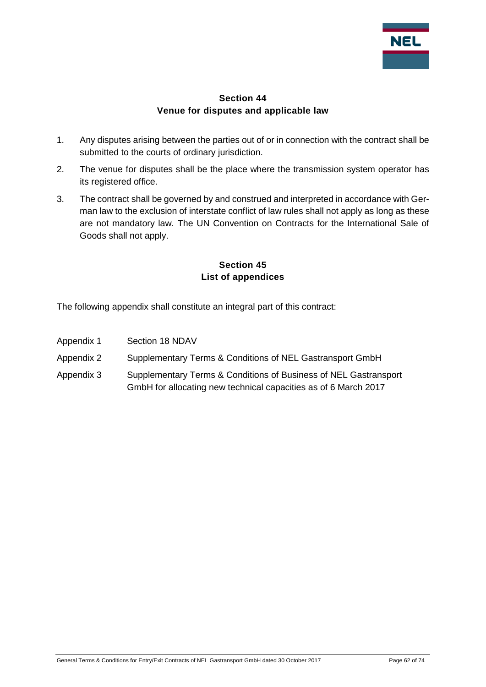

## **Section 44 Venue for disputes and applicable law**

- 1. Any disputes arising between the parties out of or in connection with the contract shall be submitted to the courts of ordinary jurisdiction.
- 2. The venue for disputes shall be the place where the transmission system operator has its registered office.
- 3. The contract shall be governed by and construed and interpreted in accordance with German law to the exclusion of interstate conflict of law rules shall not apply as long as these are not mandatory law. The UN Convention on Contracts for the International Sale of Goods shall not apply.

## **Section 45 List of appendices**

The following appendix shall constitute an integral part of this contract:

- Appendix 1 Section 18 NDAV
- Appendix 2 Supplementary Terms & Conditions of NEL Gastransport GmbH
- Appendix 3 Supplementary Terms & Conditions of Business of NEL Gastransport GmbH for allocating new technical capacities as of 6 March 2017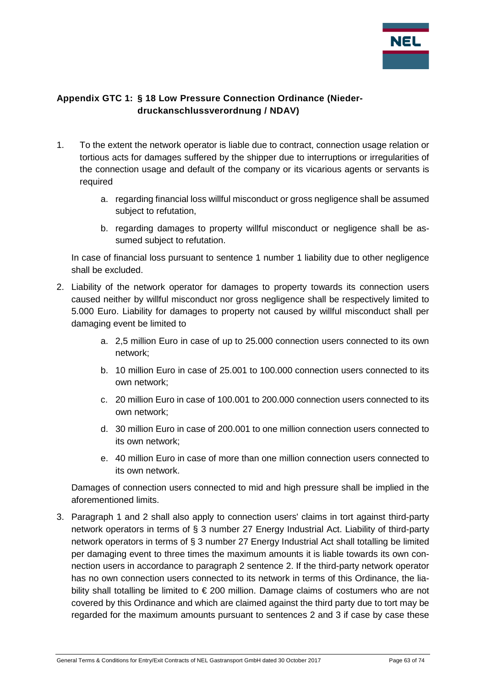

# **Appendix GTC 1: § 18 Low Pressure Connection Ordinance (Niederdruckanschlussverordnung / NDAV)**

- 1. To the extent the network operator is liable due to contract, connection usage relation or tortious acts for damages suffered by the shipper due to interruptions or irregularities of the connection usage and default of the company or its vicarious agents or servants is required
	- a. regarding financial loss willful misconduct or gross negligence shall be assumed subject to refutation,
	- b. regarding damages to property willful misconduct or negligence shall be assumed subject to refutation.

In case of financial loss pursuant to sentence 1 number 1 liability due to other negligence shall be excluded.

- 2. Liability of the network operator for damages to property towards its connection users caused neither by willful misconduct nor gross negligence shall be respectively limited to 5.000 Euro. Liability for damages to property not caused by willful misconduct shall per damaging event be limited to
	- a. 2,5 million Euro in case of up to 25.000 connection users connected to its own network;
	- b. 10 million Euro in case of 25.001 to 100.000 connection users connected to its own network;
	- c. 20 million Euro in case of 100.001 to 200.000 connection users connected to its own network;
	- d. 30 million Euro in case of 200.001 to one million connection users connected to its own network;
	- e. 40 million Euro in case of more than one million connection users connected to its own network.

Damages of connection users connected to mid and high pressure shall be implied in the aforementioned limits.

3. Paragraph 1 and 2 shall also apply to connection users' claims in tort against third-party network operators in terms of § 3 number 27 Energy Industrial Act. Liability of third-party network operators in terms of § 3 number 27 Energy Industrial Act shall totalling be limited per damaging event to three times the maximum amounts it is liable towards its own connection users in accordance to paragraph 2 sentence 2. If the third-party network operator has no own connection users connected to its network in terms of this Ordinance, the liability shall totalling be limited to € 200 million. Damage claims of costumers who are not covered by this Ordinance and which are claimed against the third party due to tort may be regarded for the maximum amounts pursuant to sentences 2 and 3 if case by case these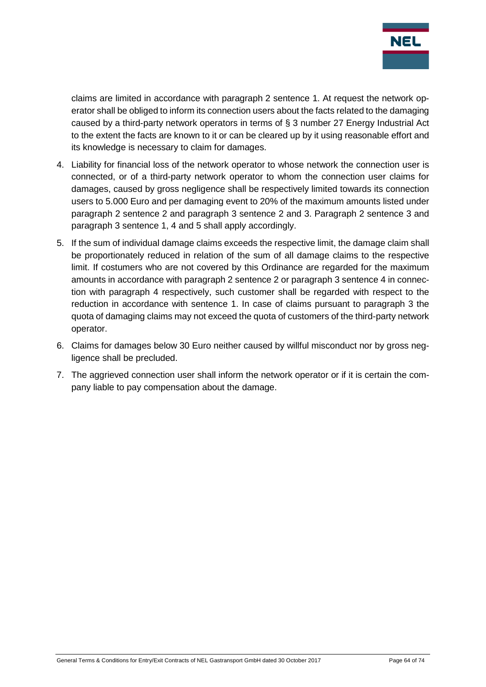

claims are limited in accordance with paragraph 2 sentence 1. At request the network operator shall be obliged to inform its connection users about the facts related to the damaging caused by a third-party network operators in terms of § 3 number 27 Energy Industrial Act to the extent the facts are known to it or can be cleared up by it using reasonable effort and its knowledge is necessary to claim for damages.

- 4. Liability for financial loss of the network operator to whose network the connection user is connected, or of a third-party network operator to whom the connection user claims for damages, caused by gross negligence shall be respectively limited towards its connection users to 5.000 Euro and per damaging event to 20% of the maximum amounts listed under paragraph 2 sentence 2 and paragraph 3 sentence 2 and 3. Paragraph 2 sentence 3 and paragraph 3 sentence 1, 4 and 5 shall apply accordingly.
- 5. If the sum of individual damage claims exceeds the respective limit, the damage claim shall be proportionately reduced in relation of the sum of all damage claims to the respective limit. If costumers who are not covered by this Ordinance are regarded for the maximum amounts in accordance with paragraph 2 sentence 2 or paragraph 3 sentence 4 in connection with paragraph 4 respectively, such customer shall be regarded with respect to the reduction in accordance with sentence 1. In case of claims pursuant to paragraph 3 the quota of damaging claims may not exceed the quota of customers of the third-party network operator.
- 6. Claims for damages below 30 Euro neither caused by willful misconduct nor by gross negligence shall be precluded.
- 7. The aggrieved connection user shall inform the network operator or if it is certain the company liable to pay compensation about the damage.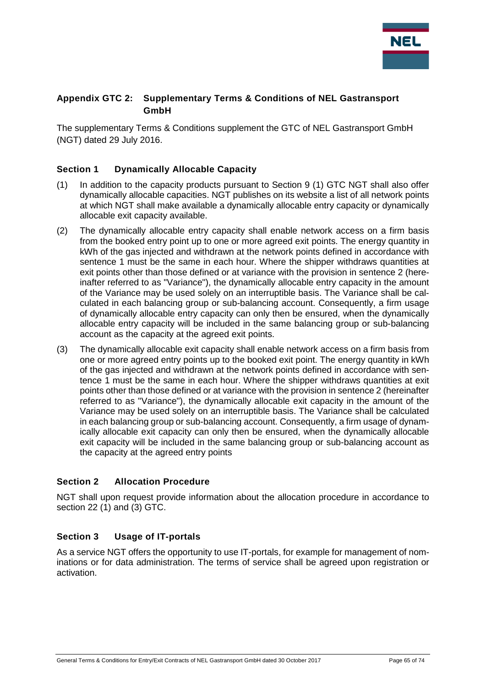

## **Appendix GTC 2: Supplementary Terms & Conditions of NEL Gastransport GmbH**

The supplementary Terms & Conditions supplement the GTC of NEL Gastransport GmbH (NGT) dated 29 July 2016.

### **Section 1 Dynamically Allocable Capacity**

- (1) In addition to the capacity products pursuant to Section 9 (1) GTC NGT shall also offer dynamically allocable capacities. NGT publishes on its website a list of all network points at which NGT shall make available a dynamically allocable entry capacity or dynamically allocable exit capacity available.
- (2) The dynamically allocable entry capacity shall enable network access on a firm basis from the booked entry point up to one or more agreed exit points. The energy quantity in kWh of the gas injected and withdrawn at the network points defined in accordance with sentence 1 must be the same in each hour. Where the shipper withdraws quantities at exit points other than those defined or at variance with the provision in sentence 2 (hereinafter referred to as "Variance"), the dynamically allocable entry capacity in the amount of the Variance may be used solely on an interruptible basis. The Variance shall be calculated in each balancing group or sub-balancing account. Consequently, a firm usage of dynamically allocable entry capacity can only then be ensured, when the dynamically allocable entry capacity will be included in the same balancing group or sub-balancing account as the capacity at the agreed exit points.
- (3) The dynamically allocable exit capacity shall enable network access on a firm basis from one or more agreed entry points up to the booked exit point. The energy quantity in kWh of the gas injected and withdrawn at the network points defined in accordance with sentence 1 must be the same in each hour. Where the shipper withdraws quantities at exit points other than those defined or at variance with the provision in sentence 2 (hereinafter referred to as "Variance"), the dynamically allocable exit capacity in the amount of the Variance may be used solely on an interruptible basis. The Variance shall be calculated in each balancing group or sub-balancing account. Consequently, a firm usage of dynamically allocable exit capacity can only then be ensured, when the dynamically allocable exit capacity will be included in the same balancing group or sub-balancing account as the capacity at the agreed entry points

#### **Section 2 Allocation Procedure**

NGT shall upon request provide information about the allocation procedure in accordance to section 22 (1) and (3) GTC.

#### **Section 3 Usage of IT-portals**

As a service NGT offers the opportunity to use IT-portals, for example for management of nominations or for data administration. The terms of service shall be agreed upon registration or activation.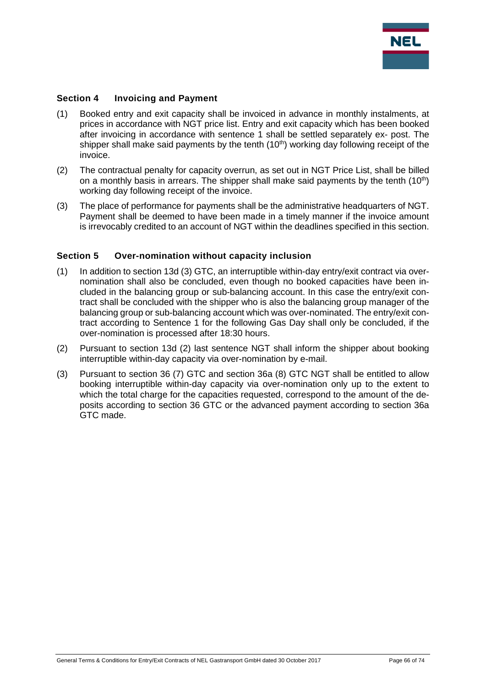

#### **Section 4 Invoicing and Payment**

- (1) Booked entry and exit capacity shall be invoiced in advance in monthly instalments, at prices in accordance with NGT price list. Entry and exit capacity which has been booked after invoicing in accordance with sentence 1 shall be settled separately ex- post. The shipper shall make said payments by the tenth (10<sup>th</sup>) working day following receipt of the invoice.
- (2) The contractual penalty for capacity overrun, as set out in NGT Price List, shall be billed on a monthly basis in arrears. The shipper shall make said payments by the tenth  $(10<sup>th</sup>)$ working day following receipt of the invoice.
- (3) The place of performance for payments shall be the administrative headquarters of NGT. Payment shall be deemed to have been made in a timely manner if the invoice amount is irrevocably credited to an account of NGT within the deadlines specified in this section.

#### **Section 5 Over-nomination without capacity inclusion**

- (1) In addition to section 13d (3) GTC, an interruptible within-day entry/exit contract via overnomination shall also be concluded, even though no booked capacities have been included in the balancing group or sub-balancing account. In this case the entry/exit contract shall be concluded with the shipper who is also the balancing group manager of the balancing group or sub-balancing account which was over-nominated. The entry/exit contract according to Sentence 1 for the following Gas Day shall only be concluded, if the over-nomination is processed after 18:30 hours.
- (2) Pursuant to section 13d (2) last sentence NGT shall inform the shipper about booking interruptible within-day capacity via over-nomination by e-mail.
- (3) Pursuant to section 36 (7) GTC and section 36a (8) GTC NGT shall be entitled to allow booking interruptible within-day capacity via over-nomination only up to the extent to which the total charge for the capacities requested, correspond to the amount of the deposits according to section 36 GTC or the advanced payment according to section 36a GTC made.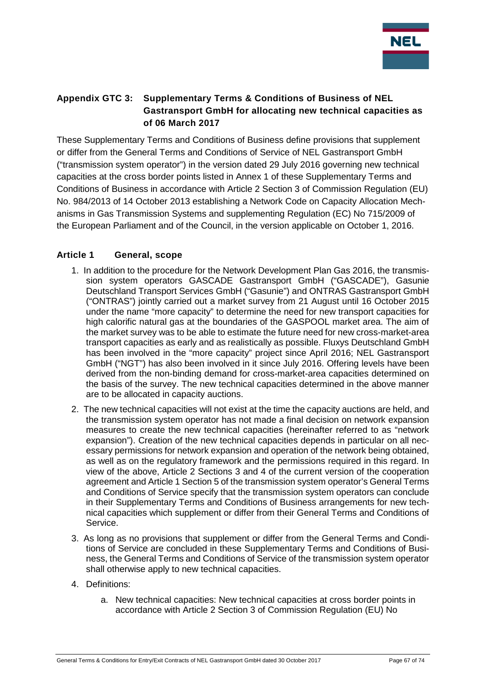

# **Appendix GTC 3: Supplementary Terms & Conditions of Business of NEL Gastransport GmbH for allocating new technical capacities as of 06 March 2017**

These Supplementary Terms and Conditions of Business define provisions that supplement or differ from the General Terms and Conditions of Service of NEL Gastransport GmbH ("transmission system operator") in the version dated 29 July 2016 governing new technical capacities at the cross border points listed in Annex 1 of these Supplementary Terms and Conditions of Business in accordance with Article 2 Section 3 of Commission Regulation (EU) No. 984/2013 of 14 October 2013 establishing a Network Code on Capacity Allocation Mechanisms in Gas Transmission Systems and supplementing Regulation (EC) No 715/2009 of the European Parliament and of the Council, in the version applicable on October 1, 2016.

### **Article 1 General, scope**

- 1. In addition to the procedure for the Network Development Plan Gas 2016, the transmission system operators GASCADE Gastransport GmbH ("GASCADE"), Gasunie Deutschland Transport Services GmbH ("Gasunie") and ONTRAS Gastransport GmbH ("ONTRAS") jointly carried out a market survey from 21 August until 16 October 2015 under the name "more capacity" to determine the need for new transport capacities for high calorific natural gas at the boundaries of the GASPOOL market area. The aim of the market survey was to be able to estimate the future need for new cross-market-area transport capacities as early and as realistically as possible. Fluxys Deutschland GmbH has been involved in the "more capacity" project since April 2016; NEL Gastransport GmbH ("NGT") has also been involved in it since July 2016. Offering levels have been derived from the non-binding demand for cross-market-area capacities determined on the basis of the survey. The new technical capacities determined in the above manner are to be allocated in capacity auctions.
- 2. The new technical capacities will not exist at the time the capacity auctions are held, and the transmission system operator has not made a final decision on network expansion measures to create the new technical capacities (hereinafter referred to as "network expansion"). Creation of the new technical capacities depends in particular on all necessary permissions for network expansion and operation of the network being obtained, as well as on the regulatory framework and the permissions required in this regard. In view of the above, Article 2 Sections 3 and 4 of the current version of the cooperation agreement and Article 1 Section 5 of the transmission system operator's General Terms and Conditions of Service specify that the transmission system operators can conclude in their Supplementary Terms and Conditions of Business arrangements for new technical capacities which supplement or differ from their General Terms and Conditions of Service.
- 3. As long as no provisions that supplement or differ from the General Terms and Conditions of Service are concluded in these Supplementary Terms and Conditions of Business, the General Terms and Conditions of Service of the transmission system operator shall otherwise apply to new technical capacities.
- 4. Definitions:
	- a. New technical capacities: New technical capacities at cross border points in accordance with Article 2 Section 3 of Commission Regulation (EU) No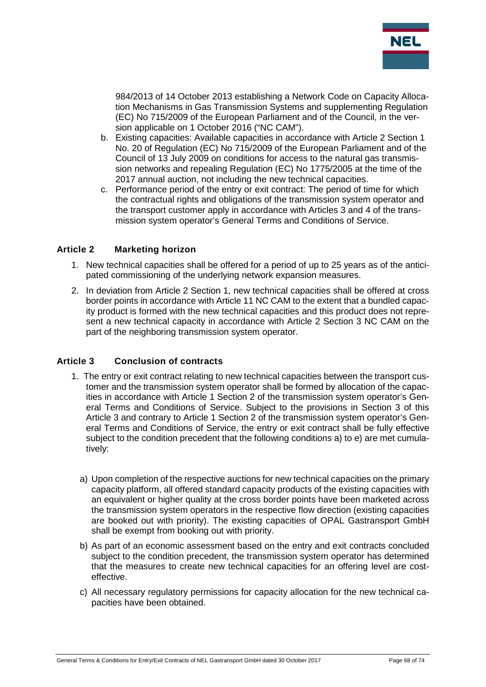

984/2013 of 14 October 2013 establishing a Network Code on Capacity Allocation Mechanisms in Gas Transmission Systems and supplementing Regulation (EC) No 715/2009 of the European Parliament and of the Council, in the version applicable on 1 October 2016 ("NC CAM").

- b. Existing capacities: Available capacities in accordance with Article 2 Section 1 No. 20 of Regulation (EC) No 715/2009 of the European Parliament and of the Council of 13 July 2009 on conditions for access to the natural gas transmission networks and repealing Regulation (EC) No 1775/2005 at the time of the 2017 annual auction, not including the new technical capacities.
- c. Performance period of the entry or exit contract: The period of time for which the contractual rights and obligations of the transmission system operator and the transport customer apply in accordance with Articles 3 and 4 of the transmission system operator's General Terms and Conditions of Service.

#### **Article 2 Marketing horizon**

- 1. New technical capacities shall be offered for a period of up to 25 years as of the anticipated commissioning of the underlying network expansion measures.
- 2. In deviation from Article 2 Section 1, new technical capacities shall be offered at cross border points in accordance with Article 11 NC CAM to the extent that a bundled capacity product is formed with the new technical capacities and this product does not represent a new technical capacity in accordance with Article 2 Section 3 NC CAM on the part of the neighboring transmission system operator.

#### **Article 3 Conclusion of contracts**

- 1. The entry or exit contract relating to new technical capacities between the transport customer and the transmission system operator shall be formed by allocation of the capacities in accordance with Article 1 Section 2 of the transmission system operator's General Terms and Conditions of Service. Subject to the provisions in Section 3 of this Article 3 and contrary to Article 1 Section 2 of the transmission system operator's General Terms and Conditions of Service, the entry or exit contract shall be fully effective subject to the condition precedent that the following conditions a) to e) are met cumulatively:
	- a) Upon completion of the respective auctions for new technical capacities on the primary capacity platform, all offered standard capacity products of the existing capacities with an equivalent or higher quality at the cross border points have been marketed across the transmission system operators in the respective flow direction (existing capacities are booked out with priority). The existing capacities of OPAL Gastransport GmbH shall be exempt from booking out with priority.
	- b) As part of an economic assessment based on the entry and exit contracts concluded subject to the condition precedent, the transmission system operator has determined that the measures to create new technical capacities for an offering level are costeffective.
	- c) All necessary regulatory permissions for capacity allocation for the new technical capacities have been obtained.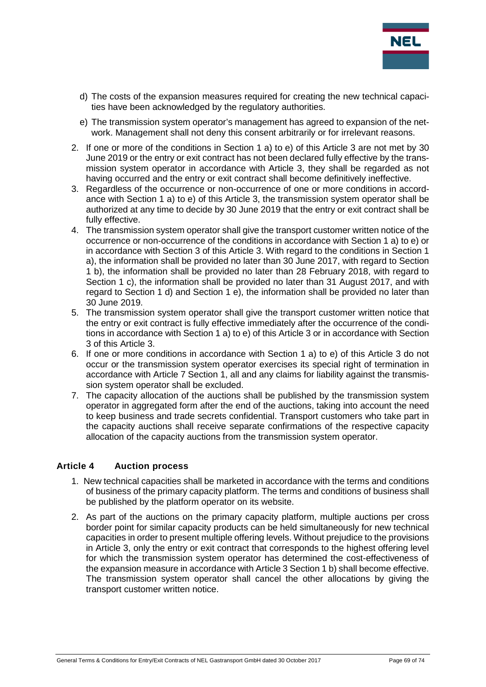

- d) The costs of the expansion measures required for creating the new technical capacities have been acknowledged by the regulatory authorities.
- e) The transmission system operator's management has agreed to expansion of the network. Management shall not deny this consent arbitrarily or for irrelevant reasons.
- 2. If one or more of the conditions in Section 1 a) to e) of this Article 3 are not met by 30 June 2019 or the entry or exit contract has not been declared fully effective by the transmission system operator in accordance with Article 3, they shall be regarded as not having occurred and the entry or exit contract shall become definitively ineffective.
- 3. Regardless of the occurrence or non-occurrence of one or more conditions in accordance with Section 1 a) to e) of this Article 3, the transmission system operator shall be authorized at any time to decide by 30 June 2019 that the entry or exit contract shall be fully effective.
- 4. The transmission system operator shall give the transport customer written notice of the occurrence or non-occurrence of the conditions in accordance with Section 1 a) to e) or in accordance with Section 3 of this Article 3. With regard to the conditions in Section 1 a), the information shall be provided no later than 30 June 2017, with regard to Section 1 b), the information shall be provided no later than 28 February 2018, with regard to Section 1 c), the information shall be provided no later than 31 August 2017, and with regard to Section 1 d) and Section 1 e), the information shall be provided no later than 30 June 2019.
- 5. The transmission system operator shall give the transport customer written notice that the entry or exit contract is fully effective immediately after the occurrence of the conditions in accordance with Section 1 a) to e) of this Article 3 or in accordance with Section 3 of this Article 3.
- 6. If one or more conditions in accordance with Section 1 a) to e) of this Article 3 do not occur or the transmission system operator exercises its special right of termination in accordance with Article 7 Section 1, all and any claims for liability against the transmission system operator shall be excluded.
- 7. The capacity allocation of the auctions shall be published by the transmission system operator in aggregated form after the end of the auctions, taking into account the need to keep business and trade secrets confidential. Transport customers who take part in the capacity auctions shall receive separate confirmations of the respective capacity allocation of the capacity auctions from the transmission system operator.

#### **Article 4 Auction process**

- 1. New technical capacities shall be marketed in accordance with the terms and conditions of business of the primary capacity platform. The terms and conditions of business shall be published by the platform operator on its website.
- 2. As part of the auctions on the primary capacity platform, multiple auctions per cross border point for similar capacity products can be held simultaneously for new technical capacities in order to present multiple offering levels. Without prejudice to the provisions in Article 3, only the entry or exit contract that corresponds to the highest offering level for which the transmission system operator has determined the cost-effectiveness of the expansion measure in accordance with Article 3 Section 1 b) shall become effective. The transmission system operator shall cancel the other allocations by giving the transport customer written notice.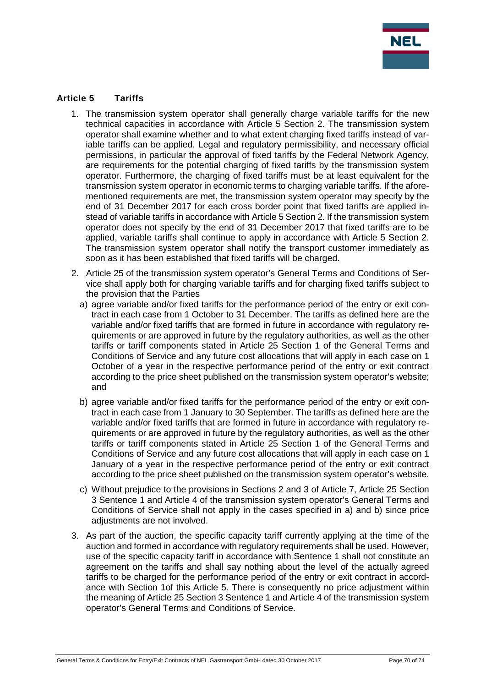

### **Article 5 Tariffs**

- 1. The transmission system operator shall generally charge variable tariffs for the new technical capacities in accordance with Article 5 Section 2. The transmission system operator shall examine whether and to what extent charging fixed tariffs instead of variable tariffs can be applied. Legal and regulatory permissibility, and necessary official permissions, in particular the approval of fixed tariffs by the Federal Network Agency, are requirements for the potential charging of fixed tariffs by the transmission system operator. Furthermore, the charging of fixed tariffs must be at least equivalent for the transmission system operator in economic terms to charging variable tariffs. If the aforementioned requirements are met, the transmission system operator may specify by the end of 31 December 2017 for each cross border point that fixed tariffs are applied instead of variable tariffs in accordance with Article 5 Section 2. If the transmission system operator does not specify by the end of 31 December 2017 that fixed tariffs are to be applied, variable tariffs shall continue to apply in accordance with Article 5 Section 2. The transmission system operator shall notify the transport customer immediately as soon as it has been established that fixed tariffs will be charged.
- 2. Article 25 of the transmission system operator's General Terms and Conditions of Service shall apply both for charging variable tariffs and for charging fixed tariffs subject to the provision that the Parties
	- a) agree variable and/or fixed tariffs for the performance period of the entry or exit contract in each case from 1 October to 31 December. The tariffs as defined here are the variable and/or fixed tariffs that are formed in future in accordance with regulatory requirements or are approved in future by the regulatory authorities, as well as the other tariffs or tariff components stated in Article 25 Section 1 of the General Terms and Conditions of Service and any future cost allocations that will apply in each case on 1 October of a year in the respective performance period of the entry or exit contract according to the price sheet published on the transmission system operator's website; and
	- b) agree variable and/or fixed tariffs for the performance period of the entry or exit contract in each case from 1 January to 30 September. The tariffs as defined here are the variable and/or fixed tariffs that are formed in future in accordance with regulatory requirements or are approved in future by the regulatory authorities, as well as the other tariffs or tariff components stated in Article 25 Section 1 of the General Terms and Conditions of Service and any future cost allocations that will apply in each case on 1 January of a year in the respective performance period of the entry or exit contract according to the price sheet published on the transmission system operator's website.
	- c) Without prejudice to the provisions in Sections 2 and 3 of Article 7, Article 25 Section 3 Sentence 1 and Article 4 of the transmission system operator's General Terms and Conditions of Service shall not apply in the cases specified in a) and b) since price adjustments are not involved.
- 3. As part of the auction, the specific capacity tariff currently applying at the time of the auction and formed in accordance with regulatory requirements shall be used. However, use of the specific capacity tariff in accordance with Sentence 1 shall not constitute an agreement on the tariffs and shall say nothing about the level of the actually agreed tariffs to be charged for the performance period of the entry or exit contract in accordance with Section 1of this Article 5. There is consequently no price adjustment within the meaning of Article 25 Section 3 Sentence 1 and Article 4 of the transmission system operator's General Terms and Conditions of Service.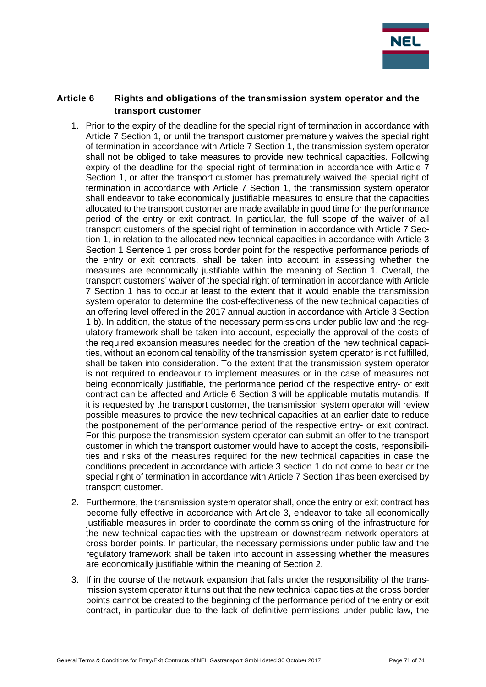

#### **Article 6 Rights and obligations of the transmission system operator and the transport customer**

- 1. Prior to the expiry of the deadline for the special right of termination in accordance with Article 7 Section 1, or until the transport customer prematurely waives the special right of termination in accordance with Article 7 Section 1, the transmission system operator shall not be obliged to take measures to provide new technical capacities. Following expiry of the deadline for the special right of termination in accordance with Article 7 Section 1, or after the transport customer has prematurely waived the special right of termination in accordance with Article 7 Section 1, the transmission system operator shall endeavor to take economically justifiable measures to ensure that the capacities allocated to the transport customer are made available in good time for the performance period of the entry or exit contract. In particular, the full scope of the waiver of all transport customers of the special right of termination in accordance with Article 7 Section 1, in relation to the allocated new technical capacities in accordance with Article 3 Section 1 Sentence 1 per cross border point for the respective performance periods of the entry or exit contracts, shall be taken into account in assessing whether the measures are economically justifiable within the meaning of Section 1. Overall, the transport customers' waiver of the special right of termination in accordance with Article 7 Section 1 has to occur at least to the extent that it would enable the transmission system operator to determine the cost-effectiveness of the new technical capacities of an offering level offered in the 2017 annual auction in accordance with Article 3 Section 1 b). In addition, the status of the necessary permissions under public law and the regulatory framework shall be taken into account, especially the approval of the costs of the required expansion measures needed for the creation of the new technical capacities, without an economical tenability of the transmission system operator is not fulfilled, shall be taken into consideration. To the extent that the transmission system operator is not required to endeavour to implement measures or in the case of measures not being economically justifiable, the performance period of the respective entry- or exit contract can be affected and Article 6 Section 3 will be applicable mutatis mutandis. If it is requested by the transport customer, the transmission system operator will review possible measures to provide the new technical capacities at an earlier date to reduce the postponement of the performance period of the respective entry- or exit contract. For this purpose the transmission system operator can submit an offer to the transport customer in which the transport customer would have to accept the costs, responsibilities and risks of the measures required for the new technical capacities in case the conditions precedent in accordance with article 3 section 1 do not come to bear or the special right of termination in accordance with Article 7 Section 1has been exercised by transport customer.
- 2. Furthermore, the transmission system operator shall, once the entry or exit contract has become fully effective in accordance with Article 3, endeavor to take all economically justifiable measures in order to coordinate the commissioning of the infrastructure for the new technical capacities with the upstream or downstream network operators at cross border points. In particular, the necessary permissions under public law and the regulatory framework shall be taken into account in assessing whether the measures are economically justifiable within the meaning of Section 2.
- 3. If in the course of the network expansion that falls under the responsibility of the transmission system operator it turns out that the new technical capacities at the cross border points cannot be created to the beginning of the performance period of the entry or exit contract, in particular due to the lack of definitive permissions under public law, the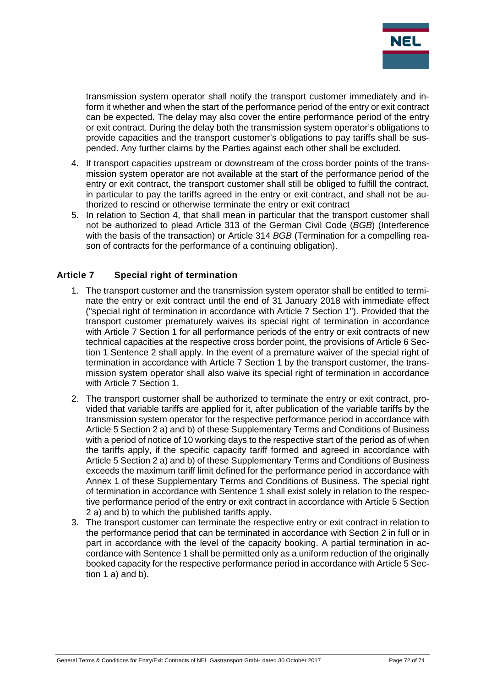

transmission system operator shall notify the transport customer immediately and inform it whether and when the start of the performance period of the entry or exit contract can be expected. The delay may also cover the entire performance period of the entry or exit contract. During the delay both the transmission system operator's obligations to provide capacities and the transport customer's obligations to pay tariffs shall be suspended. Any further claims by the Parties against each other shall be excluded.

- 4. If transport capacities upstream or downstream of the cross border points of the transmission system operator are not available at the start of the performance period of the entry or exit contract, the transport customer shall still be obliged to fulfill the contract, in particular to pay the tariffs agreed in the entry or exit contract, and shall not be authorized to rescind or otherwise terminate the entry or exit contract
- 5. In relation to Section 4, that shall mean in particular that the transport customer shall not be authorized to plead Article 313 of the German Civil Code (*BGB*) (Interference with the basis of the transaction) or Article 314 *BGB* (Termination for a compelling reason of contracts for the performance of a continuing obligation).

### **Article 7 Special right of termination**

- 1. The transport customer and the transmission system operator shall be entitled to terminate the entry or exit contract until the end of 31 January 2018 with immediate effect ("special right of termination in accordance with Article 7 Section 1"). Provided that the transport customer prematurely waives its special right of termination in accordance with Article 7 Section 1 for all performance periods of the entry or exit contracts of new technical capacities at the respective cross border point, the provisions of Article 6 Section 1 Sentence 2 shall apply. In the event of a premature waiver of the special right of termination in accordance with Article 7 Section 1 by the transport customer, the transmission system operator shall also waive its special right of termination in accordance with Article 7 Section 1.
- 2. The transport customer shall be authorized to terminate the entry or exit contract, provided that variable tariffs are applied for it, after publication of the variable tariffs by the transmission system operator for the respective performance period in accordance with Article 5 Section 2 a) and b) of these Supplementary Terms and Conditions of Business with a period of notice of 10 working days to the respective start of the period as of when the tariffs apply, if the specific capacity tariff formed and agreed in accordance with Article 5 Section 2 a) and b) of these Supplementary Terms and Conditions of Business exceeds the maximum tariff limit defined for the performance period in accordance with Annex 1 of these Supplementary Terms and Conditions of Business. The special right of termination in accordance with Sentence 1 shall exist solely in relation to the respective performance period of the entry or exit contract in accordance with Article 5 Section 2 a) and b) to which the published tariffs apply.
- 3. The transport customer can terminate the respective entry or exit contract in relation to the performance period that can be terminated in accordance with Section 2 in full or in part in accordance with the level of the capacity booking. A partial termination in accordance with Sentence 1 shall be permitted only as a uniform reduction of the originally booked capacity for the respective performance period in accordance with Article 5 Section 1 a) and b).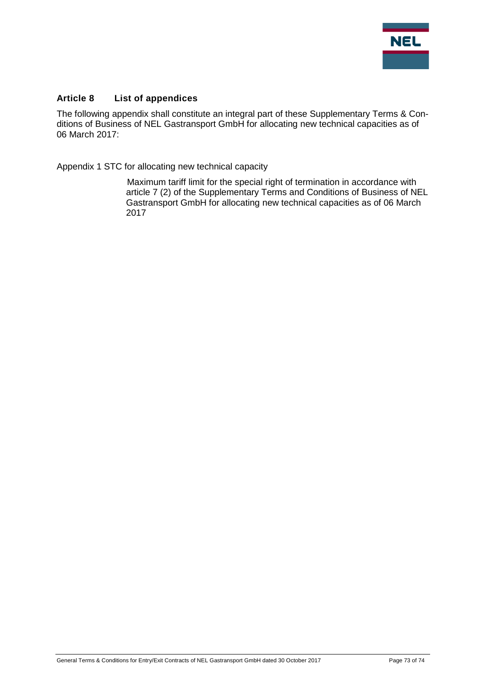

## **Article 8 List of appendices**

The following appendix shall constitute an integral part of these Supplementary Terms & Conditions of Business of NEL Gastransport GmbH for allocating new technical capacities as of 06 March 2017:

Appendix 1 STC for allocating new technical capacity

Maximum tariff limit for the special right of termination in accordance with article 7 (2) of the Supplementary Terms and Conditions of Business of NEL Gastransport GmbH for allocating new technical capacities as of 06 March 2017